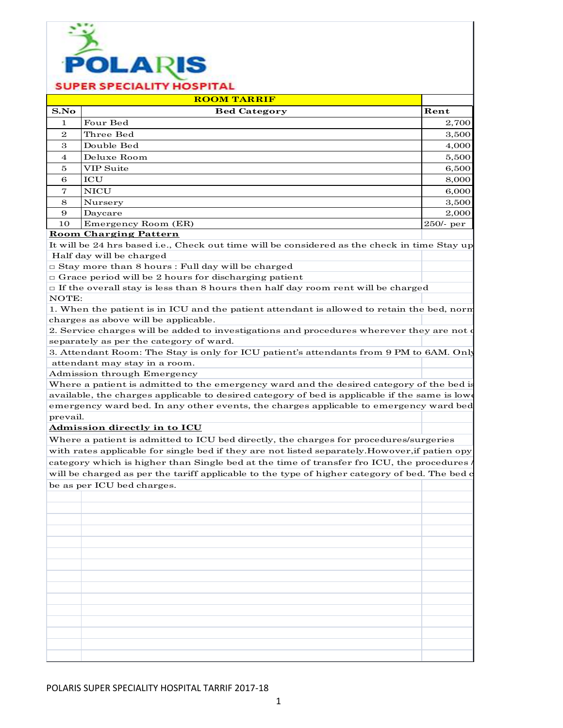

|                | <b>ROOM TARRIF</b>  |              |
|----------------|---------------------|--------------|
| S.No           | <b>Bed Category</b> | Rent         |
| 1.             | Four Bed            | 2,700        |
| $\mathbf{2}$   | Three Bed           | 3,500        |
| 3              | Double Bed          | 4,000        |
| $\overline{4}$ | Deluxe Room         | 5,500        |
| 5              | <b>VIP Suite</b>    | 6,500        |
| 6              | <b>ICU</b>          | 8,000        |
| 7              | <b>NICU</b>         | 6,000        |
| 8              | Nursery             | 3,500        |
| 9              | Daycare             | 2,000        |
| 10             | Emergency Room (ER) | $250$ /- per |

### **Room Charging Pattern**

It will be 24 hrs based i.e., Check out time will be considered as the check in time Stay up Half day will be charged

□ Stay more than 8 hours : Full day will be charged

□ Grace period will be 2 hours for discharging patient

 $\Box$  If the overall stay is less than 8 hours then half day room rent will be charged NOTE:

1. When the patient is in ICU and the patient attendant is allowed to retain the bed, norm charges as above will be applicable.

2. Service charges will be added to investigations and procedures wherever they are not o separately as per the category of ward.

3. Attendant Room: The Stay is only for ICU patient's attendants from 9 PM to 6AM. Only attendant may stay in a room.

Admission through Emergency

Where a patient is admitted to the emergency ward and the desired category of the bed is available, the charges applicable to desired category of bed is applicable if the same is lower emergency ward bed. In any other events, the charges applicable to emergency ward bed prevail.

**Admission directly in to ICU**

Where a patient is admitted to ICU bed directly, the charges for procedures/surgeries with rates applicable for single bed if they are not listed separately. Howover, if patien opy category which is higher than Single bed at the time of transfer fro ICU, the procedures / will be charged as per the tariff applicable to the type of higher category of bed. The bed c be as per ICU bed charges.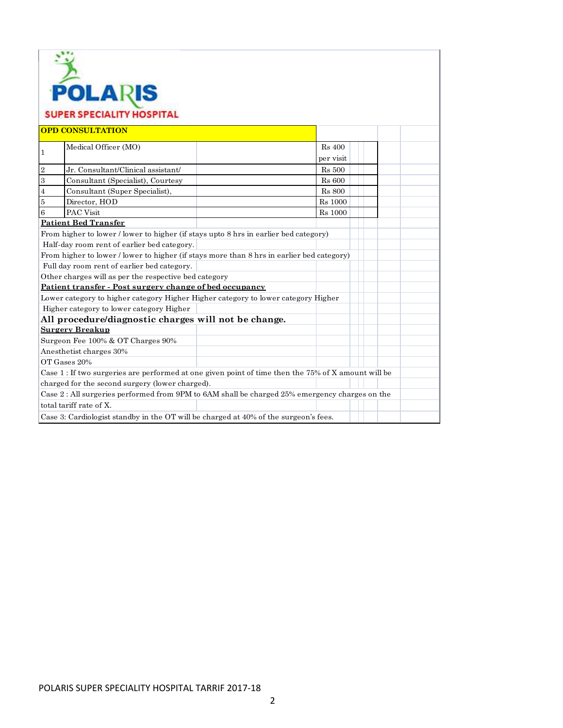|                | <b>POLARIS</b>                                                                                      |                |
|----------------|-----------------------------------------------------------------------------------------------------|----------------|
|                |                                                                                                     |                |
|                | <b>SUPER SPECIALITY HOSPITAL</b>                                                                    |                |
|                |                                                                                                     |                |
|                | <b>OPD CONSULTATION</b>                                                                             |                |
|                | Medical Officer (MO)                                                                                | <b>Rs</b> 400  |
| $\mathbf{1}$   |                                                                                                     | per visit      |
| $\,2$          | Jr. Consultant/Clinical assistant/                                                                  | <b>Rs</b> 500  |
| $\,3\,$        | Consultant (Specialist), Courtesy                                                                   | <b>Rs</b> 600  |
| $\bf{4}$       | Consultant (Super Specialist),                                                                      | <b>Rs</b> 800  |
| $\overline{5}$ | Director, HOD                                                                                       | <b>Rs</b> 1000 |
| 6              | <b>PAC Visit</b>                                                                                    | <b>Rs</b> 1000 |
|                | <b>Patient Bed Transfer</b>                                                                         |                |
|                | From higher to lower / lower to higher (if stays upto 8 hrs in earlier bed category)                |                |
|                | Half-day room rent of earlier bed category.                                                         |                |
|                | From higher to lower / lower to higher (if stays more than 8 hrs in earlier bed category)           |                |
|                | Full day room rent of earlier bed category.                                                         |                |
|                | Other charges will as per the respective bed category                                               |                |
|                | Patient transfer - Post surgery change of bed occupancy                                             |                |
|                | Lower category to higher category Higher Higher category to lower category Higher                   |                |
|                | Higher category to lower category Higher                                                            |                |
|                | All procedure/diagnostic charges will not be change.                                                |                |
|                | <b>Surgery Breakup</b>                                                                              |                |
|                | Surgeon Fee 100% & OT Charges 90%                                                                   |                |
|                | Anesthetist charges 30%                                                                             |                |
|                | OT Gases 20%                                                                                        |                |
|                | Case 1 : If two surgeries are performed at one given point of time then the 75% of X amount will be |                |
|                | charged for the second surgery (lower charged).                                                     |                |
|                | Case 2: All surgeries performed from 9PM to 6AM shall be charged 25% emergency charges on the       |                |
|                | total tariff rate of X.                                                                             |                |
|                | Case 3: Cardiologist standby in the OT will be charged at 40% of the surgeon's fees.                |                |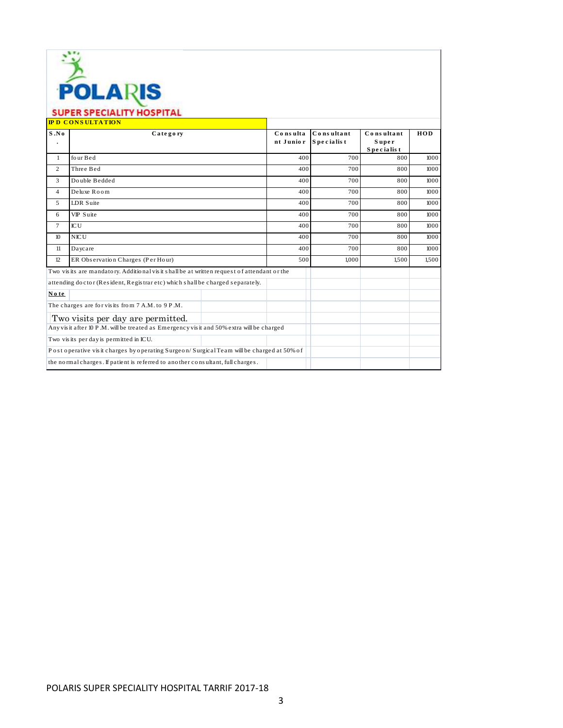| LAH<br>o<br>I,<br>13 |  |
|----------------------|--|

|                | SUPER SPECIALITY HOSPITAL<br><b>IPD CONSULTATION</b>                                       |                       |                          |                                   |       |
|----------------|--------------------------------------------------------------------------------------------|-----------------------|--------------------------|-----------------------------------|-------|
| S.No           | Category                                                                                   | Consulta<br>nt Junior | Consultant<br>Specialist | Consultant<br>Super<br>Specialist | HOD   |
| $\mathbf{1}$   | four Bed                                                                                   | 400                   | 700                      | 800                               | 1000  |
| $\overline{2}$ | Three Bed                                                                                  | 400                   | 700                      | 800                               | 1000  |
| 3              | Double Bedded                                                                              | 400                   | 700                      | 800                               | 1000  |
| $\overline{4}$ | Deluxe Room                                                                                | 400                   | 700                      | 800                               | 1000  |
| 5              | <b>LDR</b> Suite                                                                           | 400                   | 700                      | 800                               | 1000  |
| 6              | VIP Suite                                                                                  | 400                   | 700                      | 800                               | 1000  |
| $\tau$         | <b>ICU</b>                                                                                 | 400                   | 700                      | 800                               | 1000  |
| 10             | <b>NICU</b>                                                                                | 400                   | 700                      | 800                               | 1000  |
| 11             | Daycare                                                                                    | 400                   | 700                      | 800                               | 1000  |
| 12             | ER Observation Charges (Per Hour)                                                          | 500                   | 1.000                    | 1.500                             | 1.500 |
|                | Two visits are mandatory. Additional visit shall be at written request of attendant or the |                       |                          |                                   |       |
|                | attending doctor (Resident, Registraretc) which shall be charged separately.               |                       |                          |                                   |       |
| No te          |                                                                                            |                       |                          |                                   |       |
|                | The charges are for visits from 7 A.M. to 9 P.M.                                           |                       |                          |                                   |       |
|                | Two visits per day are permitted.                                                          |                       |                          |                                   |       |
|                | Any visit after 10 P.M. will be treated as Emergency visit and 50% extra will be charged   |                       |                          |                                   |       |
|                | Two visits per day is permitted in ICU.                                                    |                       |                          |                                   |       |
|                | Post operative visit charges by operating Surgeon/Surgical Team will be charged at 50% of  |                       |                          |                                   |       |
|                | the normal charges. If patient is referred to another consultant, full charges.            |                       |                          |                                   |       |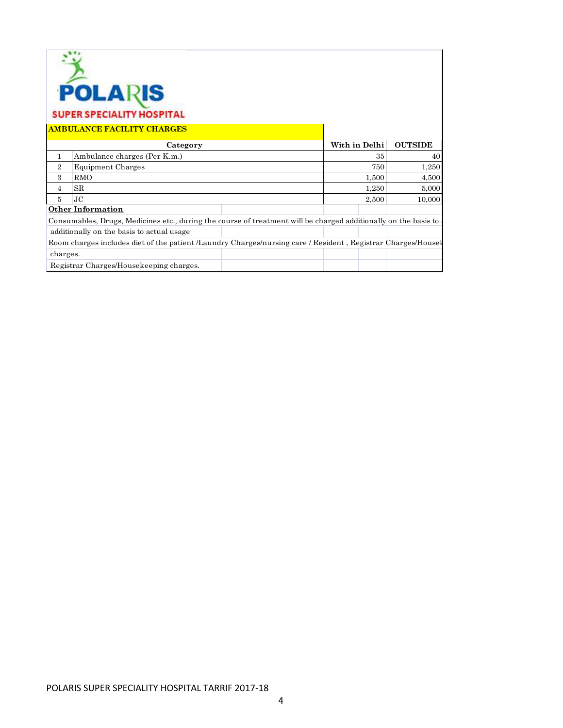|                | <b>POLARIS</b><br><b>SUPER SPECIALITY HOSPITAL</b><br><b>AMBULANCE FACILITY CHARGES</b>                         |               |                 |                |
|----------------|-----------------------------------------------------------------------------------------------------------------|---------------|-----------------|----------------|
|                | Category                                                                                                        | With in Delhi |                 | <b>OUTSIDE</b> |
| 1              | Ambulance charges (Per K.m.)                                                                                    |               | 35 <sup>1</sup> | 40             |
| $\overline{2}$ | <b>Equipment Charges</b>                                                                                        |               | 750             | 1,250          |
| 3              | <b>RMO</b>                                                                                                      |               | 1,500           | 4,500          |
| 4              | <b>SR</b>                                                                                                       |               | 1,250           | 5,000          |
| 5              | J <sub>C</sub>                                                                                                  |               | 2,500           | 10,000         |
|                | <b>Other Information</b>                                                                                        |               |                 |                |
|                | Consumables, Drugs, Medicines etc., during the course of treatment will be charged additionally on the basis to |               |                 |                |
|                | additionally on the basis to actual usage                                                                       |               |                 |                |
|                | Room charges includes diet of the patient /Laundry Charges/nursing care / Resident, Registrar Charges/Housel    |               |                 |                |
| charges.       |                                                                                                                 |               |                 |                |
|                | Registrar Charges/Housekeeping charges.                                                                         |               |                 |                |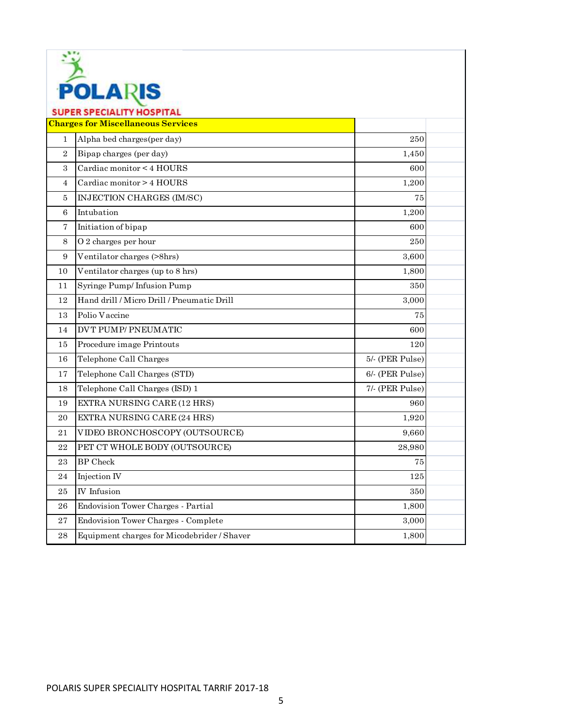| LAK<br>H<br>ч | в |
|---------------|---|

| <b>Charges for Miscellaneous Services</b><br>Alpha bed charges (per day)<br>$\mathbf{1}$<br>250<br>Bipap charges (per day)<br>$\mathbf{2}$<br>1,450<br>3<br>Cardiac monitor < 4 HOURS<br>600<br>Cardiac monitor > 4 HOURS<br>1,200<br>$\overline{4}$<br>INJECTION CHARGES (IM/SC)<br>5<br>75<br>Intubation<br>6<br>1,200<br>7<br>Initiation of bipap<br>600<br>O 2 charges per hour<br>8<br>250<br>Ventilator charges (>8hrs)<br>3,600<br>9<br>Ventilator charges (up to 8 hrs)<br>1,800<br>10<br>Syringe Pump/Infusion Pump<br>350<br>11<br>Hand drill / Micro Drill / Pneumatic Drill<br>12<br>3,000<br>Polio Vaccine<br>75<br>13<br><b>DVT PUMP/PNEUMATIC</b><br>14<br>600<br>Procedure image Printouts<br>15<br>120<br>Telephone Call Charges<br>5/- (PER Pulse)<br>16<br>Telephone Call Charges (STD)<br>6/- (PER Pulse)<br>17<br>Telephone Call Charges (ISD) 1<br>7/- (PER Pulse)<br>18<br>EXTRA NURSING CARE (12 HRS)<br>19<br>960<br>EXTRA NURSING CARE (24 HRS)<br>20<br>1,920<br>VIDEO BRONCHOSCOPY (OUTSOURCE)<br>9,660<br>21<br>PET CT WHOLE BODY (OUTSOURCE)<br>22<br>28,980<br><b>BP</b> Check<br>23<br>75<br>Injection IV<br>125<br>24<br><b>IV</b> Infusion<br>25<br>350<br>Endovision Tower Charges - Partial<br>1,800<br>26<br><b>Endovision Tower Charges - Complete</b><br>27<br>3,000<br>Equipment charges for Micodebrider / Shaver<br>28<br>1,800 | <b>SUPER SPECIALITY HOSPITAL</b> |  |
|---------------------------------------------------------------------------------------------------------------------------------------------------------------------------------------------------------------------------------------------------------------------------------------------------------------------------------------------------------------------------------------------------------------------------------------------------------------------------------------------------------------------------------------------------------------------------------------------------------------------------------------------------------------------------------------------------------------------------------------------------------------------------------------------------------------------------------------------------------------------------------------------------------------------------------------------------------------------------------------------------------------------------------------------------------------------------------------------------------------------------------------------------------------------------------------------------------------------------------------------------------------------------------------------------------------------------------------------------------------------------|----------------------------------|--|
|                                                                                                                                                                                                                                                                                                                                                                                                                                                                                                                                                                                                                                                                                                                                                                                                                                                                                                                                                                                                                                                                                                                                                                                                                                                                                                                                                                           |                                  |  |
|                                                                                                                                                                                                                                                                                                                                                                                                                                                                                                                                                                                                                                                                                                                                                                                                                                                                                                                                                                                                                                                                                                                                                                                                                                                                                                                                                                           |                                  |  |
|                                                                                                                                                                                                                                                                                                                                                                                                                                                                                                                                                                                                                                                                                                                                                                                                                                                                                                                                                                                                                                                                                                                                                                                                                                                                                                                                                                           |                                  |  |
|                                                                                                                                                                                                                                                                                                                                                                                                                                                                                                                                                                                                                                                                                                                                                                                                                                                                                                                                                                                                                                                                                                                                                                                                                                                                                                                                                                           |                                  |  |
|                                                                                                                                                                                                                                                                                                                                                                                                                                                                                                                                                                                                                                                                                                                                                                                                                                                                                                                                                                                                                                                                                                                                                                                                                                                                                                                                                                           |                                  |  |
|                                                                                                                                                                                                                                                                                                                                                                                                                                                                                                                                                                                                                                                                                                                                                                                                                                                                                                                                                                                                                                                                                                                                                                                                                                                                                                                                                                           |                                  |  |
|                                                                                                                                                                                                                                                                                                                                                                                                                                                                                                                                                                                                                                                                                                                                                                                                                                                                                                                                                                                                                                                                                                                                                                                                                                                                                                                                                                           |                                  |  |
|                                                                                                                                                                                                                                                                                                                                                                                                                                                                                                                                                                                                                                                                                                                                                                                                                                                                                                                                                                                                                                                                                                                                                                                                                                                                                                                                                                           |                                  |  |
|                                                                                                                                                                                                                                                                                                                                                                                                                                                                                                                                                                                                                                                                                                                                                                                                                                                                                                                                                                                                                                                                                                                                                                                                                                                                                                                                                                           |                                  |  |
|                                                                                                                                                                                                                                                                                                                                                                                                                                                                                                                                                                                                                                                                                                                                                                                                                                                                                                                                                                                                                                                                                                                                                                                                                                                                                                                                                                           |                                  |  |
|                                                                                                                                                                                                                                                                                                                                                                                                                                                                                                                                                                                                                                                                                                                                                                                                                                                                                                                                                                                                                                                                                                                                                                                                                                                                                                                                                                           |                                  |  |
|                                                                                                                                                                                                                                                                                                                                                                                                                                                                                                                                                                                                                                                                                                                                                                                                                                                                                                                                                                                                                                                                                                                                                                                                                                                                                                                                                                           |                                  |  |
|                                                                                                                                                                                                                                                                                                                                                                                                                                                                                                                                                                                                                                                                                                                                                                                                                                                                                                                                                                                                                                                                                                                                                                                                                                                                                                                                                                           |                                  |  |
|                                                                                                                                                                                                                                                                                                                                                                                                                                                                                                                                                                                                                                                                                                                                                                                                                                                                                                                                                                                                                                                                                                                                                                                                                                                                                                                                                                           |                                  |  |
|                                                                                                                                                                                                                                                                                                                                                                                                                                                                                                                                                                                                                                                                                                                                                                                                                                                                                                                                                                                                                                                                                                                                                                                                                                                                                                                                                                           |                                  |  |
|                                                                                                                                                                                                                                                                                                                                                                                                                                                                                                                                                                                                                                                                                                                                                                                                                                                                                                                                                                                                                                                                                                                                                                                                                                                                                                                                                                           |                                  |  |
|                                                                                                                                                                                                                                                                                                                                                                                                                                                                                                                                                                                                                                                                                                                                                                                                                                                                                                                                                                                                                                                                                                                                                                                                                                                                                                                                                                           |                                  |  |
|                                                                                                                                                                                                                                                                                                                                                                                                                                                                                                                                                                                                                                                                                                                                                                                                                                                                                                                                                                                                                                                                                                                                                                                                                                                                                                                                                                           |                                  |  |
|                                                                                                                                                                                                                                                                                                                                                                                                                                                                                                                                                                                                                                                                                                                                                                                                                                                                                                                                                                                                                                                                                                                                                                                                                                                                                                                                                                           |                                  |  |
|                                                                                                                                                                                                                                                                                                                                                                                                                                                                                                                                                                                                                                                                                                                                                                                                                                                                                                                                                                                                                                                                                                                                                                                                                                                                                                                                                                           |                                  |  |
|                                                                                                                                                                                                                                                                                                                                                                                                                                                                                                                                                                                                                                                                                                                                                                                                                                                                                                                                                                                                                                                                                                                                                                                                                                                                                                                                                                           |                                  |  |
|                                                                                                                                                                                                                                                                                                                                                                                                                                                                                                                                                                                                                                                                                                                                                                                                                                                                                                                                                                                                                                                                                                                                                                                                                                                                                                                                                                           |                                  |  |
|                                                                                                                                                                                                                                                                                                                                                                                                                                                                                                                                                                                                                                                                                                                                                                                                                                                                                                                                                                                                                                                                                                                                                                                                                                                                                                                                                                           |                                  |  |
|                                                                                                                                                                                                                                                                                                                                                                                                                                                                                                                                                                                                                                                                                                                                                                                                                                                                                                                                                                                                                                                                                                                                                                                                                                                                                                                                                                           |                                  |  |
|                                                                                                                                                                                                                                                                                                                                                                                                                                                                                                                                                                                                                                                                                                                                                                                                                                                                                                                                                                                                                                                                                                                                                                                                                                                                                                                                                                           |                                  |  |
|                                                                                                                                                                                                                                                                                                                                                                                                                                                                                                                                                                                                                                                                                                                                                                                                                                                                                                                                                                                                                                                                                                                                                                                                                                                                                                                                                                           |                                  |  |
|                                                                                                                                                                                                                                                                                                                                                                                                                                                                                                                                                                                                                                                                                                                                                                                                                                                                                                                                                                                                                                                                                                                                                                                                                                                                                                                                                                           |                                  |  |
|                                                                                                                                                                                                                                                                                                                                                                                                                                                                                                                                                                                                                                                                                                                                                                                                                                                                                                                                                                                                                                                                                                                                                                                                                                                                                                                                                                           |                                  |  |
|                                                                                                                                                                                                                                                                                                                                                                                                                                                                                                                                                                                                                                                                                                                                                                                                                                                                                                                                                                                                                                                                                                                                                                                                                                                                                                                                                                           |                                  |  |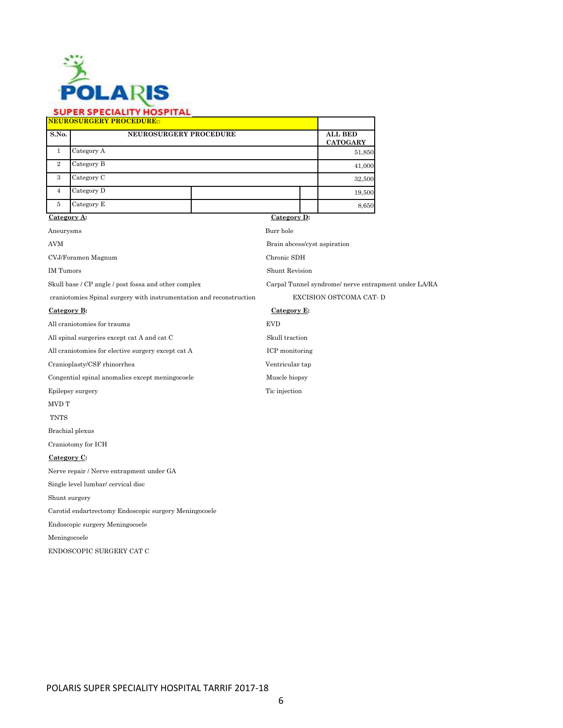

|                | <b>NEUROSURGERY PROCEDURE</b> |  |                                   |
|----------------|-------------------------------|--|-----------------------------------|
| S.No.          | <b>NEUROSURGERY PROCEDURE</b> |  | <b>ALL BED</b><br><b>CATOGARY</b> |
|                | Category A                    |  | 51,850                            |
| $\mathbf{2}$   | Category B                    |  | 41,000                            |
| 3              | Category C                    |  | 32,500                            |
| $\overline{4}$ | Category D                    |  | 19,500                            |
| 5              | Category E                    |  | 8,650                             |

**Category A: Category D:**

Aneurysms Burr hole

AVM Brain abcess/cyst aspiration

CVJ/Foramen Magnum Chronic SDH

IM Tumors Shunt Revision

Skull base / CP angle / post fossa and other complex Carpal Tunnel syndrome/ nerve entrapment under LA/RA

craniotomies Spinal surgery with instrumentation and reconstruction EXCISION OSTCOMA CAT- D

### Category B: Category E:

All craniotomies for trauma EVD

All spinal surgeries except cat A and cat C  $\hfill$  Skull traction

All craniotomies for elective surgery except cat A ICP monitoring

Cranioplasty/CSF rhinorrhea Ventricular tap

Congential spinal anomalies except meningocoele Muscle biopsy

Epilepsy surgery Tic injection

MVD T

TNTS

Brachial plexus

Craniotomy for ICH

**Category C:**

Nerve repair / Nerve entrapment under GA

Single level lumbar/ cervical disc

Shunt surgery

Carotid endartrectomy Endoscopic surgery Meningocoele

Endoscopic surgery Meningocoele

Meningocoele

ENDOSCOPIC SURGERY CAT C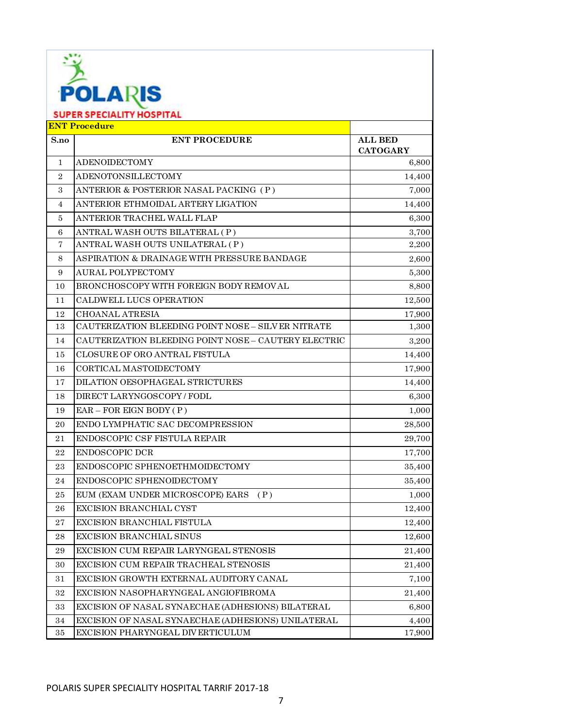|                | <b>POLARIS</b>                                           |                 |  |  |
|----------------|----------------------------------------------------------|-----------------|--|--|
|                | <b>SUPER SPECIALITY HOSPITAL</b><br><b>ENT Procedure</b> |                 |  |  |
| S.no           | <b>ENT PROCEDURE</b>                                     | <b>ALL BED</b>  |  |  |
|                |                                                          | <b>CATOGARY</b> |  |  |
| 1              | <b>ADENOIDECTOMY</b>                                     | 6,800           |  |  |
| $\overline{2}$ | ADENOTONSILLECTOMY                                       | 14,400          |  |  |
| 3              | ANTERIOR & POSTERIOR NASAL PACKING (P)                   | 7,000           |  |  |
| 4              | ANTERIOR ETHMOIDAL ARTERY LIGATION                       | 14,400          |  |  |
| 5              | ANTERIOR TRACHEL WALL FLAP                               | 6,300           |  |  |
| 6              | ANTRAL WASH OUTS BILATERAL (P)                           | 3,700           |  |  |
| 7              | ANTRAL WASH OUTS UNILATERAL (P)                          | 2,200           |  |  |
| 8              | ASPIRATION & DRAINAGE WITH PRESSURE BANDAGE              | 2,600           |  |  |
| 9              | AURAL POLYPECTOMY                                        | 5,300           |  |  |
| 10             | <b>BRONCHOSCOPY WITH FOREIGN BODY REMOVAL</b>            | 8,800           |  |  |
| 11             | CALDWELL LUCS OPERATION                                  | 12,500          |  |  |
| 12             | <b>CHOANAL ATRESIA</b>                                   | 17,900          |  |  |
| 13             | CAUTERIZATION BLEEDING POINT NOSE - SILVER NITRATE       | 1,300           |  |  |
| 14             | CAUTERIZATION BLEEDING POINT NOSE - CAUTERY ELECTRIC     | 3,200           |  |  |
| 15             | <b>CLOSURE OF ORO ANTRAL FISTULA</b>                     | 14,400          |  |  |
| 16             | CORTICAL MASTOIDECTOMY                                   | 17,900          |  |  |
| 17             | DILATION OESOPHAGEAL STRICTURES                          | 14,400          |  |  |
| 18             | DIRECT LARYNGOSCOPY / FODL                               | 6,300           |  |  |
| 19             | $EAR - FOR EIGN BODY (P)$                                | 1,000           |  |  |
| 20             | ENDO LYMPHATIC SAC DECOMPRESSION                         | 28,500          |  |  |
| 21             | ENDOSCOPIC CSF FISTULA REPAIR                            | 29,700          |  |  |
| 22             | <b>ENDOSCOPIC DCR</b>                                    | 17,700          |  |  |
| 23             | ENDOSCOPIC SPHENOETHMOIDECTOMY                           | 35,400          |  |  |
| 24             | ENDOSCOPIC SPHENOIDECTOMY                                | 35,400          |  |  |
| 25             | EUM (EXAM UNDER MICROSCOPE) EARS<br>(P)                  | 1,000           |  |  |
| 26             | EXCISION BRANCHIAL CYST                                  | 12,400          |  |  |
| 27             | EXCISION BRANCHIAL FISTULA                               | 12,400          |  |  |
| 28             | <b>EXCISION BRANCHIAL SINUS</b>                          | 12,600          |  |  |
| 29             | EXCISION CUM REPAIR LARYNGEAL STENOSIS                   | 21,400          |  |  |
| 30             | EXCISION CUM REPAIR TRACHEAL STENOSIS                    | 21,400          |  |  |
| 31             | EXCISION GROWTH EXTERNAL AUDITORY CANAL                  | 7,100           |  |  |
| 32             | EXCISION NASOPHARYNGEAL ANGIOFIBROMA                     | 21,400          |  |  |
| 33             | EXCISION OF NASAL SYNAECHAE (ADHESIONS) BILATERAL        | 6,800           |  |  |
| 34             | EXCISION OF NASAL SYNAECHAE (ADHESIONS) UNILATERAL       | 4,400           |  |  |
| 35             | EXCISION PHARYNGEAL DIVERTICULUM                         | 17,900          |  |  |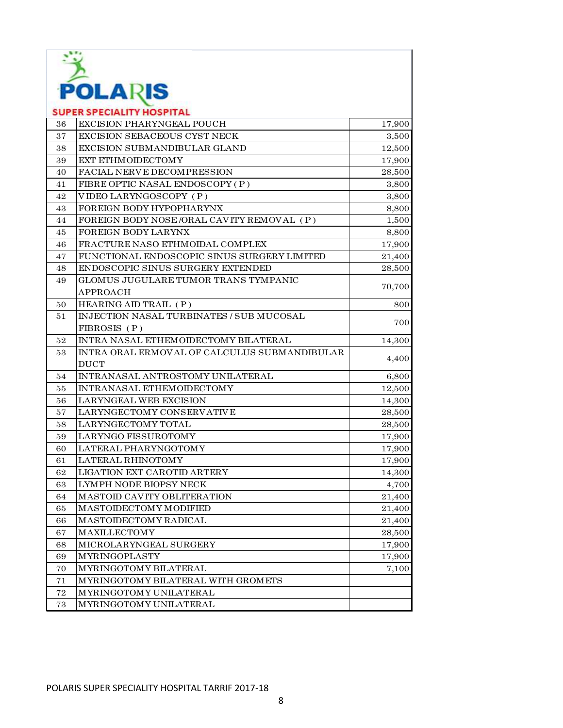

|    | <b>SUPER SPECIALITY HOSPITAL</b>             |        |
|----|----------------------------------------------|--------|
| 36 | <b>EXCISION PHARYNGEAL POUCH</b>             | 17,900 |
| 37 | EXCISION SEBACEOUS CYST NECK                 | 3,500  |
| 38 | EXCISION SUBMANDIBULAR GLAND                 | 12,500 |
| 39 | <b>EXT ETHMOIDECTOMY</b>                     | 17,900 |
| 40 | <b>FACIAL NERVE DECOMPRESSION</b>            | 28,500 |
| 41 | FIBRE OPTIC NASAL ENDOSCOPY (P)              | 3,800  |
| 42 | VIDEO LARYNGOSCOPY (P)                       | 3,800  |
| 43 | FOREIGN BODY HYPOPHARYNX                     | 8,800  |
| 44 | FOREIGN BODY NOSE/ORAL CAVITY REMOVAL (P)    | 1,500  |
| 45 | FOREIGN BODY LARYNX                          | 8,800  |
| 46 | FRACTURE NASO ETHMOIDAL COMPLEX              | 17,900 |
| 47 | FUNCTIONAL ENDOSCOPIC SINUS SURGERY LIMITED  | 21,400 |
| 48 | ENDOSCOPIC SINUS SURGERY EXTENDED            | 28,500 |
| 49 | GLOMUS JUGULARE TUMOR TRANS TYMPANIC         |        |
|    | <b>APPROACH</b>                              | 70,700 |
| 50 | HEARING AID TRAIL (P)                        | 800    |
| 51 | INJECTION NASAL TURBINATES / SUB MUCOSAL     |        |
|    | FIBROSIS (P)                                 | 700    |
| 52 | INTRA NASAL ETHEMOIDECTOMY BILATERAL         | 14,300 |
| 53 | INTRA ORAL ERMOVAL OF CALCULUS SUBMANDIBULAR |        |
|    | <b>DUCT</b>                                  | 4,400  |
| 54 | INTRANASAL ANTROSTOMY UNILATERAL             | 6,800  |
| 55 | INTRANASAL ETHEMOIDECTOMY                    | 12,500 |
| 56 | <b>LARYNGEAL WEB EXCISION</b>                | 14,300 |
| 57 | LARYNGECTOMY CONSERVATIVE                    | 28,500 |
| 58 | LARYNGECTOMY TOTAL                           | 28,500 |
| 59 | LARYNGO FISSUROTOMY                          | 17,900 |
| 60 | LATERAL PHARYNGOTOMY                         | 17,900 |
| 61 | <b>LATERAL RHINOTOMY</b>                     | 17,900 |
| 62 | LIGATION EXT CAROTID ARTERY                  | 14,300 |
| 63 | LYMPH NODE BIOPSY NECK                       | 4,700  |
| 64 | MASTOID CAVITY OBLITERATION                  | 21,400 |
| 65 | MASTOIDECTOMY MODIFIED                       | 21,400 |
| 66 | MASTOIDECTOMY RADICAL                        | 21,400 |
| 67 | <b>MAXILLECTOMY</b>                          | 28,500 |
| 68 | MICROLARYNGEAL SURGERY                       | 17,900 |
| 69 | <b>MYRINGOPLASTY</b>                         | 17,900 |
| 70 | MYRINGOTOMY BILATERAL                        | 7,100  |
| 71 | MYRINGOTOMY BILATERAL WITH GROMETS           |        |
| 72 | MYRINGOTOMY UNILATERAL                       |        |
| 73 | MYRINGOTOMY UNILATERAL                       |        |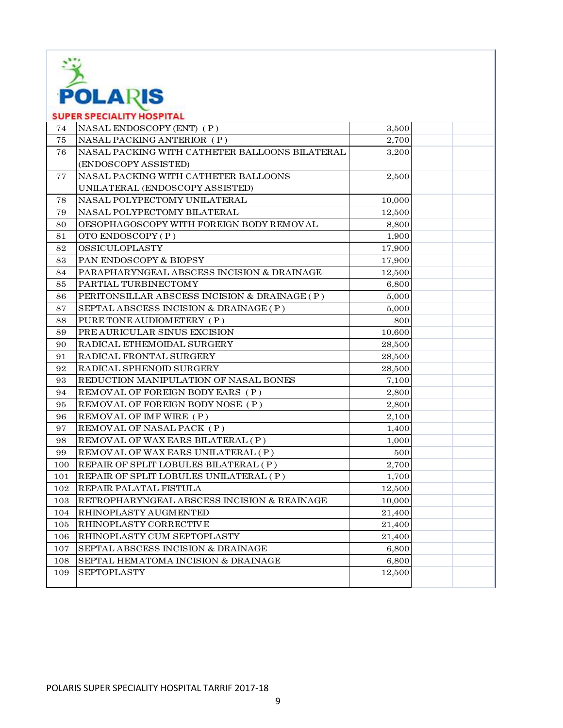

| <b>POLARIS</b> |                                                |        |  |  |
|----------------|------------------------------------------------|--------|--|--|
|                | <b>SUPER SPECIALITY HOSPITAL</b>               |        |  |  |
| 74             | NASAL ENDOSCOPY (ENT) (P)                      | 3,500  |  |  |
| 75             | NASAL PACKING ANTERIOR (P)                     | 2,700  |  |  |
| 76             | NASAL PACKING WITH CATHETER BALLOONS BILATERAL | 3,200  |  |  |
|                | (ENDOSCOPY ASSISTED)                           |        |  |  |
| 77             | NASAL PACKING WITH CATHETER BALLOONS           | 2,500  |  |  |
|                | UNILATERAL (ENDOSCOPY ASSISTED)                |        |  |  |
| 78             | NASAL POLYPECTOMY UNILATERAL                   | 10,000 |  |  |
| 79             | NASAL POLYPECTOMY BILATERAL                    | 12,500 |  |  |
| 80             | OESOPHAGOSCOPY WITH FOREIGN BODY REMOVAL       | 8,800  |  |  |
| 81             | OTO ENDOSCOPY (P)                              | 1,900  |  |  |
| 82             | OSSICULOPLASTY                                 | 17,900 |  |  |
| 83             | PAN ENDOSCOPY & BIOPSY                         | 17,900 |  |  |
| 84             | PARAPHARYNGEAL ABSCESS INCISION & DRAINAGE     | 12,500 |  |  |
| 85             | PARTIAL TURBINECTOMY                           | 6,800  |  |  |
| 86             | PERITONSILLAR ABSCESS INCISION & DRAINAGE (P)  | 5,000  |  |  |
| 87             | SEPTAL ABSCESS INCISION & DRAINAGE (P)         | 5,000  |  |  |
| 88             | PURE TONE AUDIOMETERY (P)                      | 800    |  |  |
| 89             | PREAURICULAR SINUS EXCISION                    | 10,600 |  |  |
| 90             | RADICAL ETHEMOIDAL SURGERY                     | 28,500 |  |  |
| 91             | RADICAL FRONTAL SURGERY                        | 28,500 |  |  |
| 92             | RADICAL SPHENOID SURGERY                       | 28,500 |  |  |
| 93             | REDUCTION MANIPULATION OF NASAL BONES          | 7,100  |  |  |
| 94             | REMOVAL OF FOREIGN BODY EARS (P)               | 2,800  |  |  |
| 95             | REMOVAL OF FOREIGN BODY NOSE (P)               | 2,800  |  |  |
| 96             | REMOVAL OF IMF WIRE (P)                        | 2,100  |  |  |
| 97             | REMOVAL OF NASAL PACK (P)                      | 1,400  |  |  |
| 98             | REMOVAL OF WAX EARS BILATERAL (P)              | 1,000  |  |  |
| 99             | REMOVAL OF WAX EARS UNILATERAL (P)             | 500    |  |  |
| 100            | REPAIR OF SPLIT LOBULES BILATERAL (P)          | 2,700  |  |  |
| 101            | REPAIR OF SPLIT LOBULES UNILATERAL (P)         | 1,700  |  |  |
| 102            | REPAIR PALATAL FISTULA                         | 12,500 |  |  |
| 103            | RETROPHARYNGEAL ABSCESS INCISION & REAINAGE    | 10,000 |  |  |
| 104            | RHINOPLASTY AUGMENTED                          | 21,400 |  |  |
| 105            | RHINOPLASTY CORRECTIVE                         | 21,400 |  |  |
| 106            | RHINOPLASTY CUM SEPTOPLASTY                    | 21,400 |  |  |
| 107            | SEPTAL ABSCESS INCISION & DRAINAGE             | 6,800  |  |  |
| 108            | SEPTAL HEMATOMA INCISION & DRAINAGE            | 6,800  |  |  |
| 109            | <b>SEPTOPLASTY</b>                             | 12,500 |  |  |
|                |                                                |        |  |  |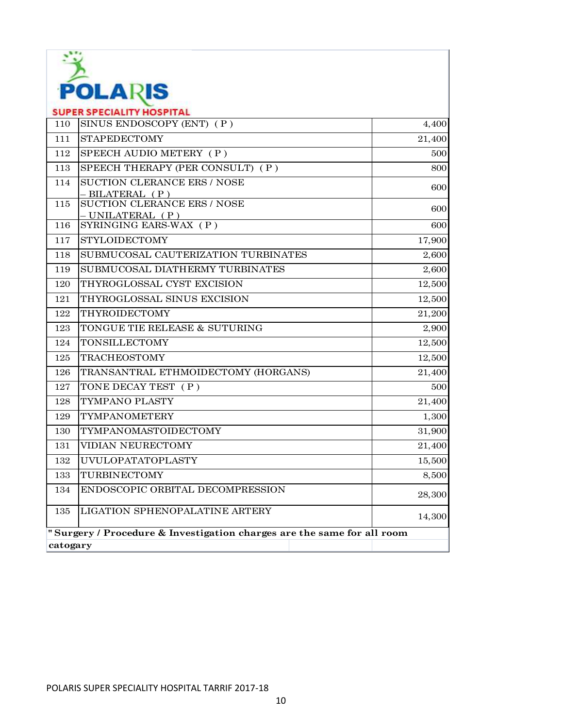

| ____<br><b>SUPER SPECIALITY HOSPITAL</b> |                                                                        |        |
|------------------------------------------|------------------------------------------------------------------------|--------|
| 110                                      | SINUS ENDOSCOPY (ENT) (P)                                              | 4,400  |
| 111                                      | <b>STAPEDECTOMY</b>                                                    | 21,400 |
| 112                                      | SPEECH AUDIO METERY (P)                                                | 500    |
| 113                                      | SPEECH THERAPY (PER CONSULT) (P)                                       | 800    |
| 114                                      | SUCTION CLERANCE ERS / NOSE<br>- BILATERAL (P)                         | 600    |
| $115\,$                                  | <b>SUCTION CLERANCE ERS / NOSE</b><br>- UNILATERAL (P)                 | 600    |
| 116                                      | SYRINGING EARS-WAX (P)                                                 | 600    |
| 117                                      | <b>STYLOIDECTOMY</b>                                                   | 17,900 |
| 118                                      | SUBMUCOSAL CAUTERIZATION TURBINATES                                    | 2,600  |
| 119                                      | SUBMUCOSAL DIATHERMY TURBINATES                                        | 2,600  |
| 120                                      | THYROGLOSSAL CYST EXCISION                                             | 12,500 |
| 121                                      | THYROGLOSSAL SINUS EXCISION                                            | 12,500 |
| 122                                      | THYROIDECTOMY                                                          | 21,200 |
| 123                                      | TONGUE TIE RELEASE & SUTURING                                          | 2,900  |
| 124                                      | <b>TONSILLECTOMY</b>                                                   | 12,500 |
| 125                                      | <b>TRACHEOSTOMY</b>                                                    | 12,500 |
| 126                                      | TRANSANTRAL ETHMOIDECTOMY (HORGANS)                                    | 21,400 |
| 127                                      | TONE DECAY TEST (P)                                                    | 500    |
| 128                                      | TYMPANO PLASTY                                                         | 21,400 |
| 129                                      | <b>TYMPANOMETERY</b>                                                   | 1,300  |
| 130                                      | TYMPANOMASTOIDECTOMY                                                   | 31,900 |
| 131                                      | VIDIAN NEURECTOMY                                                      | 21,400 |
| 132                                      | <b>UVULOPATATOPLASTY</b>                                               | 15,500 |
| 133                                      | TURBINECTOMY                                                           | 8,500  |
| 134                                      | ENDOSCOPIC ORBITAL DECOMPRESSION                                       | 28,300 |
| 135                                      | <b>LIGATION SPHENOPALATINE ARTERY</b>                                  | 14,300 |
|                                          | "Surgery / Procedure & Investigation charges are the same for all room |        |
| catogary                                 |                                                                        |        |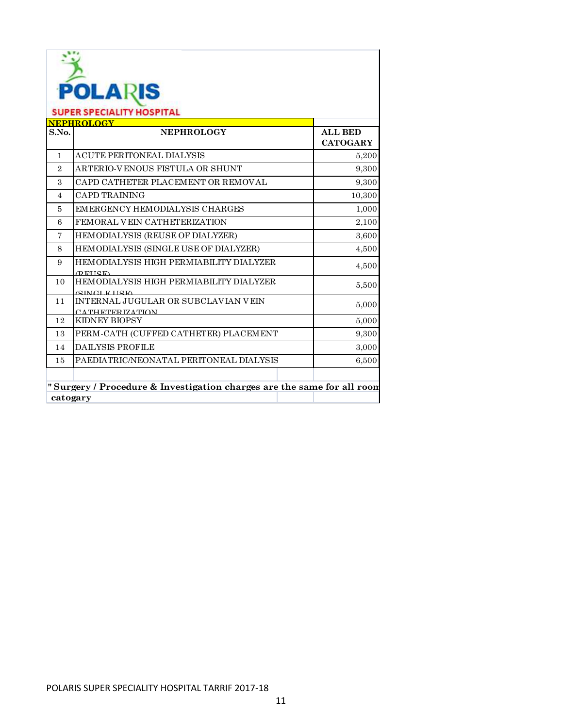| <b>POLARIS</b><br><b>SUPER SPECIALITY HOSPITAL</b>                                 |                                                                              |                                   |
|------------------------------------------------------------------------------------|------------------------------------------------------------------------------|-----------------------------------|
| S.No.                                                                              | <b>NEPHROLOGY</b><br>NEPHROLOGY                                              | <b>ALL BED</b><br><b>CATOGARY</b> |
| $\mathbf{1}$                                                                       | <b>ACUTE PERITONEAL DIALYSIS</b>                                             | 5,200                             |
| $\overline{2}$                                                                     | ARTERIO-VENOUS FISTULA OR SHUNT                                              | 9.300                             |
| $\mathcal{S}$                                                                      | CAPD CATHETER PLACEMENT OR REMOVAL                                           | 9,300                             |
| $\overline{4}$                                                                     | <b>CAPD TRAINING</b>                                                         | 10,300                            |
| $\overline{5}$                                                                     | <b>EMERGENCY HEMODIALYSIS CHARGES</b>                                        | 1,000                             |
| 6                                                                                  | FEMORAL VEIN CATHETERIZATION                                                 |                                   |
|                                                                                    |                                                                              | 2,100                             |
| 7                                                                                  | HEMODIALYSIS (REUSE OF DIALYZER)                                             | 3,600                             |
| 8                                                                                  | HEMODIALYSIS (SINGLE USE OF DIALYZER)                                        | 4,500                             |
| 9                                                                                  | HEMODIALYSIS HIGH PERMIABILITY DIALYZER<br>(REHSE)                           | 4,500                             |
| 10                                                                                 | <b>HEMODIALYSIS HIGH PERMIABILITY DIALYZER</b><br><b><i>(SINGLETISE)</i></b> | 5,500                             |
| 11                                                                                 | INTERNAL JUGULAR OR SUBCLAVIAN VEIN<br>CATHETERIZATION                       | 5,000                             |
| 12                                                                                 | <b>KIDNEY BIOPSY</b>                                                         | 5,000                             |
| 13                                                                                 | PERM-CATH (CUFFED CATHETER) PLACEMENT                                        | 9,300                             |
| 14                                                                                 | <b>DAILYSIS PROFILE</b>                                                      | 3,000                             |
| 15                                                                                 | PAEDIATRIC/NEONATAL PERITONEAL DIALYSIS                                      | 6,500                             |
| "Surgery / Procedure & Investigation charges are the same for all room<br>catogary |                                                                              |                                   |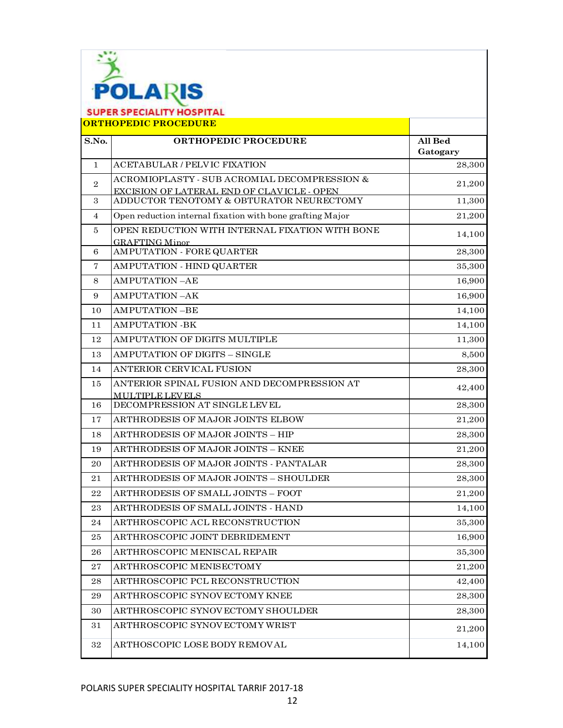

**ORTHOPEDIC PROCEDURE**

| S.No.          | ORTHOPEDIC PROCEDURE                                                     | All Bed<br>Gatogary |
|----------------|--------------------------------------------------------------------------|---------------------|
| $\mathbf{1}$   | <b>ACETABULAR / PELVIC FIXATION</b>                                      | 28,300              |
|                | ACROMIOPLASTY - SUB ACROMIAL DECOMPRESSION &                             |                     |
| $\overline{2}$ | <b>EXCISION OF LATERAL END OF CLAVICLE - OPEN</b>                        | 21,200              |
| 3              | ADDUCTOR TENOTOMY & OBTURATOR NEURECTOMY                                 | 11,300              |
| $\overline{4}$ | Open reduction internal fixation with bone grafting Major                | 21,200              |
| 5              | OPEN REDUCTION WITH INTERNAL FIXATION WITH BONE<br><b>GRAFTING Minor</b> | 14,100              |
| 6              | AMPUTATION - FORE QUARTER                                                | 28,300              |
| 7              | AMPUTATION - HIND QUARTER                                                | 35,300              |
| 8              | <b>AMPUTATION-AE</b>                                                     | 16,900              |
| 9              | <b>AMPUTATION-AK</b>                                                     | 16,900              |
| 10             | <b>AMPUTATION-BE</b>                                                     | 14,100              |
| 11             | <b>AMPUTATION -BK</b>                                                    | 14,100              |
| 12             | AMPUTATION OF DIGITS MULTIPLE                                            | 11,300              |
| 13             | AMPUTATION OF DIGITS - SINGLE                                            | 8,500               |
| 14             | ANTERIOR CERVICAL FUSION                                                 | 28,300              |
| 15             | ANTERIOR SPINAL FUSION AND DECOMPRESSION AT                              | 42,400              |
| 16             | MULTIPLE LEVELS<br>DECOMPRESSION AT SINGLE LEVEL                         | 28,300              |
| 17             | ARTHRODESIS OF MAJOR JOINTS ELBOW                                        | 21,200              |
| 18             | ARTHRODESIS OF MAJOR JOINTS - HIP                                        | 28,300              |
| 19             | ARTHRODESIS OF MAJOR JOINTS - KNEE                                       | 21,200              |
| 20             | ARTHRODESIS OF MAJOR JOINTS - PANTALAR                                   | 28,300              |
| 21             | ARTHRODESIS OF MAJOR JOINTS - SHOULDER                                   | 28,300              |
| 22             | ARTHRODESIS OF SMALL JOINTS - FOOT                                       | 21,200              |
| 23             | ARTHRODESIS OF SMALL JOINTS - HAND                                       | 14,100              |
| 24             | ARTHROSCOPIC ACL RECONSTRUCTION                                          | 35,300              |
| 25             | ARTHROSCOPIC JOINT DEBRIDEMENT                                           | 16,900              |
| 26             | ARTHROSCOPIC MENISCAL REPAIR                                             | 35,300              |
| 27             | ARTHROSCOPIC MENISECTOMY                                                 | 21,200              |
| 28             | ARTHROSCOPIC PCL RECONSTRUCTION                                          | 42,400              |
| 29             | ARTHROSCOPIC SYNOVECTOMY KNEE                                            | 28,300              |
| 30             | ARTHROSCOPIC SYNOVECTOMY SHOULDER                                        | 28,300              |
| 31             | ARTHROSCOPIC SYNOV ECTOMY WRIST                                          | 21,200              |
| $32\,$         | ARTHOSCOPIC LOSE BODY REMOVAL                                            | 14,100              |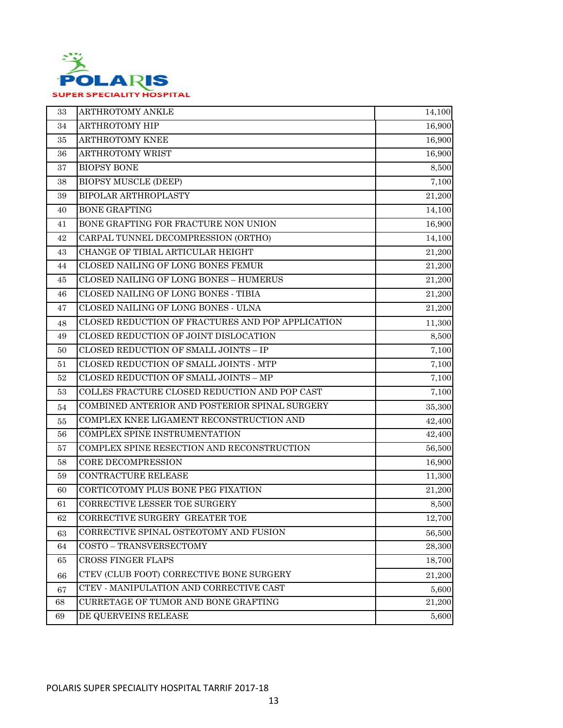

| 33 | ARTHROTOMY ANKLE                                  | 14,100 |
|----|---------------------------------------------------|--------|
| 34 | ARTHROTOMY HIP                                    | 16,900 |
| 35 | ARTHROTOMY KNEE                                   | 16,900 |
| 36 | ARTHROTOMY WRIST                                  | 16,900 |
| 37 | <b>BIOPSY BONE</b>                                | 8,500  |
| 38 | <b>BIOPSY MUSCLE (DEEP)</b>                       | 7,100  |
| 39 | BIPOLAR ARTHROPLASTY                              | 21,200 |
| 40 | <b>BONE GRAFTING</b>                              | 14,100 |
| 41 | BONE GRAFTING FOR FRACTURE NON UNION              | 16,900 |
| 42 | CARPAL TUNNEL DECOMPRESSION (ORTHO)               | 14,100 |
| 43 | CHANGE OF TIBIAL ARTICULAR HEIGHT                 | 21,200 |
| 44 | CLOSED NAILING OF LONG BONES FEMUR                | 21,200 |
| 45 | CLOSED NAILING OF LONG BONES - HUMERUS            | 21,200 |
| 46 | CLOSED NAILING OF LONG BONES - TIBIA              | 21,200 |
| 47 | CLOSED NAILING OF LONG BONES - ULNA               | 21,200 |
| 48 | CLOSED REDUCTION OF FRACTURES AND POP APPLICATION | 11,300 |
| 49 | CLOSED REDUCTION OF JOINT DISLOCATION             | 8,500  |
| 50 | CLOSED REDUCTION OF SMALL JOINTS - IP             | 7,100  |
| 51 | CLOSED REDUCTION OF SMALL JOINTS - MTP            | 7,100  |
| 52 | CLOSED REDUCTION OF SMALL JOINTS - MP             | 7,100  |
| 53 | COLLES FRACTURE CLOSED REDUCTION AND POP CAST     | 7,100  |
| 54 | COMBINED ANTERIOR AND POSTERIOR SPINAL SURGERY    | 35,300 |
| 55 | COMPLEX KNEE LIGAMENT RECONSTRUCTION AND          | 42,400 |
| 56 | COMPLEX SPINE INSTRUMENTATION                     | 42,400 |
| 57 | COMPLEX SPINE RESECTION AND RECONSTRUCTION        | 56,500 |
| 58 | <b>CORE DECOMPRESSION</b>                         | 16,900 |
| 59 | CONTRACTURE RELEASE                               | 11,300 |
| 60 | CORTICOTOMY PLUS BONE PEG FIXATION                | 21,200 |
| 61 | CORRECTIVE LESSER TOE SURGERY                     | 8,500  |
| 62 | CORRECTIVE SURGERY GREATER TOE                    | 12,700 |
| 63 | CORRECTIVE SPINAL OSTEOTOMY AND FUSION            | 56,500 |
| 64 | COSTO - TRANSVERSECTOMY                           | 28,300 |
| 65 | CROSS FINGER FLAPS                                | 18,700 |
| 66 | CTEV (CLUB FOOT) CORRECTIVE BONE SURGERY          | 21,200 |
| 67 | CTEV - MANIPULATION AND CORRECTIVE CAST           | 5,600  |
| 68 | CURRETAGE OF TUMOR AND BONE GRAFTING              | 21,200 |
| 69 | DE QUERVEINS RELEASE                              | 5,600  |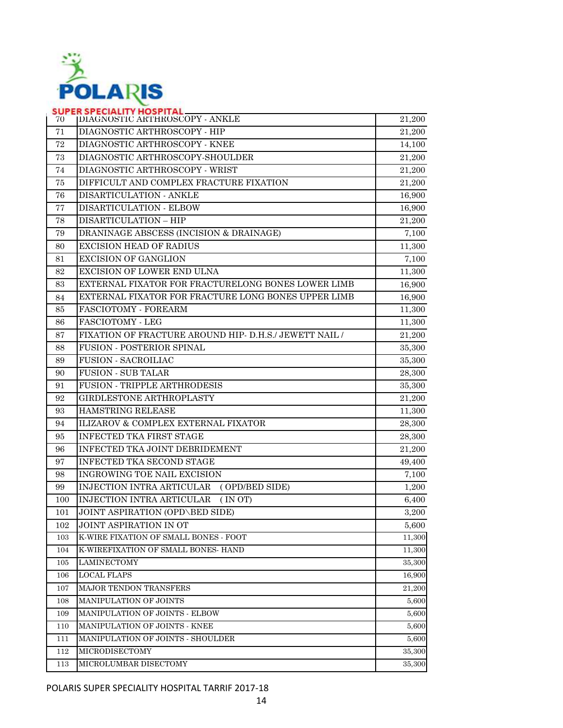

| 70  | SUPER SPECIALITY HOSPITAL<br><b>IDIAGNOSTIC ARTHROSCOPY - ANKLE</b> | 21,200 |
|-----|---------------------------------------------------------------------|--------|
| 71  | DIAGNOSTIC ARTHROSCOPY - HIP                                        | 21,200 |
| 72  | DIAGNOSTIC ARTHROSCOPY - KNEE                                       | 14,100 |
| 73  | DIAGNOSTIC ARTHROSCOPY-SHOULDER                                     | 21,200 |
| 74  | DIAGNOSTIC ARTHROSCOPY - WRIST                                      | 21,200 |
| 75  | DIFFICULT AND COMPLEX FRACTURE FIXATION                             | 21,200 |
| 76  | DISARTICULATION - ANKLE                                             | 16,900 |
| 77  | DISARTICULATION - ELBOW                                             | 16,900 |
| 78  | DISARTICULATION - HIP                                               | 21,200 |
| 79  | DRANINAGE ABSCESS (INCISION & DRAINAGE)                             | 7,100  |
| 80  | <b>EXCISION HEAD OF RADIUS</b>                                      | 11,300 |
| 81  | <b>EXCISION OF GANGLION</b>                                         | 7,100  |
| 82  | <b>EXCISION OF LOWER END ULNA</b>                                   | 11,300 |
| 83  | EXTERNAL FIXATOR FOR FRACTURELONG BONES LOWER LIMB                  | 16,900 |
| 84  | EXTERNAL FIXATOR FOR FRACTURE LONG BONES UPPER LIMB                 | 16,900 |
| 85  | FASCIOTOMY - FOREARM                                                | 11,300 |
| 86  | <b>FASCIOTOMY - LEG</b>                                             | 11,300 |
| 87  | FIXATION OF FRACTURE AROUND HIP- D.H.S./ JEWETT NAIL /              | 21,200 |
| 88  | FUSION - POSTERIOR SPINAL                                           | 35,300 |
| 89  | <b>FUSION - SACROILIAC</b>                                          | 35,300 |
| 90  | <b>FUSION - SUB TALAR</b>                                           | 28,300 |
| 91  | FUSION - TRIPPLE ARTHRODESIS                                        | 35,300 |
| 92  | GIRDLESTONE ARTHROPLASTY                                            | 21,200 |
| 93  | HAMSTRING RELEASE                                                   | 11,300 |
| 94  | ILIZAROV & COMPLEX EXTERNAL FIXATOR                                 | 28,300 |
| 95  | <b>INFECTED TKA FIRST STAGE</b>                                     | 28,300 |
| 96  | INFECTED TKA JOINT DEBRIDEMENT                                      | 21,200 |
| 97  | INFECTED TKA SECOND STAGE                                           | 49,400 |
| 98  | INGROWING TOE NAIL EXCISION                                         | 7,100  |
| 99  | INJECTION INTRA ARTICULAR<br>(OPD/BED SIDE)                         | 1,200  |
| 100 | <b>INJECTION INTRA ARTICULAR</b><br>(IN OT)                         | 6,400  |
| 101 | JOINT ASPIRATION (OPD\BED SIDE)                                     | 3,200  |
| 102 | <b>JOINT ASPIRATION IN OT</b>                                       | 5,600  |
| 103 | K-WIRE FIXATION OF SMALL BONES - FOOT                               | 11,300 |
| 104 | K-WIREFIXATION OF SMALL BONES- HAND                                 | 11,300 |
| 105 | <b>LAMINECTOMY</b>                                                  | 35,300 |
| 106 | <b>LOCAL FLAPS</b>                                                  | 16,900 |
| 107 | <b>MAJOR TENDON TRANSFERS</b>                                       | 21,200 |
| 108 | MANIPULATION OF JOINTS                                              | 5,600  |
| 109 | MANIPULATION OF JOINTS - ELBOW                                      | 5,600  |
| 110 | MANIPULATION OF JOINTS - KNEE                                       | 5,600  |
| 111 | MANIPULATION OF JOINTS - SHOULDER                                   | 5,600  |
| 112 | MICRODISECTOMY                                                      | 35,300 |
| 113 | MICROLUMBAR DISECTOMY                                               | 35,300 |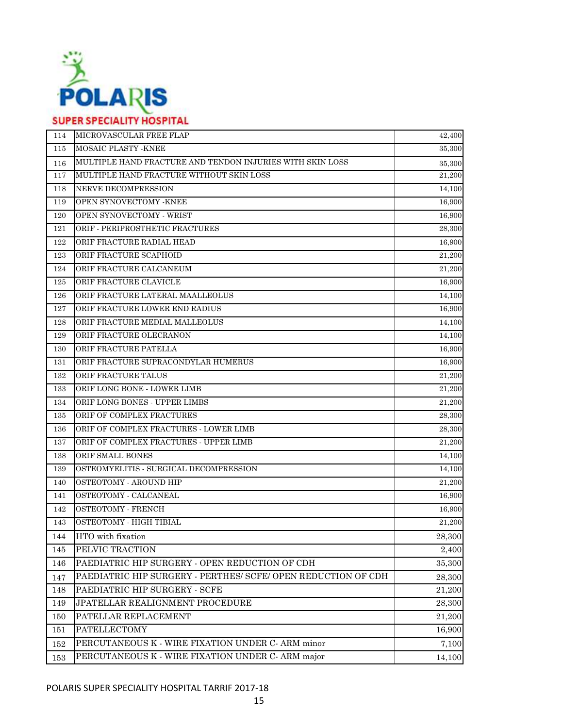

| 114 | MICROVASCULAR FREE FLAP                                       | 42,400 |
|-----|---------------------------------------------------------------|--------|
| 115 | MOSAIC PLASTY - KNEE                                          | 35,300 |
| 116 | MULTIPLE HAND FRACTURE AND TENDON INJURIES WITH SKIN LOSS     | 35,300 |
| 117 | MULTIPLE HAND FRACTURE WITHOUT SKIN LOSS                      | 21,200 |
| 118 | NERVE DECOMPRESSION                                           | 14,100 |
| 119 | OPEN SYNOVECTOMY - KNEE                                       | 16,900 |
| 120 | OPEN SYNOVECTOMY - WRIST                                      | 16,900 |
| 121 | ORIF - PERIPROSTHETIC FRACTURES                               | 28,300 |
| 122 | ORIF FRACTURE RADIAL HEAD                                     | 16,900 |
| 123 | ORIF FRACTURE SCAPHOID                                        | 21,200 |
| 124 | ORIF FRACTURE CALCANEUM                                       | 21,200 |
| 125 | ORIF FRACTURE CLAVICLE                                        | 16,900 |
| 126 | ORIF FRACTURE LATERAL MAALLEOLUS                              | 14,100 |
| 127 | ORIF FRACTURE LOWER END RADIUS                                | 16,900 |
| 128 | ORIF FRACTURE MEDIAL MALLEOLUS                                | 14,100 |
| 129 | ORIF FRACTURE OLECRANON                                       | 14,100 |
| 130 | ORIF FRACTURE PATELLA                                         | 16,900 |
| 131 | ORIF FRACTURE SUPRACONDYLAR HUMERUS                           | 16,900 |
| 132 | ORIF FRACTURE TALUS                                           | 21,200 |
| 133 | ORIF LONG BONE - LOWER LIMB                                   | 21,200 |
| 134 | ORIF LONG BONES - UPPER LIMBS                                 | 21,200 |
| 135 | ORIF OF COMPLEX FRACTURES                                     | 28,300 |
| 136 | ORIF OF COMPLEX FRACTURES - LOWER LIMB                        | 28,300 |
| 137 | ORIF OF COMPLEX FRACTURES - UPPER LIMB                        | 21,200 |
| 138 | ORIF SMALL BONES                                              | 14,100 |
| 139 | OSTEOMYELITIS - SURGICAL DECOMPRESSION                        | 14,100 |
| 140 | OSTEOTOMY - AROUND HIP                                        | 21,200 |
| 141 | OSTEOTOMY - CALCANEAL                                         | 16,900 |
| 142 | OSTEOTOMY - FRENCH                                            | 16,900 |
| 143 | OSTEOTOMY - HIGH TIBIAL                                       | 21,200 |
| 144 | HTO with fixation                                             | 28,300 |
| 145 | PELVIC TRACTION                                               | 2,400  |
| 146 | PAEDIATRIC HIP SURGERY - OPEN REDUCTION OF CDH                | 35,300 |
| 147 | PAEDIATRIC HIP SURGERY - PERTHES/ SCFE/ OPEN REDUCTION OF CDH | 28,300 |
| 148 | PAEDIATRIC HIP SURGERY - SCFE                                 | 21,200 |
| 149 | JPATELLAR REALIGNMENT PROCEDURE                               | 28,300 |
| 150 | PATELLAR REPLACEMENT                                          | 21,200 |
| 151 | <b>PATELLECTOMY</b>                                           | 16,900 |
| 152 | PERCUTANEOUS K - WIRE FIXATION UNDER C- ARM minor             | 7,100  |
| 153 | PERCUTANEOUS K - WIRE FIXATION UNDER C- ARM major             | 14,100 |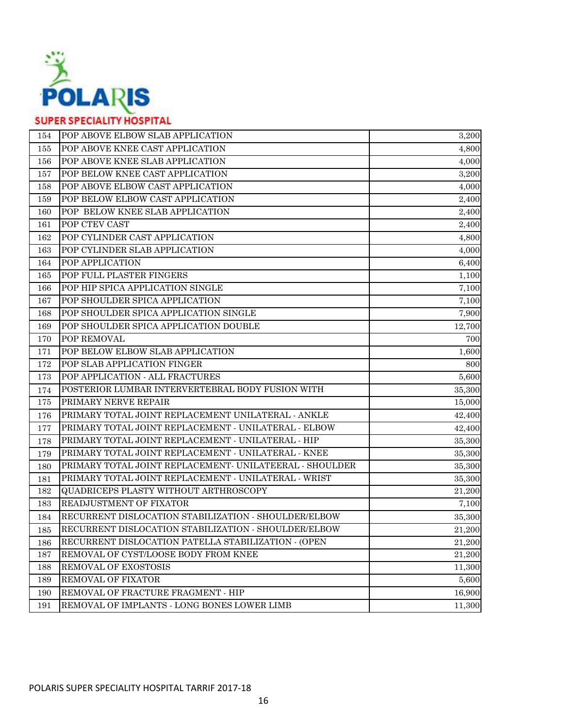

| 154 | POP ABOVE ELBOW SLAB APPLICATION                        | 3,200  |
|-----|---------------------------------------------------------|--------|
| 155 | POP ABOVE KNEE CAST APPLICATION                         | 4,800  |
| 156 | POP ABOVE KNEE SLAB APPLICATION                         | 4,000  |
| 157 | POP BELOW KNEE CAST APPLICATION                         | 3,200  |
| 158 | POP ABOVE ELBOW CAST APPLICATION                        | 4,000  |
| 159 | POP BELOW ELBOW CAST APPLICATION                        | 2,400  |
| 160 | POP BELOW KNEE SLAB APPLICATION                         | 2,400  |
| 161 | POP CTEV CAST                                           | 2,400  |
| 162 | POP CYLINDER CAST APPLICATION                           | 4,800  |
| 163 | POP CYLINDER SLAB APPLICATION                           | 4,000  |
| 164 | POP APPLICATION                                         | 6,400  |
| 165 | POP FULL PLASTER FINGERS                                | 1,100  |
| 166 | POP HIP SPICA APPLICATION SINGLE                        | 7,100  |
| 167 | POP SHOULDER SPICA APPLICATION                          | 7,100  |
| 168 | POP SHOULDER SPICA APPLICATION SINGLE                   | 7,900  |
| 169 | POP SHOULDER SPICA APPLICATION DOUBLE                   | 12,700 |
| 170 | POP REMOVAL                                             | 700    |
| 171 | POP BELOW ELBOW SLAB APPLICATION                        | 1,600  |
| 172 | POP SLAB APPLICATION FINGER                             | 800    |
| 173 | POP APPLICATION - ALL FRACTURES                         | 5,600  |
| 174 | POSTERIOR LUMBAR INTERVERTEBRAL BODY FUSION WITH        | 35,300 |
| 175 | PRIMARY NERVE REPAIR                                    | 15,000 |
| 176 | PRIMARY TOTAL JOINT REPLACEMENT UNILATERAL - ANKLE      | 42,400 |
| 177 | PRIMARY TOTAL JOINT REPLACEMENT - UNILATERAL - ELBOW    | 42,400 |
| 178 | PRIMARY TOTAL JOINT REPLACEMENT - UNILATERAL - HIP      | 35,300 |
| 179 | PRIMARY TOTAL JOINT REPLACEMENT - UNILATERAL - KNEE     | 35,300 |
| 180 | PRIMARY TOTAL JOINT REPLACEMENT- UNILATEERAL - SHOULDER | 35,300 |
| 181 | PRIMARY TOTAL JOINT REPLACEMENT - UNILATERAL - WRIST    | 35,300 |
| 182 | QUADRICEPS PLASTY WITHOUT ARTHROSCOPY                   | 21,200 |
| 183 | READJUSTMENT OF FIXATOR                                 | 7,100  |
| 184 | RECURRENT DISLOCATION STABILIZATION - SHOULDER/ELBOW    | 35,300 |
| 185 | RECURRENT DISLOCATION STABILIZATION - SHOULDER/ELBOW    | 21,200 |
| 186 | RECURRENT DISLOCATION PATELLA STABILIZATION - (OPEN     | 21,200 |
| 187 | REMOVAL OF CYST/LOOSE BODY FROM KNEE                    | 21,200 |
| 188 | REMOVAL OF EXOSTOSIS                                    | 11,300 |
| 189 | REMOVAL OF FIXATOR                                      | 5,600  |
| 190 | REMOVAL OF FRACTURE FRAGMENT - HIP                      | 16,900 |
| 191 | REMOVAL OF IMPLANTS - LONG BONES LOWER LIMB             | 11,300 |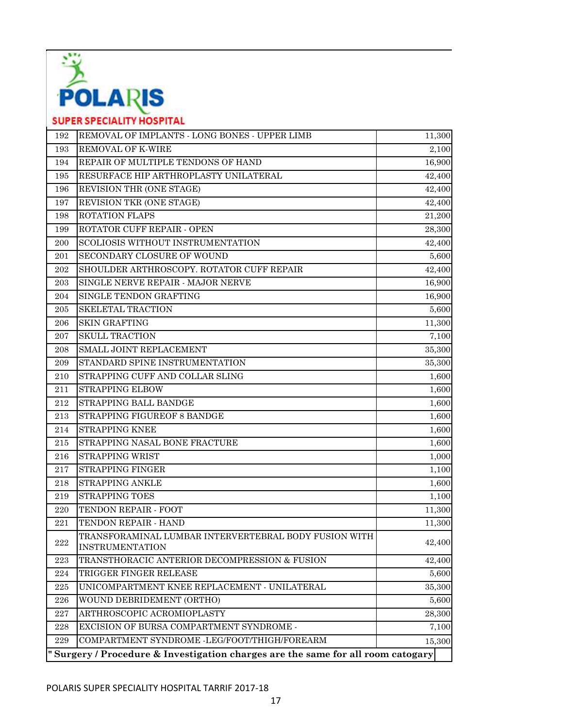

| 192     | REMOVAL OF IMPLANTS - LONG BONES - UPPER LIMB                                   | 11,300 |  |
|---------|---------------------------------------------------------------------------------|--------|--|
| 193     | REMOVAL OF K-WIRE                                                               | 2,100  |  |
| 194     | REPAIR OF MULTIPLE TENDONS OF HAND                                              | 16,900 |  |
| 195     | RESURFACE HIP ARTHROPLASTY UNILATERAL                                           | 42,400 |  |
| 196     | REVISION THR (ONE STAGE)                                                        | 42,400 |  |
| 197     | REVISION TKR (ONE STAGE)                                                        | 42,400 |  |
| 198     | ROTATION FLAPS                                                                  | 21,200 |  |
| 199     | ROTATOR CUFF REPAIR - OPEN                                                      | 28,300 |  |
| 200     | SCOLIOSIS WITHOUT INSTRUMENTATION                                               | 42,400 |  |
| 201     | SECONDARY CLOSURE OF WOUND                                                      | 5,600  |  |
| 202     | SHOULDER ARTHROSCOPY. ROTATOR CUFF REPAIR                                       | 42,400 |  |
| 203     | SINGLE NERVE REPAIR - MAJOR NERVE                                               | 16,900 |  |
| 204     | SINGLE TENDON GRAFTING                                                          | 16,900 |  |
| 205     | <b>SKELETAL TRACTION</b>                                                        | 5,600  |  |
| 206     | <b>SKIN GRAFTING</b>                                                            | 11,300 |  |
| 207     | SKULL TRACTION                                                                  | 7,100  |  |
| 208     | SMALL JOINT REPLACEMENT                                                         | 35,300 |  |
| 209     | STANDARD SPINE INSTRUMENTATION                                                  | 35,300 |  |
| 210     | STRAPPING CUFF AND COLLAR SLING                                                 | 1,600  |  |
| 211     | STRAPPING ELBOW                                                                 | 1,600  |  |
| 212     | STRAPPING BALL BANDGE                                                           | 1,600  |  |
| 213     | STRAPPING FIGUREOF 8 BANDGE                                                     | 1,600  |  |
| 214     | STRAPPING KNEE                                                                  | 1,600  |  |
| 215     | STRAPPING NASAL BONE FRACTURE                                                   | 1,600  |  |
| 216     | STRAPPING WRIST                                                                 | 1,000  |  |
| 217     | STRAPPING FINGER                                                                | 1,100  |  |
| 218     | <b>STRAPPING ANKLE</b>                                                          | 1,600  |  |
| 219     | STRAPPING TOES                                                                  | 1,100  |  |
| 220     | TENDON REPAIR - FOOT                                                            | 11,300 |  |
| 221     | TENDON REPAIR - HAND                                                            | 11,300 |  |
| 222     | TRANSFORAMINAL LUMBAR INTERVERTEBRAL BODY FUSION WITH<br><b>INSTRUMENTATION</b> | 42,400 |  |
| 223     | TRANSTHORACIC ANTERIOR DECOMPRESSION & FUSION                                   | 42,400 |  |
| 224     | TRIGGER FINGER RELEASE                                                          | 5,600  |  |
| 225     | UNICOMPARTMENT KNEE REPLACEMENT - UNILATERAL                                    | 35,300 |  |
| 226     | WOUND DEBRIDEMENT (ORTHO)                                                       | 5,600  |  |
| 227     | ARTHROSCOPIC ACROMIOPLASTY                                                      | 28,300 |  |
| $228\,$ | EXCISION OF BURSA COMPARTMENT SYNDROME -                                        | 7,100  |  |
| 229     | COMPARTMENT SYNDROME -LEG/FOOT/THIGH/FOREARM                                    | 15,300 |  |
|         | "Surgery / Procedure & Investigation charges are the same for all room catogary |        |  |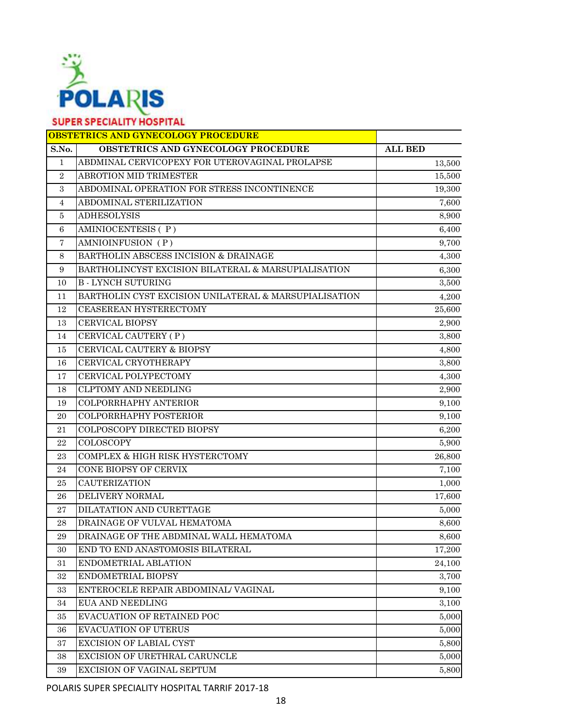

|                | <b>OBSTETRICS AND GYNECOLOGY PROCEDURE</b>            |                |
|----------------|-------------------------------------------------------|----------------|
| S.No.          | OBSTETRICS AND GYNECOLOGY PROCEDURE                   | <b>ALL BED</b> |
| $\mathbf{1}$   | ABDMINAL CERVICOPEXY FOR UTEROVAGINAL PROLAPSE        | 13,500         |
| $\overline{2}$ | ABROTION MID TRIMESTER                                | 15,500         |
| 3              | ABDOMINAL OPERATION FOR STRESS INCONTINENCE           | 19,300         |
| 4              | ABDOMINAL STERILIZATION                               | 7,600          |
| 5              | <b>ADHESOLYSIS</b>                                    | 8,900          |
| 6              | AMINIOCENTESIS (P)                                    | 6,400          |
| $\overline{7}$ | AMNIOINFUSION (P)                                     | 9,700          |
| 8              | BARTHOLIN ABSCESS INCISION & DRAINAGE                 | 4,300          |
| 9              | BARTHOLINCYST EXCISION BILATERAL & MARSUPIALISATION   | 6,300          |
| 10             | <b>B-LYNCH SUTURING</b>                               | 3,500          |
| 11             | BARTHOLIN CYST EXCISION UNILATERAL & MARSUPIALISATION | 4,200          |
| 12             | CEASEREAN HYSTERECTOMY                                | 25,600         |
| 13             | <b>CERVICAL BIOPSY</b>                                | 2,900          |
| 14             | CERVICAL CAUTERY (P)                                  | 3,800          |
| 15             | CERVICAL CAUTERY & BIOPSY                             | 4,800          |
| 16             | CERVICAL CRYOTHERAPY                                  | 3,800          |
| 17             | CERVICAL POLYPECTOMY                                  | 4,300          |
| 18             | <b>CLPTOMY AND NEEDLING</b>                           | 2,900          |
| 19             | COLPORRHAPHY ANTERIOR                                 | 9,100          |
| 20             | COLPORRHAPHY POSTERIOR                                | 9,100          |
| 21             | COLPOSCOPY DIRECTED BIOPSY                            | 6,200          |
| 22             | <b>COLOSCOPY</b>                                      | 5,900          |
| 23             | COMPLEX & HIGH RISK HYSTERCTOMY                       | 26,800         |
| 24             | CONE BIOPSY OF CERVIX                                 | 7,100          |
| 25             | <b>CAUTERIZATION</b>                                  | 1,000          |
| 26             | DELIVERY NORMAL                                       | 17,600         |
| $\sqrt{27}$    | DILATATION AND CURETTAGE                              | 5,000          |
| 28             | DRAINAGE OF VULVAL HEMATOMA                           | 8,600          |
| 29             | DRAINAGE OF THE ABDMINAL WALL HEMATOMA                | 8,600          |
| 30             | END TO END ANASTOMOSIS BILATERAL                      | 17,200         |
| 31             | ENDOMETRIAL ABLATION                                  | 24,100         |
| 32             | ENDOMETRIAL BIOPSY                                    | 3,700          |
| 33             | ENTEROCELE REPAIR ABDOMINAL/ VAGINAL                  | 9,100          |
| 34             | <b>EUA AND NEEDLING</b>                               | 3,100          |
| 35             | EVACUATION OF RETAINED POC                            | 5,000          |
| 36             | <b>EVACUATION OF UTERUS</b>                           | 5,000          |
| 37             | <b>EXCISION OF LABIAL CYST</b>                        | 5,800          |
| 38             | EXCISION OF URETHRAL CARUNCLE                         | 5,000          |
| 39             | EXCISION OF VAGINAL SEPTUM                            | 5,800          |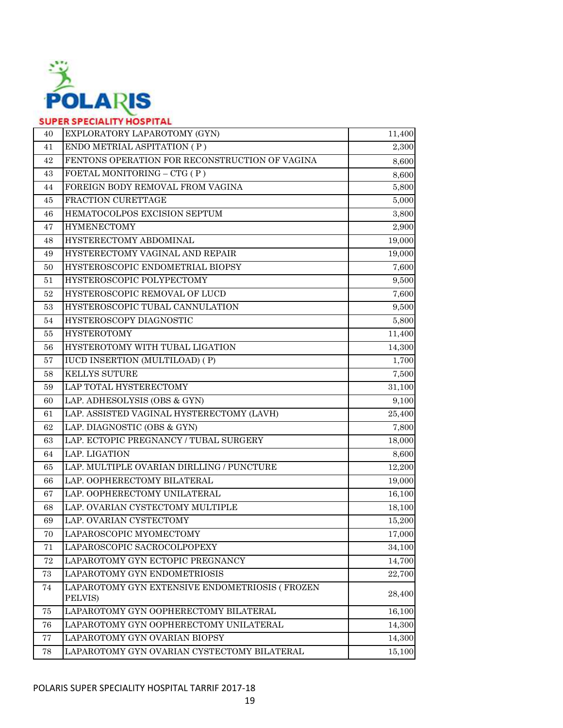

| ENDO METRIAL ASPITATION (P)<br>2,300<br>41<br>FENTONS OPERATION FOR RECONSTRUCTION OF VAGINA<br>42<br>8,600<br>FOETAL MONITORING - CTG (P)<br>43<br>FOREIGN BODY REMOVAL FROM VAGINA<br>44<br>FRACTION CURETTAGE<br>45<br>HEMATOCOLPOS EXCISION SEPTUM<br>3,800<br>46<br><b>HYMENECTOMY</b><br>47<br>HYSTERECTOMY ABDOMINAL<br>19,000<br>48<br>HYSTERECTOMY VAGINAL AND REPAIR<br>49<br>HYSTEROSCOPIC ENDOMETRIAL BIOPSY<br>50<br>HYSTEROSCOPIC POLYPECTOMY<br>9,500<br>51<br>HYSTEROSCOPIC REMOVAL OF LUCD<br>7,600<br>52<br>HYSTEROSCOPIC TUBAL CANNULATION<br>9,500<br>53<br>HYSTEROSCOPY DIAGNOSTIC<br>54<br><b>HYSTEROTOMY</b><br>11,400<br>55<br>HYSTEROTOMY WITH TUBAL LIGATION<br>14,300<br>56<br><b>IUCD INSERTION (MULTILOAD) (P)</b><br>57<br><b>KELLYS SUTURE</b><br>58<br>LAP TOTAL HYSTERECTOMY<br>59<br>LAP. ADHESOLYSIS (OBS & GYN)<br>60<br>LAP. ASSISTED VAGINAL HYSTERECTOMY (LAVH)<br>61<br>25,400<br>LAP. DIAGNOSTIC (OBS & GYN)<br>62<br>7,800<br>LAP. ECTOPIC PREGNANCY / TUBAL SURGERY<br>63<br>18,000<br>LAP. LIGATION<br>64<br>LAP. MULTIPLE OVARIAN DIRLLING / PUNCTURE<br>12,200<br>65<br>LAP. OOPHERECTOMY BILATERAL<br>66<br>LAP. OOPHERECTOMY UNILATERAL<br>67<br>LAP. OVARIAN CYSTECTOMY MULTIPLE<br>68<br>LAP. OVARIAN CYSTECTOMY<br>69<br>LAPAROSCOPIC MYOMECTOMY<br>70<br>LAPAROSCOPIC SACROCOLPOPEXY<br>71<br>34,100<br>LAPAROTOMY GYN ECTOPIC PREGNANCY<br>72<br>14,700<br>LAPAROTOMY GYN ENDOMETRIOSIS<br>73<br>22,700<br>LAPAROTOMY GYN EXTENSIVE ENDOMETRIOSIS ( FROZEN<br>74<br>28,400<br>PELVIS)<br>LAPAROTOMY GYN OOPHERECTOMY BILATERAL<br>75<br>16,100<br>LAPAROTOMY GYN OOPHERECTOMY UNILATERAL<br>14,300<br>76<br>LAPAROTOMY GYN OVARIAN BIOPSY<br>$77\,$<br>14,300<br>LAPAROTOMY GYN OVARIAN CYSTECTOMY BILATERAL<br>78<br>15,100 | 40 | EXPLORATORY LAPAROTOMY (GYN) | 11,400 |
|-----------------------------------------------------------------------------------------------------------------------------------------------------------------------------------------------------------------------------------------------------------------------------------------------------------------------------------------------------------------------------------------------------------------------------------------------------------------------------------------------------------------------------------------------------------------------------------------------------------------------------------------------------------------------------------------------------------------------------------------------------------------------------------------------------------------------------------------------------------------------------------------------------------------------------------------------------------------------------------------------------------------------------------------------------------------------------------------------------------------------------------------------------------------------------------------------------------------------------------------------------------------------------------------------------------------------------------------------------------------------------------------------------------------------------------------------------------------------------------------------------------------------------------------------------------------------------------------------------------------------------------------------------------------------------------------------------------------------------------------------------------------------------------|----|------------------------------|--------|
|                                                                                                                                                                                                                                                                                                                                                                                                                                                                                                                                                                                                                                                                                                                                                                                                                                                                                                                                                                                                                                                                                                                                                                                                                                                                                                                                                                                                                                                                                                                                                                                                                                                                                                                                                                                   |    |                              |        |
|                                                                                                                                                                                                                                                                                                                                                                                                                                                                                                                                                                                                                                                                                                                                                                                                                                                                                                                                                                                                                                                                                                                                                                                                                                                                                                                                                                                                                                                                                                                                                                                                                                                                                                                                                                                   |    |                              |        |
|                                                                                                                                                                                                                                                                                                                                                                                                                                                                                                                                                                                                                                                                                                                                                                                                                                                                                                                                                                                                                                                                                                                                                                                                                                                                                                                                                                                                                                                                                                                                                                                                                                                                                                                                                                                   |    |                              | 8,600  |
|                                                                                                                                                                                                                                                                                                                                                                                                                                                                                                                                                                                                                                                                                                                                                                                                                                                                                                                                                                                                                                                                                                                                                                                                                                                                                                                                                                                                                                                                                                                                                                                                                                                                                                                                                                                   |    |                              | 5,800  |
|                                                                                                                                                                                                                                                                                                                                                                                                                                                                                                                                                                                                                                                                                                                                                                                                                                                                                                                                                                                                                                                                                                                                                                                                                                                                                                                                                                                                                                                                                                                                                                                                                                                                                                                                                                                   |    |                              | 5,000  |
|                                                                                                                                                                                                                                                                                                                                                                                                                                                                                                                                                                                                                                                                                                                                                                                                                                                                                                                                                                                                                                                                                                                                                                                                                                                                                                                                                                                                                                                                                                                                                                                                                                                                                                                                                                                   |    |                              |        |
|                                                                                                                                                                                                                                                                                                                                                                                                                                                                                                                                                                                                                                                                                                                                                                                                                                                                                                                                                                                                                                                                                                                                                                                                                                                                                                                                                                                                                                                                                                                                                                                                                                                                                                                                                                                   |    |                              | 2,900  |
|                                                                                                                                                                                                                                                                                                                                                                                                                                                                                                                                                                                                                                                                                                                                                                                                                                                                                                                                                                                                                                                                                                                                                                                                                                                                                                                                                                                                                                                                                                                                                                                                                                                                                                                                                                                   |    |                              |        |
|                                                                                                                                                                                                                                                                                                                                                                                                                                                                                                                                                                                                                                                                                                                                                                                                                                                                                                                                                                                                                                                                                                                                                                                                                                                                                                                                                                                                                                                                                                                                                                                                                                                                                                                                                                                   |    |                              | 19,000 |
|                                                                                                                                                                                                                                                                                                                                                                                                                                                                                                                                                                                                                                                                                                                                                                                                                                                                                                                                                                                                                                                                                                                                                                                                                                                                                                                                                                                                                                                                                                                                                                                                                                                                                                                                                                                   |    |                              | 7,600  |
|                                                                                                                                                                                                                                                                                                                                                                                                                                                                                                                                                                                                                                                                                                                                                                                                                                                                                                                                                                                                                                                                                                                                                                                                                                                                                                                                                                                                                                                                                                                                                                                                                                                                                                                                                                                   |    |                              |        |
|                                                                                                                                                                                                                                                                                                                                                                                                                                                                                                                                                                                                                                                                                                                                                                                                                                                                                                                                                                                                                                                                                                                                                                                                                                                                                                                                                                                                                                                                                                                                                                                                                                                                                                                                                                                   |    |                              |        |
|                                                                                                                                                                                                                                                                                                                                                                                                                                                                                                                                                                                                                                                                                                                                                                                                                                                                                                                                                                                                                                                                                                                                                                                                                                                                                                                                                                                                                                                                                                                                                                                                                                                                                                                                                                                   |    |                              |        |
|                                                                                                                                                                                                                                                                                                                                                                                                                                                                                                                                                                                                                                                                                                                                                                                                                                                                                                                                                                                                                                                                                                                                                                                                                                                                                                                                                                                                                                                                                                                                                                                                                                                                                                                                                                                   |    |                              | 5,800  |
|                                                                                                                                                                                                                                                                                                                                                                                                                                                                                                                                                                                                                                                                                                                                                                                                                                                                                                                                                                                                                                                                                                                                                                                                                                                                                                                                                                                                                                                                                                                                                                                                                                                                                                                                                                                   |    |                              |        |
|                                                                                                                                                                                                                                                                                                                                                                                                                                                                                                                                                                                                                                                                                                                                                                                                                                                                                                                                                                                                                                                                                                                                                                                                                                                                                                                                                                                                                                                                                                                                                                                                                                                                                                                                                                                   |    |                              |        |
|                                                                                                                                                                                                                                                                                                                                                                                                                                                                                                                                                                                                                                                                                                                                                                                                                                                                                                                                                                                                                                                                                                                                                                                                                                                                                                                                                                                                                                                                                                                                                                                                                                                                                                                                                                                   |    |                              | 1,700  |
|                                                                                                                                                                                                                                                                                                                                                                                                                                                                                                                                                                                                                                                                                                                                                                                                                                                                                                                                                                                                                                                                                                                                                                                                                                                                                                                                                                                                                                                                                                                                                                                                                                                                                                                                                                                   |    |                              | 7,500  |
|                                                                                                                                                                                                                                                                                                                                                                                                                                                                                                                                                                                                                                                                                                                                                                                                                                                                                                                                                                                                                                                                                                                                                                                                                                                                                                                                                                                                                                                                                                                                                                                                                                                                                                                                                                                   |    |                              | 31,100 |
|                                                                                                                                                                                                                                                                                                                                                                                                                                                                                                                                                                                                                                                                                                                                                                                                                                                                                                                                                                                                                                                                                                                                                                                                                                                                                                                                                                                                                                                                                                                                                                                                                                                                                                                                                                                   |    |                              | 9,100  |
|                                                                                                                                                                                                                                                                                                                                                                                                                                                                                                                                                                                                                                                                                                                                                                                                                                                                                                                                                                                                                                                                                                                                                                                                                                                                                                                                                                                                                                                                                                                                                                                                                                                                                                                                                                                   |    |                              |        |
|                                                                                                                                                                                                                                                                                                                                                                                                                                                                                                                                                                                                                                                                                                                                                                                                                                                                                                                                                                                                                                                                                                                                                                                                                                                                                                                                                                                                                                                                                                                                                                                                                                                                                                                                                                                   |    |                              |        |
|                                                                                                                                                                                                                                                                                                                                                                                                                                                                                                                                                                                                                                                                                                                                                                                                                                                                                                                                                                                                                                                                                                                                                                                                                                                                                                                                                                                                                                                                                                                                                                                                                                                                                                                                                                                   |    |                              |        |
|                                                                                                                                                                                                                                                                                                                                                                                                                                                                                                                                                                                                                                                                                                                                                                                                                                                                                                                                                                                                                                                                                                                                                                                                                                                                                                                                                                                                                                                                                                                                                                                                                                                                                                                                                                                   |    |                              | 8,600  |
|                                                                                                                                                                                                                                                                                                                                                                                                                                                                                                                                                                                                                                                                                                                                                                                                                                                                                                                                                                                                                                                                                                                                                                                                                                                                                                                                                                                                                                                                                                                                                                                                                                                                                                                                                                                   |    |                              |        |
|                                                                                                                                                                                                                                                                                                                                                                                                                                                                                                                                                                                                                                                                                                                                                                                                                                                                                                                                                                                                                                                                                                                                                                                                                                                                                                                                                                                                                                                                                                                                                                                                                                                                                                                                                                                   |    |                              | 19,000 |
|                                                                                                                                                                                                                                                                                                                                                                                                                                                                                                                                                                                                                                                                                                                                                                                                                                                                                                                                                                                                                                                                                                                                                                                                                                                                                                                                                                                                                                                                                                                                                                                                                                                                                                                                                                                   |    |                              | 16,100 |
|                                                                                                                                                                                                                                                                                                                                                                                                                                                                                                                                                                                                                                                                                                                                                                                                                                                                                                                                                                                                                                                                                                                                                                                                                                                                                                                                                                                                                                                                                                                                                                                                                                                                                                                                                                                   |    |                              | 18,100 |
|                                                                                                                                                                                                                                                                                                                                                                                                                                                                                                                                                                                                                                                                                                                                                                                                                                                                                                                                                                                                                                                                                                                                                                                                                                                                                                                                                                                                                                                                                                                                                                                                                                                                                                                                                                                   |    |                              | 15,200 |
|                                                                                                                                                                                                                                                                                                                                                                                                                                                                                                                                                                                                                                                                                                                                                                                                                                                                                                                                                                                                                                                                                                                                                                                                                                                                                                                                                                                                                                                                                                                                                                                                                                                                                                                                                                                   |    |                              | 17,000 |
|                                                                                                                                                                                                                                                                                                                                                                                                                                                                                                                                                                                                                                                                                                                                                                                                                                                                                                                                                                                                                                                                                                                                                                                                                                                                                                                                                                                                                                                                                                                                                                                                                                                                                                                                                                                   |    |                              |        |
|                                                                                                                                                                                                                                                                                                                                                                                                                                                                                                                                                                                                                                                                                                                                                                                                                                                                                                                                                                                                                                                                                                                                                                                                                                                                                                                                                                                                                                                                                                                                                                                                                                                                                                                                                                                   |    |                              |        |
|                                                                                                                                                                                                                                                                                                                                                                                                                                                                                                                                                                                                                                                                                                                                                                                                                                                                                                                                                                                                                                                                                                                                                                                                                                                                                                                                                                                                                                                                                                                                                                                                                                                                                                                                                                                   |    |                              |        |
|                                                                                                                                                                                                                                                                                                                                                                                                                                                                                                                                                                                                                                                                                                                                                                                                                                                                                                                                                                                                                                                                                                                                                                                                                                                                                                                                                                                                                                                                                                                                                                                                                                                                                                                                                                                   |    |                              |        |
|                                                                                                                                                                                                                                                                                                                                                                                                                                                                                                                                                                                                                                                                                                                                                                                                                                                                                                                                                                                                                                                                                                                                                                                                                                                                                                                                                                                                                                                                                                                                                                                                                                                                                                                                                                                   |    |                              |        |
|                                                                                                                                                                                                                                                                                                                                                                                                                                                                                                                                                                                                                                                                                                                                                                                                                                                                                                                                                                                                                                                                                                                                                                                                                                                                                                                                                                                                                                                                                                                                                                                                                                                                                                                                                                                   |    |                              |        |
|                                                                                                                                                                                                                                                                                                                                                                                                                                                                                                                                                                                                                                                                                                                                                                                                                                                                                                                                                                                                                                                                                                                                                                                                                                                                                                                                                                                                                                                                                                                                                                                                                                                                                                                                                                                   |    |                              |        |
|                                                                                                                                                                                                                                                                                                                                                                                                                                                                                                                                                                                                                                                                                                                                                                                                                                                                                                                                                                                                                                                                                                                                                                                                                                                                                                                                                                                                                                                                                                                                                                                                                                                                                                                                                                                   |    |                              |        |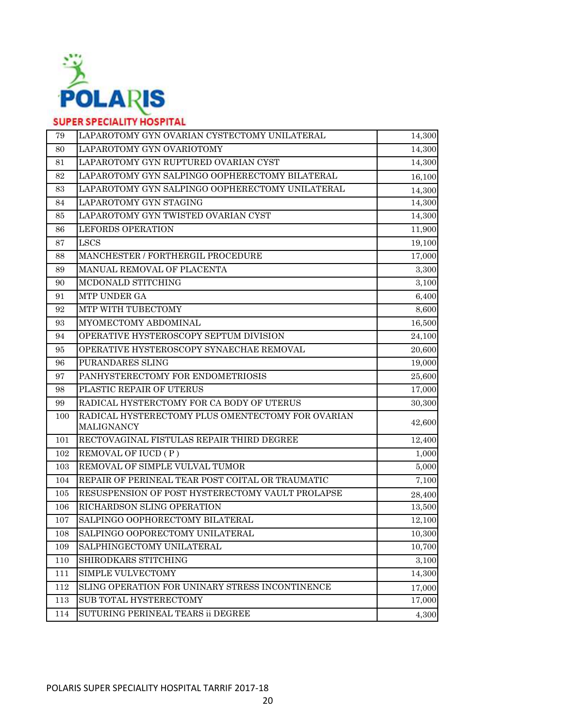

| 79  | LAPAROTOMY GYN OVARIAN CYSTECTOMY UNILATERAL                    | 14,300 |
|-----|-----------------------------------------------------------------|--------|
| 80  | LAPAROTOMY GYN OVARIOTOMY                                       | 14,300 |
| 81  | LAPAROTOMY GYN RUPTURED OVARIAN CYST                            | 14,300 |
| 82  | LAPAROTOMY GYN SALPINGO OOPHERECTOMY BILATERAL                  | 16,100 |
| 83  | LAPAROTOMY GYN SALPINGO OOPHERECTOMY UNILATERAL                 | 14,300 |
| 84  | LAPAROTOMY GYN STAGING                                          | 14,300 |
| 85  | LAPAROTOMY GYN TWISTED OVARIAN CYST                             | 14,300 |
| 86  | <b>LEFORDS OPERATION</b>                                        | 11,900 |
| 87  | <b>LSCS</b>                                                     | 19,100 |
| 88  | MANCHESTER / FORTHERGIL PROCEDURE                               | 17,000 |
| 89  | MANUAL REMOVAL OF PLACENTA                                      | 3,300  |
| 90  | MCDONALD STITCHING                                              | 3,100  |
| 91  | MTP UNDER GA                                                    | 6,400  |
| 92  | MTP WITH TUBECTOMY                                              | 8,600  |
| 93  | MYOMECTOMY ABDOMINAL                                            | 16,500 |
| 94  | OPERATIVE HYSTEROSCOPY SEPTUM DIVISION                          | 24,100 |
| 95  | OPERATIVE HYSTEROSCOPY SYNAECHAE REMOVAL                        | 20,600 |
| 96  | PURANDARES SLING                                                | 19,000 |
| 97  | PANHYSTERECTOMY FOR ENDOMETRIOSIS                               | 25,600 |
| 98  | PLASTIC REPAIR OF UTERUS                                        | 17,000 |
| 99  | RADICAL HYSTERCTOMY FOR CA BODY OF UTERUS                       | 30,300 |
| 100 | RADICAL HYSTERECTOMY PLUS OMENTECTOMY FOR OVARIAN<br>MALIGNANCY | 42,600 |
| 101 | RECTOVAGINAL FISTULAS REPAIR THIRD DEGREE                       | 12,400 |
| 102 | REMOVAL OF IUCD (P)                                             | 1,000  |
| 103 | REMOVAL OF SIMPLE VULVAL TUMOR                                  | 5,000  |
| 104 | REPAIR OF PERINEAL TEAR POST COITAL OR TRAUMATIC                | 7,100  |
| 105 | RESUSPENSION OF POST HYSTERECTOMY VAULT PROLAPSE                | 28,400 |
| 106 | RICHARDSON SLING OPERATION                                      | 13,500 |
| 107 | SALPINGO OOPHORECTOMY BILATERAL                                 | 12,100 |
| 108 | SALPINGO OOPORECTOMY UNILATERAL                                 | 10,300 |
| 109 | SALPHINGECTOMY UNILATERAL                                       | 10,700 |
| 110 | SHIRODKARS STITCHING                                            | 3,100  |
| 111 | <b>SIMPLE VULVECTOMY</b>                                        | 14,300 |
| 112 | SLING OPERATION FOR UNINARY STRESS INCONTINENCE                 | 17,000 |
| 113 | SUB TOTAL HYSTERECTOMY                                          | 17,000 |
| 114 | SUTURING PERINEAL TEARS ii DEGREE                               | 4,300  |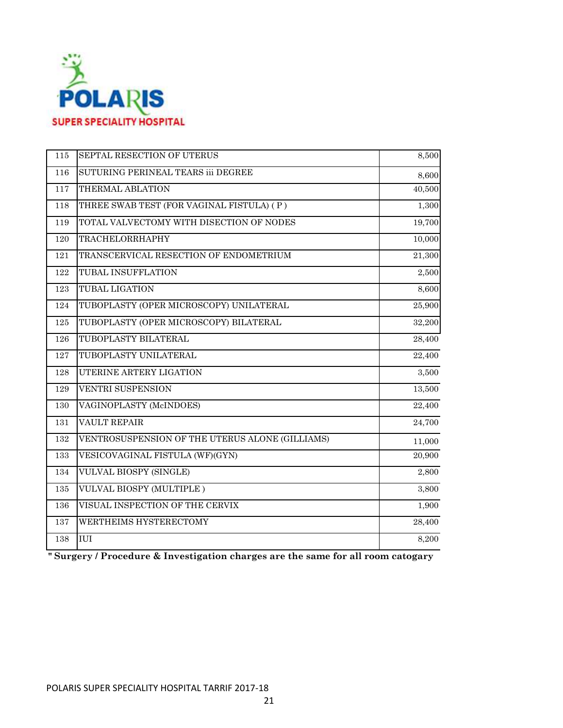

| 115 | SEPTAL RESECTION OF UTERUS                      | 8,500  |
|-----|-------------------------------------------------|--------|
| 116 | SUTURING PERINEAL TEARS iii DEGREE              | 8,600  |
| 117 | THERMAL ABLATION                                | 40,500 |
| 118 | THREE SWAB TEST (FOR VAGINAL FISTULA) (P)       | 1,300  |
| 119 | TOTAL VALVECTOMY WITH DISECTION OF NODES        | 19,700 |
| 120 | TRACHELORRHAPHY                                 | 10,000 |
| 121 | TRANSCERVICAL RESECTION OF ENDOMETRIUM          | 21,300 |
| 122 | TUBAL INSUFFLATION                              | 2,500  |
| 123 | <b>TUBAL LIGATION</b>                           | 8,600  |
| 124 | TUBOPLASTY (OPER MICROSCOPY) UNILATERAL         | 25,900 |
| 125 | TUBOPLASTY (OPER MICROSCOPY) BILATERAL          | 32,200 |
| 126 | TUBOPLASTY BILATERAL                            | 28,400 |
| 127 | TUBOPLASTY UNILATERAL                           | 22,400 |
| 128 | UTERINE ARTERY LIGATION                         | 3,500  |
| 129 | <b>VENTRI SUSPENSION</b>                        | 13,500 |
| 130 | VAGINOPLASTY (McINDOES)                         | 22,400 |
| 131 | <b>VAULT REPAIR</b>                             | 24,700 |
| 132 | VENTROSUSPENSION OF THE UTERUS ALONE (GILLIAMS) | 11,000 |
| 133 | VESICOVAGINAL FISTULA (WF)(GYN)                 | 20,900 |
| 134 | VULVAL BIOSPY (SINGLE)                          | 2,800  |
| 135 | VULVAL BIOSPY (MULTIPLE)                        | 3,800  |
| 136 | VISUAL INSPECTION OF THE CERVIX                 | 1,900  |
| 137 | WERTHEIMS HYSTERECTOMY                          | 28,400 |
| 138 | IUI                                             | 8,200  |
|     |                                                 |        |

**" Surgery / Procedure & Investigation charges are the same for all room catogary**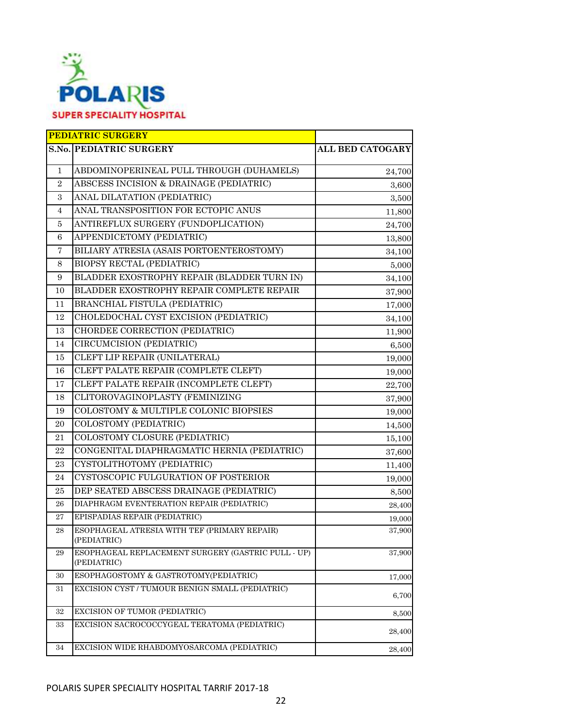

|                | <b>PEDIATRIC SURGERY</b>                                          |                         |
|----------------|-------------------------------------------------------------------|-------------------------|
|                | <b>S.No. PEDIATRIC SURGERY</b>                                    | <b>ALL BED CATOGARY</b> |
| 1              | ABDOMINOPERINEAL PULL THROUGH (DUHAMELS)                          | 24,700                  |
| $\overline{2}$ | ABSCESS INCISION & DRAINAGE (PEDIATRIC)                           | 3,600                   |
| 3              | ANAL DILATATION (PEDIATRIC)                                       | 3,500                   |
| 4              | ANAL TRANSPOSITION FOR ECTOPIC ANUS                               | 11,800                  |
| 5              | ANTIREFLUX SURGERY (FUNDOPLICATION)                               | 24,700                  |
| 6              | APPENDICETOMY (PEDIATRIC)                                         | 13,800                  |
| $\overline{7}$ | BILIARY ATRESIA (ASAIS PORTOENTEROSTOMY)                          | 34,100                  |
| 8              | BIOPSY RECTAL (PEDIATRIC)                                         | 5,000                   |
| 9              | BLADDER EXOSTROPHY REPAIR (BLADDER TURN IN)                       | 34,100                  |
| 10             | BLADDER EXOSTROPHY REPAIR COMPLETE REPAIR                         | 37,900                  |
| 11             | BRANCHIAL FISTULA (PEDIATRIC)                                     | 17,000                  |
| 12             | CHOLEDOCHAL CYST EXCISION (PEDIATRIC)                             | 34,100                  |
| 13             | CHORDEE CORRECTION (PEDIATRIC)                                    | 11,900                  |
| 14             | CIRCUMCISION (PEDIATRIC)                                          | 6,500                   |
| 15             | CLEFT LIP REPAIR (UNILATERAL)                                     | 19,000                  |
| 16             | CLEFT PALATE REPAIR (COMPLETE CLEFT)                              | 19,000                  |
| 17             | CLEFT PALATE REPAIR (INCOMPLETE CLEFT)                            | 22,700                  |
| 18             | CLITOROVAGINOPLASTY (FEMINIZING                                   | 37,900                  |
| 19             | COLOSTOMY & MULTIPLE COLONIC BIOPSIES                             | 19,000                  |
| 20             | COLOSTOMY (PEDIATRIC)                                             | 14,500                  |
| 21             | COLOSTOMY CLOSURE (PEDIATRIC)                                     | 15,100                  |
| 22             | CONGENITAL DIAPHRAGMATIC HERNIA (PEDIATRIC)                       | 37,600                  |
| 23             | CYSTOLITHOTOMY (PEDIATRIC)                                        | 11,400                  |
| 24             | CYSTOSCOPIC FULGURATION OF POSTERIOR                              | 19,000                  |
| 25             | DEP SEATED ABSCESS DRAINAGE (PEDIATRIC)                           | 8,500                   |
| 26             | DIAPHRAGM EVENTERATION REPAIR (PEDIATRIC)                         | 28,400                  |
| 27             | EPISPADIAS REPAIR (PEDIATRIC)                                     | 19,000                  |
| 28             | ESOPHAGEAL ATRESIA WITH TEF (PRIMARY REPAIR)<br>(PEDIATRIC)       | 37,900                  |
| 29             | ESOPHAGEAL REPLACEMENT SURGERY (GASTRIC PULL - UP)<br>(PEDIATRIC) | 37,900                  |
| 30             | ESOPHAGOSTOMY & GASTROTOMY(PEDIATRIC)                             | 17,000                  |
| 31             | EXCISION CYST / TUMOUR BENIGN SMALL (PEDIATRIC)                   | 6,700                   |
| 32             | <b>EXCISION OF TUMOR (PEDIATRIC)</b>                              | 8,500                   |
| 33             | EXCISION SACROCOCCYGEAL TERATOMA (PEDIATRIC)                      | 28,400                  |
| 34             | EXCISION WIDE RHABDOMYOSARCOMA (PEDIATRIC)                        | 28,400                  |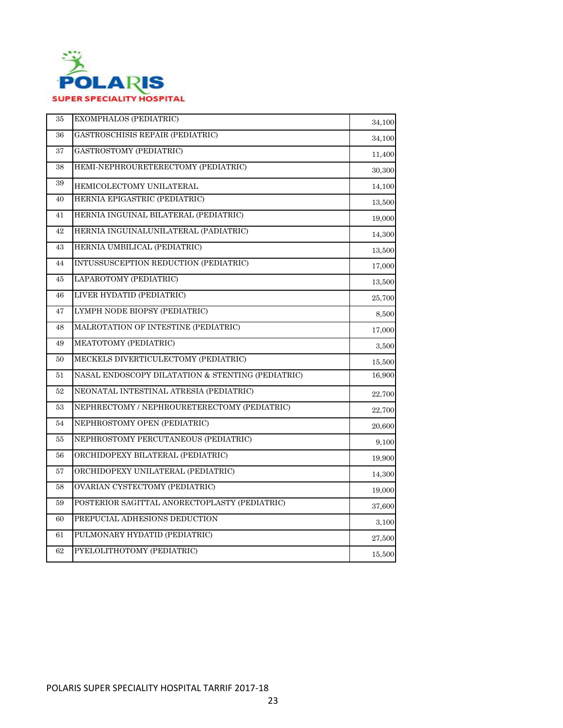

| 35 | EXOMPHALOS (PEDIATRIC)                            | 34,100     |
|----|---------------------------------------------------|------------|
| 36 | GASTROSCHISIS REPAIR (PEDIATRIC)                  | 34,100     |
| 37 | GASTROSTOMY (PEDIATRIC)                           | 11,400     |
| 38 | HEMI-NEPHROURETERECTOMY (PEDIATRIC)               | 30,300     |
| 39 | HEMICOLECTOMY UNILATERAL                          | 14,100     |
| 40 | HERNIA EPIGASTRIC (PEDIATRIC)                     | 13,500     |
| 41 | HERNIA INGUINAL BILATERAL (PEDIATRIC)             | 19,000     |
| 42 | HERNIA INGUINALUNILATERAL (PADIATRIC)             | 14,300     |
| 43 | HERNIA UMBILICAL (PEDIATRIC)                      | 13,500     |
| 44 | INTUSSUSCEPTION REDUCTION (PEDIATRIC)             | 17,000     |
| 45 | LAPAROTOMY (PEDIATRIC)                            | 13,500     |
| 46 | LIVER HYDATID (PEDIATRIC)                         | 25,700     |
| 47 | LYMPH NODE BIOPSY (PEDIATRIC)                     | 8,500      |
| 48 | MALROTATION OF INTESTINE (PEDIATRIC)              | 17,000     |
| 49 | MEATOTOMY (PEDIATRIC)                             | 3,500      |
| 50 | MECKELS DIVERTICULECTOMY (PEDIATRIC)              | 15,500     |
| 51 | NASAL ENDOSCOPY DILATATION & STENTING (PEDIATRIC) | $16,\!900$ |
| 52 | NEONATAL INTESTINAL ATRESIA (PEDIATRIC)           | 22,700     |
| 53 | NEPHRECTOMY / NEPHROURETERECTOMY (PEDIATRIC)      | 22,700     |
| 54 | NEPHROSTOMY OPEN (PEDIATRIC)                      | 20,600     |
| 55 | NEPHROSTOMY PERCUTANEOUS (PEDIATRIC)              | 9,100      |
| 56 | ORCHIDOPEXY BILATERAL (PEDIATRIC)                 | 19,900     |
| 57 | ORCHIDOPEXY UNILATERAL (PEDIATRIC)                | 14,300     |
| 58 | OVARIAN CYSTECTOMY (PEDIATRIC)                    | 19,000     |
| 59 | POSTERIOR SAGITTAL ANORECTOPLASTY (PEDIATRIC)     | 37,600     |
| 60 | PREPUCIAL ADHESIONS DEDUCTION                     | 3,100      |
| 61 | PULMONARY HYDATID (PEDIATRIC)                     | 27,500     |
| 62 | PYELOLITHOTOMY (PEDIATRIC)                        | 15,500     |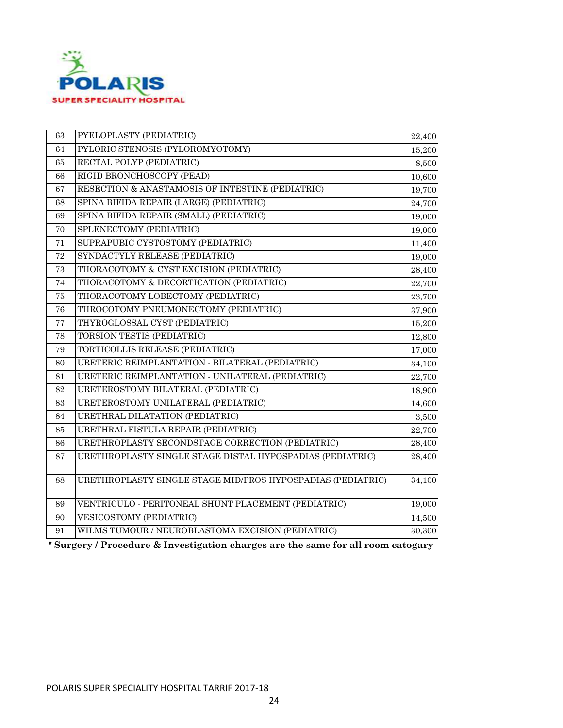

| 63     | PYELOPLASTY (PEDIATRIC)                                     | 22,400 |
|--------|-------------------------------------------------------------|--------|
| 64     | PYLORIC STENOSIS (PYLOROMYOTOMY)                            | 15,200 |
| 65     | RECTAL POLYP (PEDIATRIC)                                    | 8,500  |
| 66     | RIGID BRONCHOSCOPY (PEAD)                                   | 10,600 |
| 67     | RESECTION & ANASTAMOSIS OF INTESTINE (PEDIATRIC)            | 19,700 |
| 68     | SPINA BIFIDA REPAIR (LARGE) (PEDIATRIC)                     | 24,700 |
| 69     | SPINA BIFIDA REPAIR (SMALL) (PEDIATRIC)                     | 19,000 |
| 70     | SPLENECTOMY (PEDIATRIC)                                     | 19,000 |
| 71     | SUPRAPUBIC CYSTOSTOMY (PEDIATRIC)                           | 11,400 |
| $72\,$ | SYNDACTYLY RELEASE (PEDIATRIC)                              | 19,000 |
| 73     | THORACOTOMY & CYST EXCISION (PEDIATRIC)                     | 28,400 |
| 74     | THORACOTOMY & DECORTICATION (PEDIATRIC)                     | 22,700 |
| 75     | THORACOTOMY LOBECTOMY (PEDIATRIC)                           | 23,700 |
| 76     | THROCOTOMY PNEUMONECTOMY (PEDIATRIC)                        | 37,900 |
| $77\,$ | THYROGLOSSAL CYST (PEDIATRIC)                               | 15,200 |
| 78     | TORSION TESTIS (PEDIATRIC)                                  | 12,800 |
| 79     | TORTICOLLIS RELEASE (PEDIATRIC)                             | 17,000 |
| 80     | URETERIC REIMPLANTATION - BILATERAL (PEDIATRIC)             | 34,100 |
| 81     | URETERIC REIMPLANTATION - UNILATERAL (PEDIATRIC)            | 22,700 |
| $82\,$ | URETEROSTOMY BILATERAL (PEDIATRIC)                          | 18,900 |
| 83     | URETEROSTOMY UNILATERAL (PEDIATRIC)                         | 14,600 |
| 84     | URETHRAL DILATATION (PEDIATRIC)                             | 3,500  |
| 85     | URETHRAL FISTULA REPAIR (PEDIATRIC)                         | 22,700 |
| 86     | URETHROPLASTY SECONDSTAGE CORRECTION (PEDIATRIC)            | 28,400 |
| 87     | URETHROPLASTY SINGLE STAGE DISTAL HYPOSPADIAS (PEDIATRIC)   | 28,400 |
| 88     | URETHROPLASTY SINGLE STAGE MID/PROS HYPOSPADIAS (PEDIATRIC) | 34,100 |
| 89     | VENTRICULO - PERITONEAL SHUNT PLACEMENT (PEDIATRIC)         | 19,000 |
| 90     | <b>VESICOSTOMY (PEDIATRIC)</b>                              | 14,500 |
| 91     | WILMS TUMOUR / NEUROBLASTOMA EXCISION (PEDIATRIC)           | 30,300 |

**" Surgery / Procedure & Investigation charges are the same for all room catogary**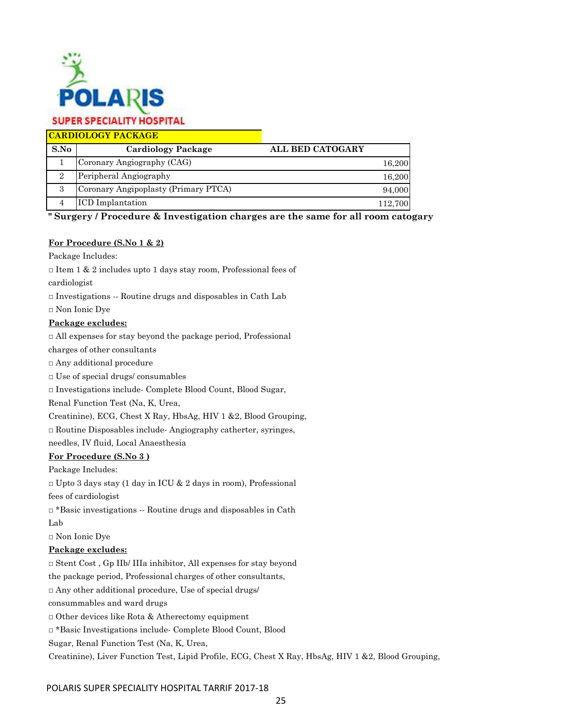

**CARDIOLOGY PACKAGE**

| S.No | Cardiology Package                   | <b>ALL BED CATOGARY</b> |
|------|--------------------------------------|-------------------------|
|      | Coronary Angiography (CAG)           | 16,200                  |
|      | Peripheral Angiography               | 16,200                  |
|      | Coronary Angipoplasty (Primary PTCA) | 94,000                  |
|      | <b>ICD</b> Implantation              | 112.700                 |

**" Surgery / Procedure & Investigation charges are the same for all room catogary**

### **For Procedure (S.No 1 & 2)**

Package Includes:

 $\Box$  Item 1 & 2 includes upto 1 days stay room, Professional fees of

cardiologist

 $\Box$  Investigations  $\cdots$  Routine drugs and disposables in Cath Lab

□ Non Ionic Dye

### **Package excludes:**

□ All expenses for stay beyond the package period, Professional

charges of other consultants

□ Any additional procedure

 $\Box$  Use of special drugs/ consumables

□ Investigations include- Complete Blood Count, Blood Sugar,

Renal Function Test (Na, K, Urea,

Creatinine), ECG, Chest X Ray, HbsAg, HIV 1 &2, Blood Grouping,

 $\square$  Routine Disposables include-Angiography catherter, syringes,

needles, IV fluid, Local Anaesthesia

### **For Procedure (S.No 3 )**

Package Includes:

□ Upto 3 days stay (1 day in ICU & 2 days in room), Professional

fees of cardiologist

 $\Box$ \*Basic investigations -- Routine drugs and disposables in Cath

Lab

□ Non Ionic Dye

### **Package excludes:**

 $\Box$  Stent Cost, Gp IIb/ IIIa inhibitor, All expenses for stay beyond

the package period, Professional charges of other consultants,

□ Any other additional procedure, Use of special drugs/

consummables and ward drugs

□ Other devices like Rota & Atherectomy equipment

□ \*Basic Investigations include- Complete Blood Count, Blood

Sugar, Renal Function Test (Na, K, Urea,

Creatinine), Liver Function Test, Lipid Profile, ECG, Chest X Ray, HbsAg, HIV 1 &2, Blood Grouping,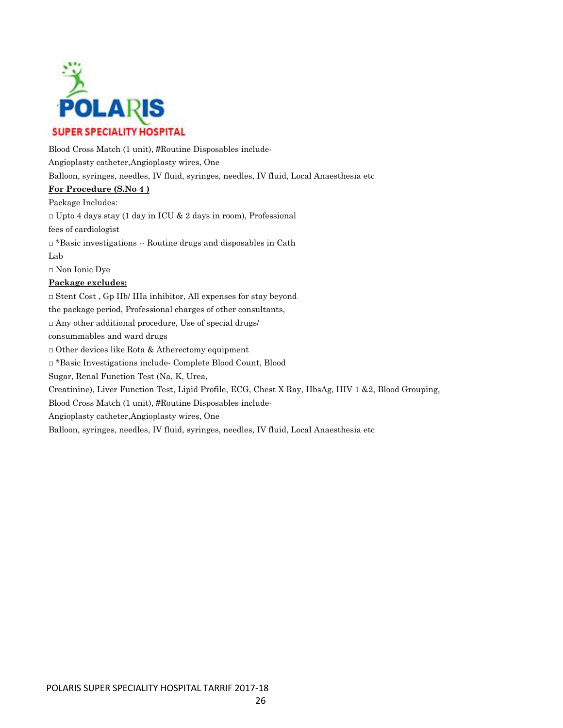

Blood Cross Match (1 unit), #Routine Disposables include-Angioplasty catheter,Angioplasty wires, One Balloon, syringes, needles, IV fluid, syringes, needles, IV fluid, Local Anaesthesia etc

### **For Procedure (S.No 4 )**

Package Includes:  $\Box$  Upto 4 days stay (1 day in ICU & 2 days in room), Professional fees of cardiologist □ \*Basic investigations -- Routine drugs and disposables in Cath Lab □ Non Ionic Dye **Package excludes:** □ Stent Cost , Gp IIb/ IIIa inhibitor, All expenses for stay beyond the package period, Professional charges of other consultants,

 $\Box$  Any other additional procedure, Use of special drugs/

consummables and ward drugs

□ Other devices like Rota & Atherectomy equipment

□ \*Basic Investigations include- Complete Blood Count, Blood

Sugar, Renal Function Test (Na, K, Urea,

Creatinine), Liver Function Test, Lipid Profile, ECG, Chest X Ray, HbsAg, HIV 1 &2, Blood Grouping,

Blood Cross Match (1 unit), #Routine Disposables include-

Angioplasty catheter,Angioplasty wires, One

Balloon, syringes, needles, IV fluid, syringes, needles, IV fluid, Local Anaesthesia etc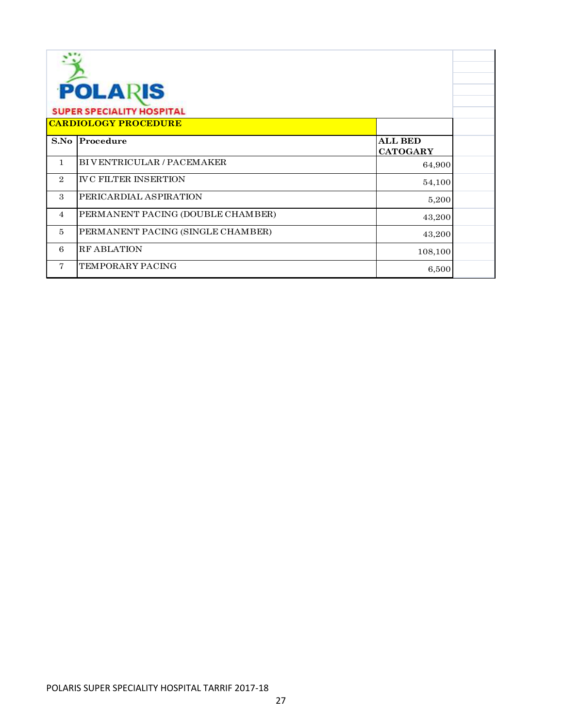| <b>POLARIS</b><br><b>SUPER SPECIALITY HOSPITAL</b> |                                   |                                   |  |
|----------------------------------------------------|-----------------------------------|-----------------------------------|--|
|                                                    | <b>CARDIOLOGY PROCEDURE</b>       |                                   |  |
| S.No                                               | Procedure                         | <b>ALL BED</b><br><b>CATOGARY</b> |  |
| $\mathbf{1}$                                       | BIVENTRICULAR / PACEMAKER         | 64,900                            |  |
| $\overline{2}$                                     | <b>IVC FILTER INSERTION</b>       | 54,100                            |  |
| 3                                                  | PERICARDIAL ASPIRATION            | 5,200                             |  |
| $\overline{4}$                                     | PERMANENT PACING (DOUBLE CHAMBER) | 43,200                            |  |
| $\overline{5}$                                     | PERMANENT PACING (SINGLE CHAMBER) | 43,200                            |  |
| 6                                                  | <b>RF ABLATION</b>                | 108,100                           |  |
| 7                                                  | TEMPORARY PACING                  | 6,500                             |  |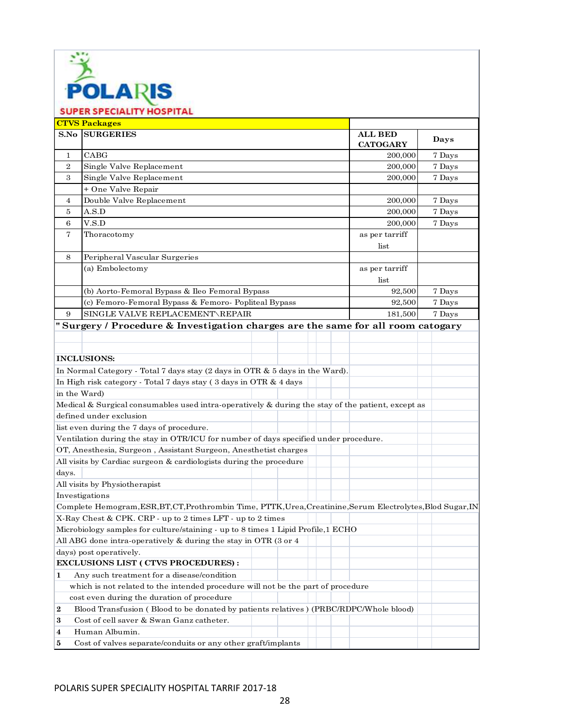

**S.No ALL BED CATOGARY** 1 CABG 200,000 2 Single Valve Replacement 200,000 | 7 Days 3 Single Valve Replacement 200,000 | 7 Days 4 200,000 Double Valve Replacement 7 Days 5 A.S.D 200,000 6 V.S.D 200,000 Thoracotomy as per tarriff list 8 as per tarriff list 92,500 92,500 9 181,500 SINGLE VALVE REPLACEMENT\REPAIR 7 Days **" Surgery / Procedure & Investigation charges are the same for all room catogary INCLUSIONS:** In Normal Category - Total 7 days stay (2 days in OTR & 5 days in the Ward). In High risk category - Total 7 days stay ( 3 days in OTR & 4 days in the Ward) Medical & Surgical consumables used intra-operatively & during the stay of the patient, except as defined under exclusion list even during the 7 days of procedure. Ventilation during the stay in OTR/ICU for number of days specified under procedure. OT, Anesthesia, Surgeon , Assistant Surgeon, Anesthetist charges All visits by Cardiac surgeon & cardiologists during the procedure days. All visits by Physiotherapist Investigations Complete Hemogram,ESR,BT,CT,Prothrombin Time, PTTK,Urea,Creatinine,Serum Electrolytes,Blod Sugar,IN X-Ray Chest & CPK. CRP - up to 2 times LFT - up to 2 times Microbiology samples for culture/staining - up to 8 times 1 Lipid Profile,1 ECHO All ABG done intra-operatively & during the stay in OTR (3 or 4 days) post operatively. **EXCLUSIONS LIST ( CTVS PROCEDURES) : 1** Any such treatment for a disease/condition which is not related to the intended procedure will not be the part of procedure cost even during the duration of procedure **2** Blood Transfusion ( Blood to be donated by patients relatives ) (PRBC/RDPC/Whole blood) **3** Cost of cell saver & Swan Ganz catheter. **4** Human Albumin. **5** Cost of valves separate/conduits or any other graft/implants **CTVS Packages SURGERIES ALL BED Days**  $\text{CABG}$  7 Days + One Valve Repair A.S.D  $200,000$   $7 \text{ Days}$ V.S.D  $200,000$   $7$  Days Peripheral Vascular Surgeries (a) Embolectomy (b) Aorto-Femoral Bypass & Ileo Femoral Bypass 7 Days 7 Days (c) Femoro-Femoral Bypass & Femoro- Popliteal Bypass 7 0ays 7 Days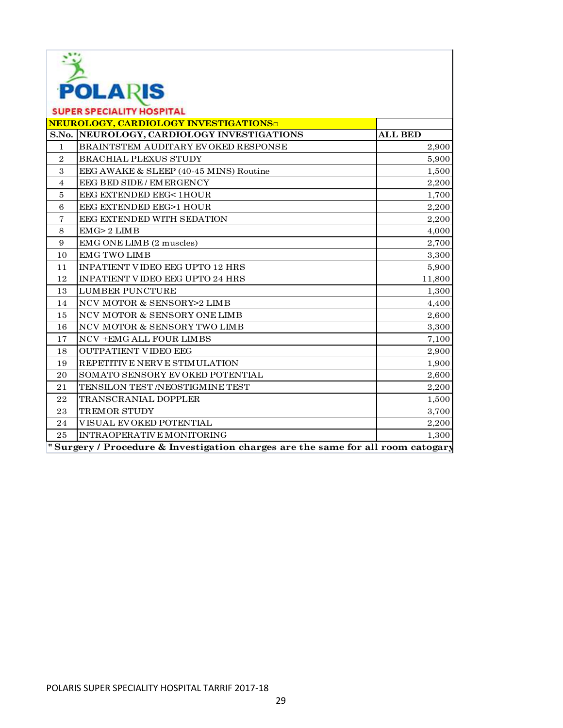

| the contract of the contract of the contract of<br><b>SUPER SPECIALITY HOSPITAL</b> |                                            |                |
|-------------------------------------------------------------------------------------|--------------------------------------------|----------------|
| <b>NEUROLOGY, CARDIOLOGY INVESTIGATIONS</b>                                         |                                            |                |
|                                                                                     | S.No. NEUROLOGY, CARDIOLOGY INVESTIGATIONS | <b>ALL BED</b> |
| $\mathbf{1}$                                                                        | BRAINTSTEM AUDITARY EVOKED RESPONSE        | 2,900          |
| $\overline{2}$                                                                      | <b>BRACHIAL PLEXUS STUDY</b>               | 5,900          |
| 3                                                                                   | EEG AWAKE & SLEEP (40-45 MINS) Routine     | 1,500          |
| $\overline{4}$                                                                      | EEG BED SIDE / EMERGENCY                   | 2,200          |
| 5                                                                                   | EEG EXTENDED EEG< 1HOUR                    | 1,700          |
| 6                                                                                   | EEG EXTENDED EEG>1 HOUR                    | 2,200          |
| 7                                                                                   | EEG EXTENDED WITH SEDATION                 | 2,200          |
| 8                                                                                   | EMG > 2 LIMB                               | 4,000          |
| 9                                                                                   | EMG ONE LIMB (2 muscles)                   | 2,700          |
| 10                                                                                  | <b>EMG TWO LIMB</b>                        | 3,300          |
| 11                                                                                  | INPATIENT VIDEO EEG UPTO 12 HRS            | 5,900          |
| 12                                                                                  | INPATIENT VIDEO EEG UPTO 24 HRS            | 11,800         |
| 13                                                                                  | <b>LUMBER PUNCTURE</b>                     | 1,300          |
| 14                                                                                  | NCV MOTOR & SENSORY>2 LIMB                 | 4,400          |
| 15                                                                                  | NCV MOTOR & SENSORY ONE LIMB               | 2,600          |
| 16                                                                                  | NCV MOTOR & SENSORY TWO LIMB               | 3,300          |
| 17                                                                                  | NCV +EMG ALL FOUR LIMBS                    | 7,100          |
| 18                                                                                  | <b>OUTPATIENT VIDEO EEG</b>                | 2,900          |
| 19                                                                                  | REPETITIVE NERVE STIMULATION               | 1,900          |
| 20                                                                                  | SOMATO SENSORY EVOKED POTENTIAL            | 2,600          |
| 21                                                                                  | TENSILON TEST /NEOSTIGMINE TEST            | 2,200          |
| 22                                                                                  | TRANSCRANIAL DOPPLER                       | 1,500          |
| 23                                                                                  | <b>TREMOR STUDY</b>                        | 3,700          |
| 24                                                                                  | VISUAL EVOKED POTENTIAL                    | 2,200          |
| 25                                                                                  | INTRAOPERATIVE MONITORING                  | 1,300          |
| Surgery / Procedure & Investigation charges are the same for all room catogary      |                                            |                |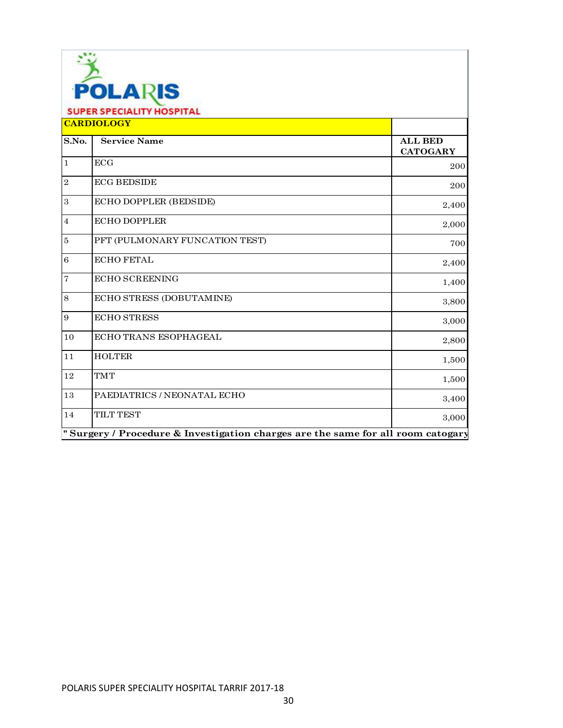| <b>POLARIS</b><br><b>SUPER SPECIALITY HOSPITAL</b> |                                                                                  |                                   |
|----------------------------------------------------|----------------------------------------------------------------------------------|-----------------------------------|
|                                                    | <b>CARDIOLOGY</b>                                                                |                                   |
| S.No.                                              | <b>Service Name</b>                                                              | <b>ALL BED</b><br><b>CATOGARY</b> |
| $\overline{1}$                                     | ECG                                                                              | 200                               |
| $\overline{2}$                                     | <b>ECG BEDSIDE</b>                                                               | 200                               |
| $\mathbf{3}$                                       | ECHO DOPPLER (BEDSIDE)                                                           | 2,400                             |
| $\,4\,$                                            | <b>ECHO DOPPLER</b>                                                              | 2,000                             |
| $\bf 5$                                            | PFT (PULMONARY FUNCATION TEST)                                                   | 700                               |
| $\overline{6}$                                     | <b>ECHO FETAL</b>                                                                | 2,400                             |
| $\overline{7}$                                     | <b>ECHO SCREENING</b>                                                            | 1,400                             |
| $\,8\,$                                            | ECHO STRESS (DOBUTAMINE)                                                         | 3,800                             |
| $\overline{9}$                                     | <b>ECHO STRESS</b>                                                               | 3,000                             |
| 10                                                 | ECHO TRANS ESOPHAGEAL                                                            | 2,800                             |
| $1\,1$                                             | <b>HOLTER</b>                                                                    | 1,500                             |
| 12                                                 | <b>TMT</b>                                                                       | 1,500                             |
| 13                                                 | PAEDIATRICS / NEONATAL ECHO                                                      | 3,400                             |
| 14                                                 | <b>TILT TEST</b>                                                                 | 3,000                             |
|                                                    | " Surgery / Procedure & Investigation charges are the same for all room catogary |                                   |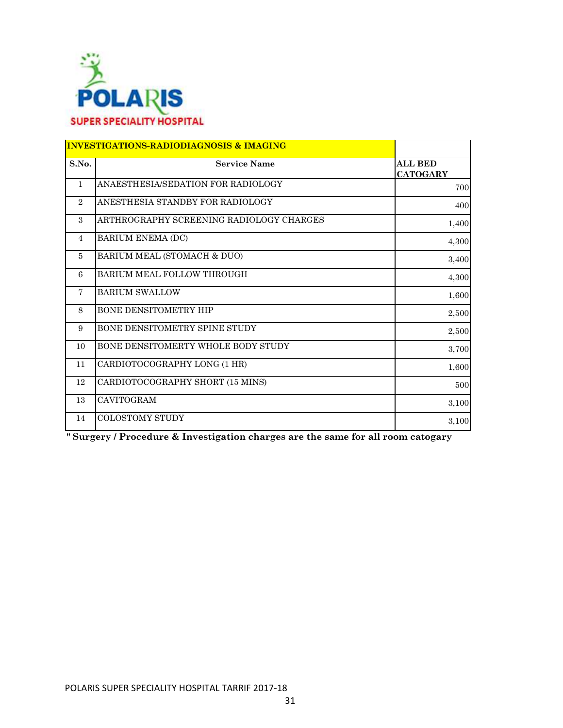

|                | <b>INVESTIGATIONS-RADIODIAGNOSIS &amp; IMAGING</b> |                                   |
|----------------|----------------------------------------------------|-----------------------------------|
| S.No.          | <b>Service Name</b>                                | <b>ALL BED</b><br><b>CATOGARY</b> |
| $\mathbf{1}$   | ANAESTHESIA/SEDATION FOR RADIOLOGY                 | 700                               |
| $\overline{2}$ | ANESTHESIA STANDBY FOR RADIOLOGY                   | 400                               |
| 3              | ARTHROGRAPHY SCREENING RADIOLOGY CHARGES           | 1,400                             |
| $\overline{4}$ | <b>BARIUM ENEMA (DC)</b>                           | 4,300                             |
| $\overline{5}$ | BARIUM MEAL (STOMACH & DUO)                        | 3,400                             |
| 6              | BARIUM MEAL FOLLOW THROUGH                         | 4,300                             |
| $\tau$         | <b>BARIUM SWALLOW</b>                              | 1,600                             |
| 8              | BONE DENSITOMETRY HIP                              | 2,500                             |
| 9              | BONE DENSITOMETRY SPINE STUDY                      | 2,500                             |
| 10             | BONE DENSITOMERTY WHOLE BODY STUDY                 | 3,700                             |
| 11             | CARDIOTOCOGRAPHY LONG (1 HR)                       | 1,600                             |
| 12             | CARDIOTOCOGRAPHY SHORT (15 MINS)                   | 500                               |
| 13             | CAVITOGRAM                                         | 3,100                             |
| 14             | <b>COLOSTOMY STUDY</b>                             | 3,100                             |

**" Surgery / Procedure & Investigation charges are the same for all room catogary**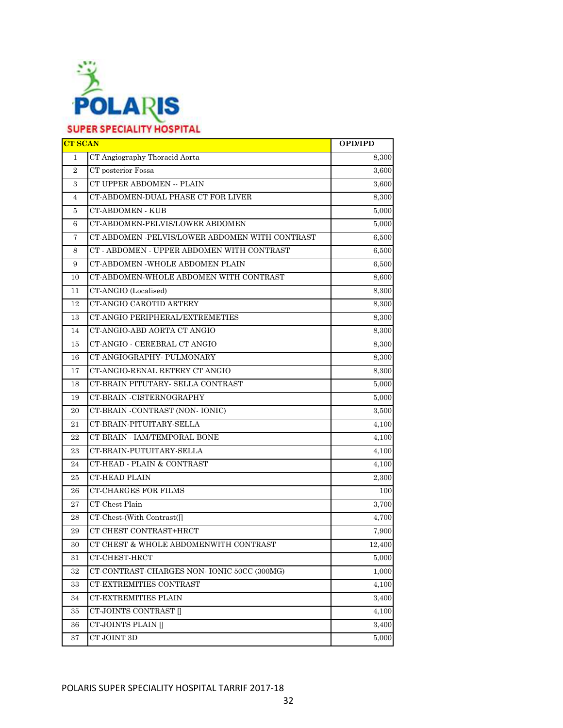

| <b>CT SCAN</b>   |                                                | <b>OPD/IPD</b> |
|------------------|------------------------------------------------|----------------|
| $\mathbf{1}$     | CT Angiography Thoracid Aorta                  | 8,300          |
| $\boldsymbol{2}$ | CT posterior Fossa                             | 3,600          |
| 3                | CT UPPER ABDOMEN -- PLAIN                      | 3,600          |
| 4                | CT-ABDOMEN-DUAL PHASE CT FOR LIVER             | 8,300          |
| 5                | CT-ABDOMEN - KUB                               | 5,000          |
| 6                | CT-ABDOMEN-PELVIS/LOWER ABDOMEN                | 5,000          |
| $\overline{7}$   | CT-ABDOMEN -PELVIS/LOWER ABDOMEN WITH CONTRAST | 6,500          |
| 8                | CT - ABDOMEN - UPPER ABDOMEN WITH CONTRAST     | 6,500          |
| 9                | CT-ABDOMEN -WHOLE ABDOMEN PLAIN                | 6,500          |
| 10               | CT-ABDOMEN-WHOLE ABDOMEN WITH CONTRAST         | 8,600          |
| 11               | CT-ANGIO (Localised)                           | 8,300          |
| 12               | CT-ANGIO CAROTID ARTERY                        | 8,300          |
| 13               | CT-ANGIO PERIPHERAL/EXTREMETIES                | 8.300          |
| 14               | CT-ANGIO-ABD AORTA CT ANGIO                    | 8,300          |
| 15               | CT-ANGIO - CEREBRAL CT ANGIO                   | 8,300          |
| 16               | CT-ANGIOGRAPHY- PULMONARY                      | 8,300          |
| 17               | CT-ANGIO-RENAL RETERY CT ANGIO                 | 8,300          |
| 18               | CT-BRAIN PITUTARY- SELLA CONTRAST              | 5,000          |
| 19               | CT-BRAIN -CISTERNOGRAPHY                       | 5,000          |
| 20               | CT-BRAIN -CONTRAST (NON-IONIC)                 | 3,500          |
| 21               | CT-BRAIN-PITUITARY-SELLA                       | 4,100          |
| 22               | CT-BRAIN - IAM/TEMPORAL BONE                   | 4,100          |
| 23               | CT-BRAIN-PUTUITARY-SELLA                       | 4,100          |
| 24               | CT-HEAD - PLAIN & CONTRAST                     | 4,100          |
| 25               | CT-HEAD PLAIN                                  | 2,300          |
| 26               | <b>CT-CHARGES FOR FILMS</b>                    | 100            |
| 27               | CT-Chest Plain                                 | 3,700          |
| 28               | CT-Chest-(With Contrast([]                     | 4,700          |
| 29               | CT CHEST CONTRAST+HRCT                         | 7,900          |
| 30               | CT CHEST & WHOLE ABDOMENWITH CONTRAST          | 12,400         |
| 31               | CT-CHEST-HRCT                                  | 5,000          |
| $32\,$           | CT-CONTRAST-CHARGES NON- IONIC 50CC (300MG)    | 1,000          |
| 33               | CT-EXTREMITIES CONTRAST                        | 4,100          |
| 34               | CT-EXTREMITIES PLAIN                           | 3,400          |
| 35               | CT-JOINTS CONTRAST []                          | 4,100          |
| 36               | CT-JOINTS PLAIN []                             | 3,400          |
| 37               | CT JOINT 3D                                    | 5,000          |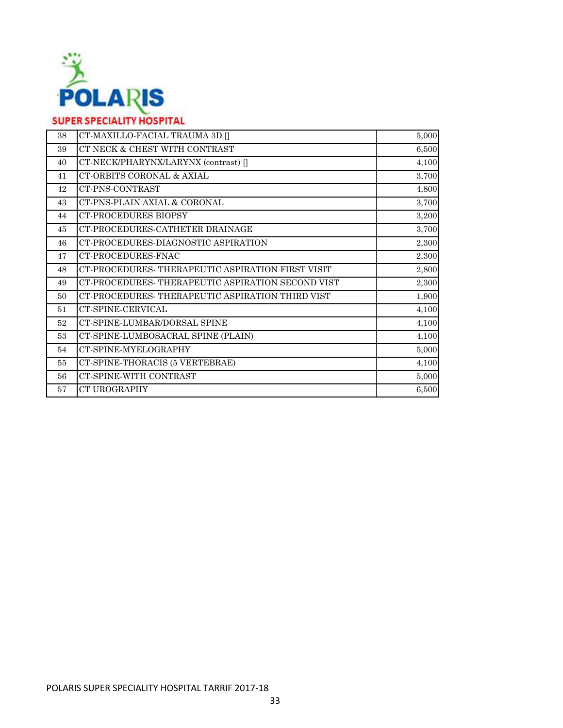

| 38 | CT-MAXILLO-FACIAL TRAUMA 3D                       | 5,000 |
|----|---------------------------------------------------|-------|
| 39 | CT NECK & CHEST WITH CONTRAST                     | 6,500 |
| 40 | CT-NECK/PHARYNX/LARYNX (contrast) []              | 4,100 |
| 41 | CT-ORBITS CORONAL & AXIAL                         | 3,700 |
| 42 | CT-PNS-CONTRAST                                   | 4,800 |
| 43 | CT-PNS-PLAIN AXIAL & CORONAL                      | 3,700 |
| 44 | <b>CT-PROCEDURES BIOPSY</b>                       | 3,200 |
| 45 | CT-PROCEDURES-CATHETER DRAINAGE                   | 3,700 |
| 46 | CT-PROCEDURES-DIAGNOSTIC ASPIRATION               | 2,300 |
| 47 | CT-PROCEDURES-FNAC                                | 2,300 |
| 48 | CT-PROCEDURES- THERAPEUTIC ASPIRATION FIRST VISIT | 2,800 |
| 49 | CT-PROCEDURES-THERAPEUTIC ASPIRATION SECOND VIST  | 2,300 |
| 50 | CT-PROCEDURES-THERAPEUTIC ASPIRATION THIRD VIST   | 1,900 |
| 51 | CT-SPINE-CERVICAL                                 | 4,100 |
| 52 | CT-SPINE-LUMBAR/DORSAL SPINE                      | 4,100 |
| 53 | CT-SPINE-LUMBOSACRAL SPINE (PLAIN)                | 4,100 |
| 54 | CT-SPINE-MYELOGRAPHY                              | 5,000 |
| 55 | CT-SPINE-THORACIS (5 VERTEBRAE)                   | 4,100 |
| 56 | CT-SPINE-WITH CONTRAST                            | 5,000 |
| 57 | <b>CT UROGRAPHY</b>                               | 6,500 |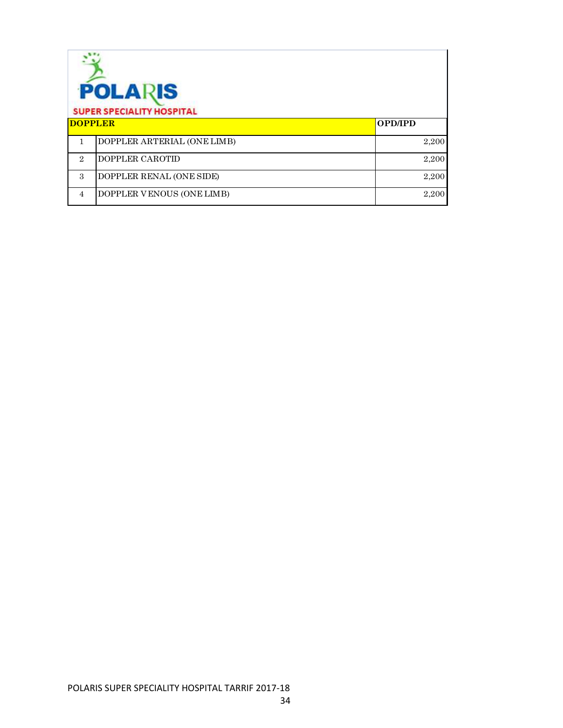| <b>POLARIS</b><br><b>SUPER SPECIALITY HOSPITAL</b> |                             |                |
|----------------------------------------------------|-----------------------------|----------------|
| <b>DOPPLER</b>                                     |                             | <b>OPD/IPD</b> |
|                                                    | DOPPLER ARTERIAL (ONE LIMB) | 2,200          |
| $\mathcal{D}_{\alpha}$                             | DOPPLER CAROTID             | 2,200          |
| 3                                                  | DOPPLER RENAL (ONE SIDE)    | 2,200          |
| $\overline{4}$                                     | DOPPLER VENOUS (ONE LIMB)   | 2,200          |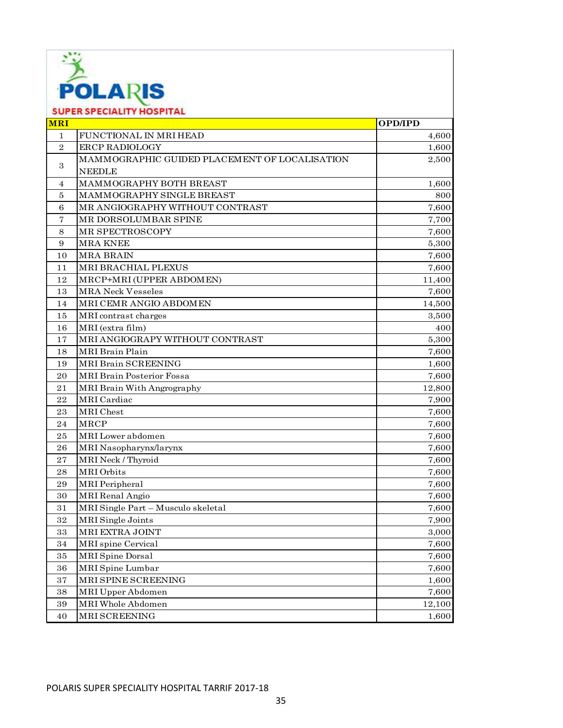

|                  | <b>SUPER SPECIALITY HOSPITAL</b>              |                |
|------------------|-----------------------------------------------|----------------|
| <b>MRI</b>       |                                               | <b>OPD/IPD</b> |
| $\mathbf{1}$     | FUNCTIONAL IN MRI HEAD                        | 4,600          |
| $\boldsymbol{2}$ | <b>ERCP RADIOLOGY</b>                         | 1,600          |
|                  | MAMMOGRAPHIC GUIDED PLACEMENT OF LOCALISATION | 2,500          |
| 3                | <b>NEEDLE</b>                                 |                |
| 4                | MAMMOGRAPHY BOTH BREAST                       | 1,600          |
| 5                | MAMMOGRAPHY SINGLE BREAST                     | 800            |
| 6                | MR ANGIOGRAPHY WITHOUT CONTRAST               | 7,600          |
| 7                | MR DORSOLUMBAR SPINE                          | 7,700          |
| 8                | MR SPECTROSCOPY                               | 7,600          |
| 9                | <b>MRA KNEE</b>                               | 5,300          |
| 10               | <b>MRA BRAIN</b>                              | 7,600          |
| 11               | MRI BRACHIAL PLEXUS                           | 7,600          |
| 12               | MRCP+MRI (UPPER ABDOMEN)                      | 11,400         |
| 13               | <b>MRA Neck Vesseles</b>                      | 7,600          |
| 14               | MRI CEMR ANGIO ABDOMEN                        | 14,500         |
| 15               | MRI contrast charges                          | 3,500          |
| 16               | MRI (extra film)                              | 400            |
| 17               | MRI ANGIOGRAPY WITHOUT CONTRAST               | 5,300          |
| 18               | <b>MRI</b> Brain Plain                        | 7,600          |
| 19               | MRI Brain SCREENING                           | 1,600          |
| $\rm 20$         | <b>MRI Brain Posterior Fossa</b>              | 7,600          |
| 21               | MRI Brain With Angrography                    | 12,800         |
| 22               | <b>MRI</b> Cardiac                            | 7,900          |
| 23               | MRI Chest                                     | 7,600          |
| 24               | MRCP                                          | 7,600          |
| 25               | MRI Lower abdomen                             | 7,600          |
| 26               | MRI Nasopharynx/larynx                        | 7,600          |
| 27               | MRI Neck / Thyroid                            | 7,600          |
| 28               | MRI Orbits                                    | 7,600          |
| 29               | <b>MRI</b> Peripheral                         | 7,600          |
| 30               | <b>MRI</b> Renal Angio                        | 7,600          |
| 31               | MRI Single Part - Musculo skeletal            | 7,600          |
| 32               | MRI Single Joints                             | 7,900          |
| 33               | MRI EXTRA JOINT                               | 3,000          |
| 34               | <b>MRI</b> spine Cervical                     | 7,600          |
| 35               | <b>MRI</b> Spine Dorsal                       | 7,600          |
| 36               | MRI Spine Lumbar                              | 7,600          |
| 37               | MRI SPINE SCREENING                           | 1,600          |
| 38               | MRI Upper Abdomen                             | 7,600          |
| 39               | MRI Whole Abdomen                             | 12,100         |
| 40               | MRI SCREENING                                 | 1,600          |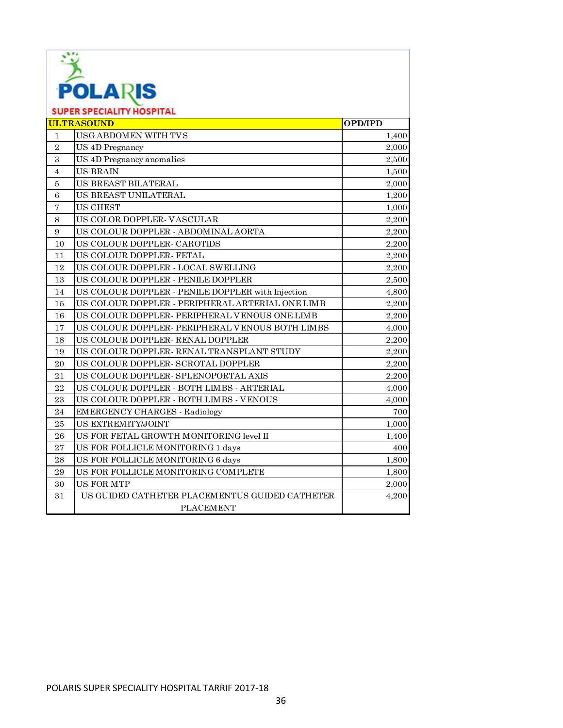

| <b>SUPER SPECIALITY HOSPITAL</b> |                                                   |                |
|----------------------------------|---------------------------------------------------|----------------|
| <b>ULTRASOUND</b>                |                                                   | <b>OPD/IPD</b> |
| 1                                | USG ABDOMEN WITH TVS                              | 1,400          |
| $\overline{2}$                   | US 4D Pregnancy                                   | 2,000          |
| $\,3$                            | US 4D Pregnancy anomalies                         | 2,500          |
| $\overline{4}$                   | <b>US BRAIN</b>                                   | 1,500          |
| $\bf 5$                          | US BREAST BILATERAL                               | 2,000          |
| 6                                | US BREAST UNILATERAL                              | 1,200          |
| $\overline{7}$                   | <b>US CHEST</b>                                   | 1,000          |
| $\,8\,$                          | US COLOR DOPPLER- VASCULAR                        | 2,200          |
| 9                                | US COLOUR DOPPLER - ABDOMINAL AORTA               | 2,200          |
| 10                               | US COLOUR DOPPLER- CAROTIDS                       | 2,200          |
| 11                               | US COLOUR DOPPLER- FETAL                          | 2,200          |
| 12                               | US COLOUR DOPPLER - LOCAL SWELLING                | 2,200          |
| 13                               | US COLOUR DOPPLER - PENILE DOPPLER                | 2,500          |
| 14                               | US COLOUR DOPPLER - PENILE DOPPLER with Injection | 4,800          |
| 15                               | US COLOUR DOPPLER - PERIPHERAL ARTERIAL ONE LIMB  | 2,200          |
| 16                               | US COLOUR DOPPLER- PERIPHERAL VENOUS ONE LIMB     | 2,200          |
| 17                               | US COLOUR DOPPLER- PERIPHERAL VENOUS BOTH LIMBS   | 4,000          |
| 18                               | US COLOUR DOPPLER- RENAL DOPPLER                  | 2,200          |
| 19                               | US COLOUR DOPPLER- RENAL TRANSPLANT STUDY         | 2,200          |
| 20                               | US COLOUR DOPPLER- SCROTAL DOPPLER                | 2,200          |
| 21                               | US COLOUR DOPPLER- SPLENOPORTAL AXIS              | 2,200          |
| 22                               | US COLOUR DOPPLER - BOTH LIMBS - ARTERIAL         | 4,000          |
| 23                               | US COLOUR DOPPLER - BOTH LIMBS - VENOUS           | 4,000          |
| 24                               | <b>EMERGENCY CHARGES - Radiology</b>              | 700            |
| 25                               | US EXTREMITY/JOINT                                | 1,000          |
| 26                               | US FOR FETAL GROWTH MONITORING level II           | 1,400          |
| 27                               | US FOR FOLLICLE MONITORING 1 days                 | 400            |
| ${\bf 28}$                       | US FOR FOLLICLE MONITORING 6 days                 | 1,800          |
| 29                               | US FOR FOLLICLE MONITORING COMPLETE               | 1,800          |
| 30                               | <b>US FOR MTP</b>                                 | 2,000          |
| 31                               | US GUIDED CATHETER PLACEMENTUS GUIDED CATHETER    | 4,200          |
|                                  | <b>PLACEMENT</b>                                  |                |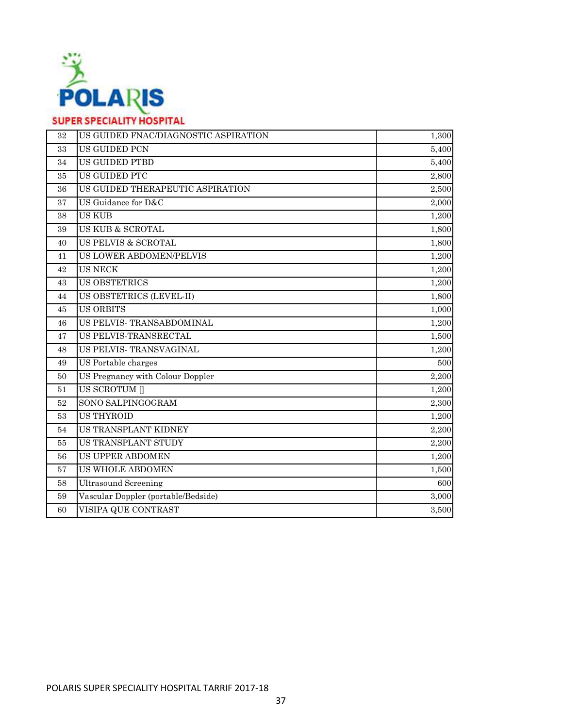

| 32     | US GUIDED FNAC/DIAGNOSTIC ASPIRATION | 1,300 |
|--------|--------------------------------------|-------|
| 33     | US GUIDED PCN                        | 5,400 |
| 34     | <b>US GUIDED PTBD</b>                | 5,400 |
| 35     | US GUIDED PTC                        | 2,800 |
| 36     | US GUIDED THERAPEUTIC ASPIRATION     | 2,500 |
| 37     | US Guidance for D&C                  | 2,000 |
| 38     | <b>US KUB</b>                        | 1,200 |
| 39     | US KUB & SCROTAL                     | 1,800 |
| 40     | <b>US PELVIS &amp; SCROTAL</b>       | 1,800 |
| 41     | <b>US LOWER ABDOMEN/PELVIS</b>       | 1,200 |
| 42     | <b>US NECK</b>                       | 1,200 |
| 43     | <b>US OBSTETRICS</b>                 | 1,200 |
| 44     | US OBSTETRICS (LEVEL-II)             | 1,800 |
| 45     | <b>US ORBITS</b>                     | 1,000 |
| 46     | US PELVIS- TRANSABDOMINAL            | 1,200 |
| 47     | US PELVIS-TRANSRECTAL                | 1,500 |
| 48     | US PELVIS- TRANSVAGINAL              | 1,200 |
| 49     | US Portable charges                  | 500   |
| 50     | US Pregnancy with Colour Doppler     | 2,200 |
| 51     | <b>US SCROTUM []</b>                 | 1,200 |
| $52\,$ | SONO SALPINGOGRAM                    | 2,300 |
| 53     | <b>US THYROID</b>                    | 1,200 |
| 54     | US TRANSPLANT KIDNEY                 | 2,200 |
| 55     | US TRANSPLANT STUDY                  | 2,200 |
| 56     | <b>US UPPER ABDOMEN</b>              | 1,200 |
| 57     | US WHOLE ABDOMEN                     | 1,500 |
| $58\,$ | <b>Ultrasound Screening</b>          | 600   |
| 59     | Vascular Doppler (portable/Bedside)  | 3,000 |
| 60     | VISIPA QUE CONTRAST                  | 3,500 |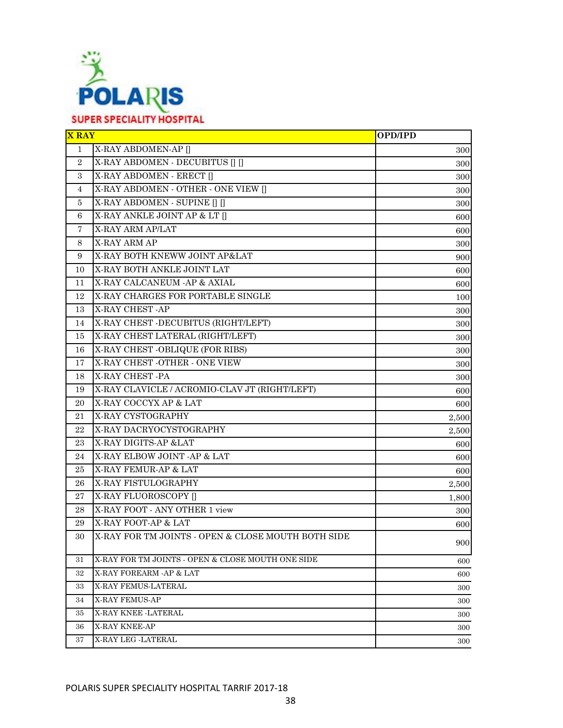

| <b>X RAY</b>   |                                                    | <b>OPD/IPD</b> |
|----------------|----------------------------------------------------|----------------|
| $\mathbf{1}$   | X-RAY ABDOMEN-AP []                                | 300            |
| $\overline{2}$ | X-RAY ABDOMEN - DECUBITUS                          | 300            |
| 3              | X-RAY ABDOMEN - ERECT []                           | 300            |
| 4              | X-RAY ABDOMEN - OTHER - ONE VIEW []                | 300            |
| 5              | X-RAY ABDOMEN - SUPINE [] []                       | 300            |
| 6              | X-RAY ANKLE JOINT AP & LT []                       | 600            |
| 7              | X-RAY ARM AP/LAT                                   | 600            |
| 8              | X-RAY ARM AP                                       | 300            |
| 9              | X-RAY BOTH KNEWW JOINT AP&LAT                      | 900            |
| 10             | X-RAY BOTH ANKLE JOINT LAT                         | 600            |
| 11             | X-RAY CALCANEUM -AP & AXIAL                        | 600            |
| 12             | X-RAY CHARGES FOR PORTABLE SINGLE                  | 100            |
| 13             | X-RAY CHEST -AP                                    | 300            |
| 14             | X-RAY CHEST -DECUBITUS (RIGHT/LEFT)                | 300            |
| 15             | X-RAY CHEST LATERAL (RIGHT/LEFT)                   | 300            |
| 16             | X-RAY CHEST - OBLIQUE (FOR RIBS)                   | 300            |
| 17             | X-RAY CHEST -OTHER - ONE VIEW                      | 300            |
| 18             | X-RAY CHEST -PA                                    | 300            |
| 19             | X-RAY CLAVICLE / ACROMIO-CLAV JT (RIGHT/LEFT)      | 600            |
| 20             | X-RAY COCCYX AP & LAT                              | 600            |
| 21             | X-RAY CYSTOGRAPHY                                  | 2,500          |
| 22             | X-RAY DACRYOCYSTOGRAPHY                            | 2,500          |
| 23             | X-RAY DIGITS-AP &LAT                               | 600            |
| 24             | X-RAY ELBOW JOINT - AP & LAT                       | 600            |
| 25             | X-RAY FEMUR-AP & LAT                               | 600            |
| 26             | X-RAY FISTULOGRAPHY                                | 2,500          |
| 27             | X-RAY FLUOROSCOPY []                               | 1,800          |
| 28             | X-RAY FOOT - ANY OTHER 1 view                      | 300            |
| 29             | X-RAY FOOT-AP & LAT                                | 600            |
| 30             | X-RAY FOR TM JOINTS - OPEN & CLOSE MOUTH BOTH SIDE | 900            |
| 31             | X-RAY FOR TM JOINTS - OPEN & CLOSE MOUTH ONE SIDE  | 600            |
| 32             | X-RAY FOREARM -AP & LAT                            | 600            |
| 33             | X-RAY FEMUS-LATERAL                                | 300            |
| 34             | <b>X-RAY FEMUS-AP</b>                              | 300            |
| 35             | X-RAY KNEE -LATERAL                                | 300            |
| 36             | X-RAY KNEE-AP                                      | 300            |
| 37             | X-RAY LEG -LATERAL                                 | 300            |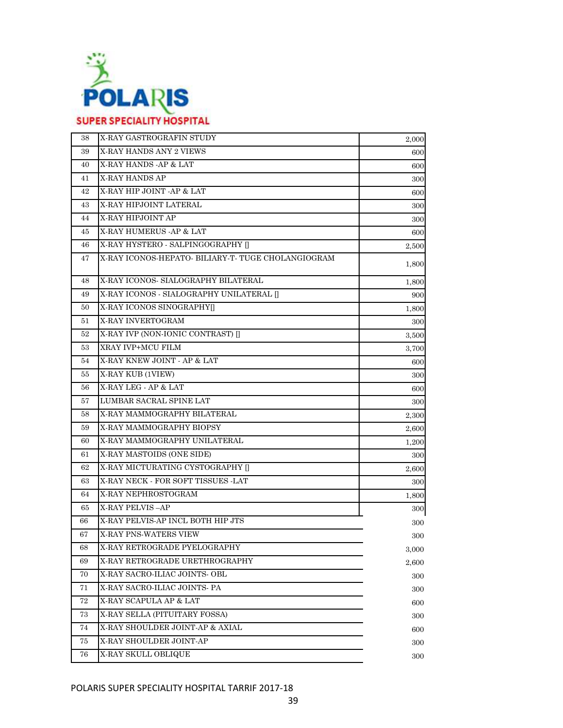

| 38 | X-RAY GASTROGRAFIN STUDY                           | 2,000 |
|----|----------------------------------------------------|-------|
| 39 | X-RAY HANDS ANY 2 VIEWS                            | 600   |
| 40 | X-RAY HANDS - AP & LAT                             | 600   |
| 41 | X-RAY HANDS AP                                     | 300   |
| 42 | X-RAY HIP JOINT - AP & LAT                         | 600   |
| 43 | X-RAY HIPJOINT LATERAL                             | 300   |
| 44 | X-RAY HIPJOINT AP                                  | 300   |
| 45 | X-RAY HUMERUS - AP & LAT                           | 600   |
| 46 | X-RAY HYSTERO - SALPINGOGRAPHY []                  | 2,500 |
| 47 | X-RAY ICONOS-HEPATO- BILIARY-T- TUGE CHOLANGIOGRAM | 1,800 |
| 48 | X-RAY ICONOS- SIALOGRAPHY BILATERAL                | 1,800 |
| 49 | X-RAY ICONOS - SIALOGRAPHY UNILATERAL []           | 900   |
| 50 | X-RAY ICONOS SINOGRAPHY[]                          | 1,800 |
| 51 | X-RAY INVERTOGRAM                                  | 300   |
| 52 | X-RAY IVP (NON-IONIC CONTRAST) []                  | 3,500 |
| 53 | XRAY IVP+MCU FILM                                  | 3,700 |
| 54 | X-RAY KNEW JOINT - AP & LAT                        | 600   |
| 55 | X-RAY KUB (1VIEW)                                  | 300   |
| 56 | X-RAY LEG - AP & LAT                               | 600   |
| 57 | LUMBAR SACRAL SPINE LAT                            | 300   |
| 58 | X-RAY MAMMOGRAPHY BILATERAL                        | 2,300 |
| 59 | X-RAY MAMMOGRAPHY BIOPSY                           | 2,600 |
| 60 | X-RAY MAMMOGRAPHY UNILATERAL                       | 1,200 |
| 61 | X-RAY MASTOIDS (ONE SIDE)                          | 300   |
| 62 | X-RAY MICTURATING CYSTOGRAPHY []                   | 2,600 |
| 63 | X-RAY NECK - FOR SOFT TISSUES -LAT                 | 300   |
| 64 | X-RAY NEPHROSTOGRAM                                | 1,800 |
| 65 | <b>X-RAY PELVIS-AP</b>                             | 300   |
| 66 | X-RAY PELVIS-AP INCL BOTH HIP JTS                  | 300   |
| 67 | X-RAY PNS-WATERS VIEW                              | 300   |
| 68 | X-RAY RETROGRADE PYELOGRAPHY                       | 3,000 |
| 69 | X-RAY RETROGRADE URETHROGRAPHY                     | 2,600 |
| 70 | X-RAY SACRO-ILIAC JOINTS- OBL                      | 300   |
| 71 | X-RAY SACRO-ILIAC JOINTS- PA                       | 300   |
| 72 | X-RAY SCAPULA AP & LAT                             | 600   |
| 73 | X-RAY SELLA (PITUITARY FOSSA)                      | 300   |
| 74 | X-RAY SHOULDER JOINT-AP & AXIAL                    | 600   |
| 75 | X-RAY SHOULDER JOINT-AP                            | 300   |
| 76 | X-RAY SKULL OBLIQUE                                | 300   |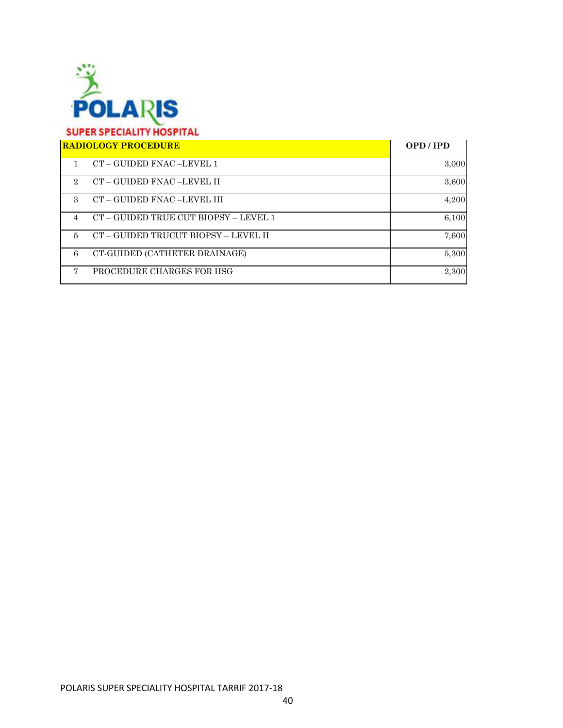

| <b>RADIOLOGY PROCEDURE</b>  |                                             | OPD/IPD |
|-----------------------------|---------------------------------------------|---------|
|                             | CT - GUIDED FNAC -LEVEL 1                   | 3,000   |
| $\mathcal{D}_{\mathcal{L}}$ | CT – GUIDED FNAC –LEVEL II                  | 3,600   |
| $\mathcal{R}$               | CT – GUIDED FNAC –LEVEL III                 | 4,200   |
| 4                           | $CT - GUIDED$ TRUE CUT BIOPSY $-$ LEVEL $1$ | 6,100   |
| 5                           | CT – GUIDED TRUCUT BIOPSY – LEVEL II        | 7,600   |
| 6                           | CT-GUIDED (CATHETER DRAINAGE)               | 5,300   |
|                             | PROCEDURE CHARGES FOR HSG                   | 2,300   |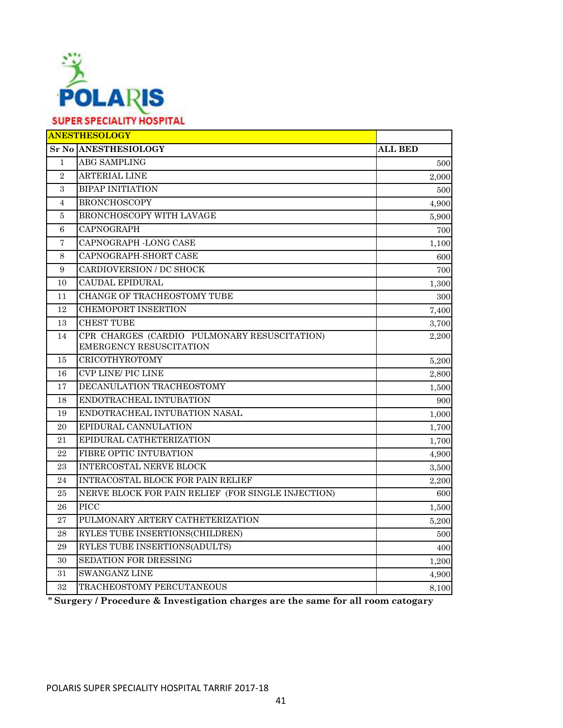

| <b>Sr No ANESTHESIOLOGY</b><br><b>ALL BED</b><br><b>ABG SAMPLING</b><br>$\mathbf{1}$<br><b>ARTERIAL LINE</b><br>$\overline{2}$<br><b>BIPAP INITIATION</b><br>$\boldsymbol{3}$<br><b>BRONCHOSCOPY</b><br>$\overline{4}$<br>BRONCHOSCOPY WITH LAVAGE<br>5<br>CAPNOGRAPH<br>6<br>CAPNOGRAPH -LONG CASE<br>7<br>CAPNOGRAPH-SHORT CASE<br>8<br>CARDIOVERSION / DC SHOCK<br>9<br><b>CAUDAL EPIDURAL</b><br>10<br>CHANGE OF TRACHEOSTOMY TUBE<br>11<br><b>CHEMOPORT INSERTION</b><br>12<br><b>CHEST TUBE</b><br>13<br>CPR CHARGES (CARDIO PULMONARY RESUSCITATION)<br>14<br><b>EMERGENCY RESUSCITATION</b><br>CRICOTHYROTOMY<br>15<br>5,200<br><b>CVP LINE/ PIC LINE</b><br>16<br>2,800<br>DECANULATION TRACHEOSTOMY<br>17<br>1,500<br>ENDOTRACHEAL INTUBATION<br>18<br>ENDOTRACHEAL INTUBATION NASAL<br>19<br>1,000<br>EPIDURAL CANNULATION<br>20<br>1,700<br>EPIDURAL CATHETERIZATION<br>21<br>1,700<br>FIBRE OPTIC INTUBATION<br>22<br>4,900<br>INTERCOSTAL NERVE BLOCK<br>23 | <b>ANESTHESOLOGY</b> |       |
|---------------------------------------------------------------------------------------------------------------------------------------------------------------------------------------------------------------------------------------------------------------------------------------------------------------------------------------------------------------------------------------------------------------------------------------------------------------------------------------------------------------------------------------------------------------------------------------------------------------------------------------------------------------------------------------------------------------------------------------------------------------------------------------------------------------------------------------------------------------------------------------------------------------------------------------------------------------------------|----------------------|-------|
|                                                                                                                                                                                                                                                                                                                                                                                                                                                                                                                                                                                                                                                                                                                                                                                                                                                                                                                                                                           |                      |       |
|                                                                                                                                                                                                                                                                                                                                                                                                                                                                                                                                                                                                                                                                                                                                                                                                                                                                                                                                                                           |                      | 500   |
|                                                                                                                                                                                                                                                                                                                                                                                                                                                                                                                                                                                                                                                                                                                                                                                                                                                                                                                                                                           |                      | 2.000 |
|                                                                                                                                                                                                                                                                                                                                                                                                                                                                                                                                                                                                                                                                                                                                                                                                                                                                                                                                                                           |                      | 500   |
|                                                                                                                                                                                                                                                                                                                                                                                                                                                                                                                                                                                                                                                                                                                                                                                                                                                                                                                                                                           |                      | 4,900 |
|                                                                                                                                                                                                                                                                                                                                                                                                                                                                                                                                                                                                                                                                                                                                                                                                                                                                                                                                                                           |                      | 5,900 |
|                                                                                                                                                                                                                                                                                                                                                                                                                                                                                                                                                                                                                                                                                                                                                                                                                                                                                                                                                                           |                      | 700   |
|                                                                                                                                                                                                                                                                                                                                                                                                                                                                                                                                                                                                                                                                                                                                                                                                                                                                                                                                                                           |                      | 1,100 |
|                                                                                                                                                                                                                                                                                                                                                                                                                                                                                                                                                                                                                                                                                                                                                                                                                                                                                                                                                                           |                      | 600   |
|                                                                                                                                                                                                                                                                                                                                                                                                                                                                                                                                                                                                                                                                                                                                                                                                                                                                                                                                                                           |                      | 700   |
|                                                                                                                                                                                                                                                                                                                                                                                                                                                                                                                                                                                                                                                                                                                                                                                                                                                                                                                                                                           |                      | 1,300 |
|                                                                                                                                                                                                                                                                                                                                                                                                                                                                                                                                                                                                                                                                                                                                                                                                                                                                                                                                                                           |                      | 300   |
|                                                                                                                                                                                                                                                                                                                                                                                                                                                                                                                                                                                                                                                                                                                                                                                                                                                                                                                                                                           |                      | 7,400 |
|                                                                                                                                                                                                                                                                                                                                                                                                                                                                                                                                                                                                                                                                                                                                                                                                                                                                                                                                                                           |                      | 3,700 |
|                                                                                                                                                                                                                                                                                                                                                                                                                                                                                                                                                                                                                                                                                                                                                                                                                                                                                                                                                                           |                      | 2,200 |
|                                                                                                                                                                                                                                                                                                                                                                                                                                                                                                                                                                                                                                                                                                                                                                                                                                                                                                                                                                           |                      |       |
|                                                                                                                                                                                                                                                                                                                                                                                                                                                                                                                                                                                                                                                                                                                                                                                                                                                                                                                                                                           |                      |       |
|                                                                                                                                                                                                                                                                                                                                                                                                                                                                                                                                                                                                                                                                                                                                                                                                                                                                                                                                                                           |                      |       |
|                                                                                                                                                                                                                                                                                                                                                                                                                                                                                                                                                                                                                                                                                                                                                                                                                                                                                                                                                                           |                      | 900   |
|                                                                                                                                                                                                                                                                                                                                                                                                                                                                                                                                                                                                                                                                                                                                                                                                                                                                                                                                                                           |                      |       |
|                                                                                                                                                                                                                                                                                                                                                                                                                                                                                                                                                                                                                                                                                                                                                                                                                                                                                                                                                                           |                      |       |
|                                                                                                                                                                                                                                                                                                                                                                                                                                                                                                                                                                                                                                                                                                                                                                                                                                                                                                                                                                           |                      |       |
|                                                                                                                                                                                                                                                                                                                                                                                                                                                                                                                                                                                                                                                                                                                                                                                                                                                                                                                                                                           |                      |       |
|                                                                                                                                                                                                                                                                                                                                                                                                                                                                                                                                                                                                                                                                                                                                                                                                                                                                                                                                                                           |                      | 3,500 |
| INTRACOSTAL BLOCK FOR PAIN RELIEF<br>24                                                                                                                                                                                                                                                                                                                                                                                                                                                                                                                                                                                                                                                                                                                                                                                                                                                                                                                                   |                      | 2,200 |
| NERVE BLOCK FOR PAIN RELIEF (FOR SINGLE INJECTION)<br>$\bf 25$                                                                                                                                                                                                                                                                                                                                                                                                                                                                                                                                                                                                                                                                                                                                                                                                                                                                                                            |                      | 600   |
| <b>PICC</b><br>26                                                                                                                                                                                                                                                                                                                                                                                                                                                                                                                                                                                                                                                                                                                                                                                                                                                                                                                                                         |                      | 1,500 |
| PULMONARY ARTERY CATHETERIZATION<br>27                                                                                                                                                                                                                                                                                                                                                                                                                                                                                                                                                                                                                                                                                                                                                                                                                                                                                                                                    |                      | 5,200 |
| RYLES TUBE INSERTIONS(CHILDREN)<br>28                                                                                                                                                                                                                                                                                                                                                                                                                                                                                                                                                                                                                                                                                                                                                                                                                                                                                                                                     |                      | 500   |
| RYLES TUBE INSERTIONS(ADULTS)<br>29                                                                                                                                                                                                                                                                                                                                                                                                                                                                                                                                                                                                                                                                                                                                                                                                                                                                                                                                       |                      | 400   |
| <b>SEDATION FOR DRESSING</b><br>30                                                                                                                                                                                                                                                                                                                                                                                                                                                                                                                                                                                                                                                                                                                                                                                                                                                                                                                                        |                      | 1,200 |
| <b>SWANGANZ LINE</b><br>31                                                                                                                                                                                                                                                                                                                                                                                                                                                                                                                                                                                                                                                                                                                                                                                                                                                                                                                                                |                      | 4,900 |
| 32<br>TRACHEOSTOMY PERCUTANEOUS                                                                                                                                                                                                                                                                                                                                                                                                                                                                                                                                                                                                                                                                                                                                                                                                                                                                                                                                           |                      | 8,100 |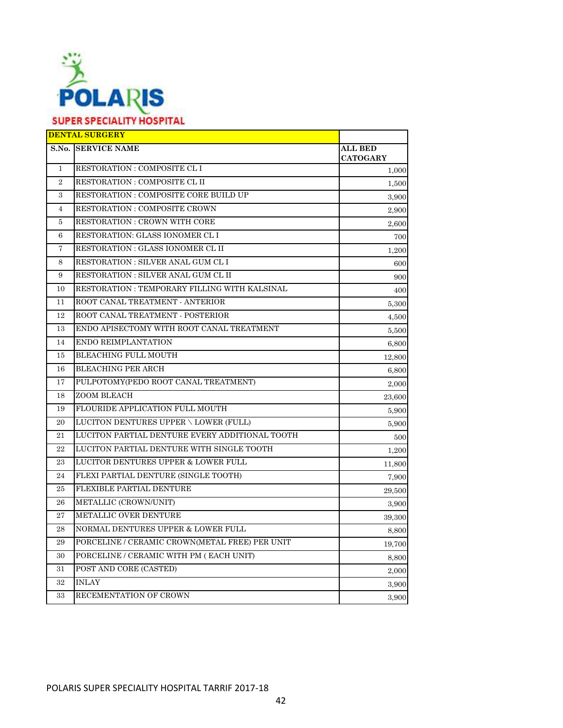

|                | <b>DENTAL SURGERY</b>                          |                            |
|----------------|------------------------------------------------|----------------------------|
|                | <b>S.No. SERVICE NAME</b>                      | ALL BED<br><b>CATOGARY</b> |
| $\mathbf{1}$   | RESTORATION : COMPOSITE CL I                   | 1,000                      |
| $\overline{2}$ | RESTORATION : COMPOSITE CL II                  | 1,500                      |
| 3              | RESTORATION : COMPOSITE CORE BUILD UP          | 3,900                      |
| $\overline{4}$ | RESTORATION : COMPOSITE CROWN                  | 2,900                      |
| 5              | RESTORATION : CROWN WITH CORE                  | 2,600                      |
| 6              | RESTORATION: GLASS IONOMER CL I                | 700                        |
| 7              | RESTORATION : GLASS IONOMER CL II              | 1,200                      |
| 8              | RESTORATION : SILVER ANAL GUM CL I             | 600                        |
| 9              | RESTORATION : SILVER ANAL GUM CL II            | 900                        |
| 10             | RESTORATION : TEMPORARY FILLING WITH KALSINAL  | 400                        |
| 11             | ROOT CANAL TREATMENT - ANTERIOR                | 5,300                      |
| 12             | ROOT CANAL TREATMENT - POSTERIOR               | 4,500                      |
| 13             | ENDO APISECTOMY WITH ROOT CANAL TREATMENT      | 5,500                      |
| 14             | ENDO REIMPLANTATION                            | 6,800                      |
| 15             | <b>BLEACHING FULL MOUTH</b>                    | 12,800                     |
| 16             | BLEACHING PER ARCH                             | 6,800                      |
| 17             | PULPOTOMY(PEDO ROOT CANAL TREATMENT)           | 2,000                      |
| 18             | ZOOM BLEACH                                    | 23,600                     |
| 19             | FLOURIDE APPLICATION FULL MOUTH                | 5.900                      |
| 20             | LUCITON DENTURES UPPER \ LOWER (FULL)          | 5,900                      |
| 21             | LUCITON PARTIAL DENTURE EVERY ADDITIONAL TOOTH | 500                        |
| 22             | LUCITON PARTIAL DENTURE WITH SINGLE TOOTH      | 1,200                      |
| 23             | <b>LUCITOR DENTURES UPPER &amp; LOWER FULL</b> | 11,800                     |
| 24             | FLEXI PARTIAL DENTURE (SINGLE TOOTH)           | 7,900                      |
| $25\,$         | FLEXIBLE PARTIAL DENTURE                       | 29,500                     |
| 26             | METALLIC (CROWN/UNIT)                          | 3,900                      |
| 27             | METALLIC OVER DENTURE                          | 39,300                     |
| 28             | NORMAL DENTURES UPPER & LOWER FULL             | 8,800                      |
| 29             | PORCELINE / CERAMIC CROWN(METAL FREE) PER UNIT | 19,700                     |
| 30             | PORCELINE / CERAMIC WITH PM (EACH UNIT)        | 8,800                      |
| 31             | POST AND CORE (CASTED)                         | 2,000                      |
| 32             | <b>INLAY</b>                                   | 3,900                      |
| 33             | RECEMENTATION OF CROWN                         | 3,900                      |
|                |                                                |                            |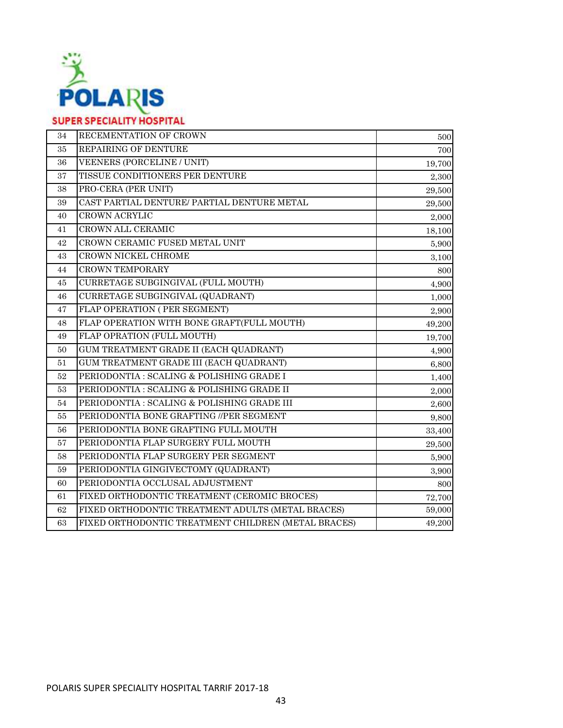

| 34 | RECEMENTATION OF CROWN                              | 500    |
|----|-----------------------------------------------------|--------|
| 35 | REPAIRING OF DENTURE                                | 700    |
| 36 | <b>VEENERS (PORCELINE / UNIT)</b>                   | 19,700 |
| 37 | TISSUE CONDITIONERS PER DENTURE                     | 2,300  |
| 38 | PRO-CERA (PER UNIT)                                 | 29,500 |
| 39 | CAST PARTIAL DENTURE/ PARTIAL DENTURE METAL         | 29,500 |
| 40 | <b>CROWN ACRYLIC</b>                                | 2,000  |
| 41 | CROWN ALL CERAMIC                                   | 18,100 |
| 42 | CROWN CERAMIC FUSED METAL UNIT                      | 5,900  |
| 43 | CROWN NICKEL CHROME                                 | 3,100  |
| 44 | <b>CROWN TEMPORARY</b>                              | 800    |
| 45 | CURRETAGE SUBGINGIVAL (FULL MOUTH)                  | 4,900  |
| 46 | CURRETAGE SUBGINGIVAL (QUADRANT)                    | 1,000  |
| 47 | FLAP OPERATION (PER SEGMENT)                        | 2,900  |
| 48 | FLAP OPERATION WITH BONE GRAFT(FULL MOUTH)          | 49,200 |
| 49 | FLAP OPRATION (FULL MOUTH)                          | 19,700 |
| 50 | GUM TREATMENT GRADE II (EACH QUADRANT)              | 4,900  |
| 51 | GUM TREATMENT GRADE III (EACH QUADRANT)             | 6,800  |
| 52 | PERIODONTIA : SCALING & POLISHING GRADE I           | 1,400  |
| 53 | PERIODONTIA : SCALING & POLISHING GRADE II          | 2,000  |
| 54 | PERIODONTIA : SCALING & POLISHING GRADE III         | 2,600  |
| 55 | PERIODONTIA BONE GRAFTING //PER SEGMENT             | 9,800  |
| 56 | PERIODONTIA BONE GRAFTING FULL MOUTH                | 33,400 |
| 57 | PERIODONTIA FLAP SURGERY FULL MOUTH                 | 29,500 |
| 58 | PERIODONTIA FLAP SURGERY PER SEGMENT                | 5,900  |
| 59 | PERIODONTIA GINGIVECTOMY (QUADRANT)                 | 3,900  |
| 60 | PERIODONTIA OCCLUSAL ADJUSTMENT                     | 800    |
| 61 | FIXED ORTHODONTIC TREATMENT (CEROMIC BROCES)        | 72,700 |
| 62 | FIXED ORTHODONTIC TREATMENT ADULTS (METAL BRACES)   | 59,000 |
| 63 | FIXED ORTHODONTIC TREATMENT CHILDREN (METAL BRACES) | 49,200 |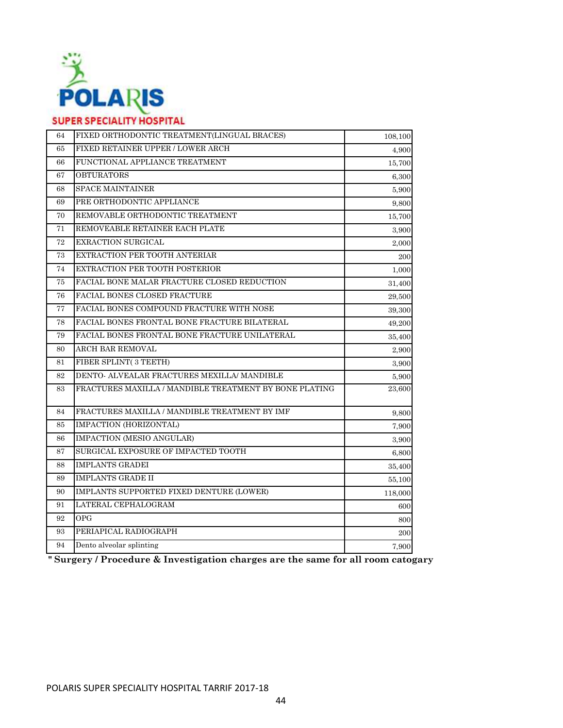

| 64     | FIXED ORTHODONTIC TREATMENT(LINGUAL BRACES)            | 108,100 |
|--------|--------------------------------------------------------|---------|
| 65     | FIXED RETAINER UPPER / LOWER ARCH                      | 4,900   |
| 66     | FUNCTIONAL APPLIANCE TREATMENT                         | 15,700  |
| 67     | <b>OBTURATORS</b>                                      | 6,300   |
| 68     | <b>SPACE MAINTAINER</b>                                | 5,900   |
| 69     | PRE ORTHODONTIC APPLIANCE                              | 9,800   |
| 70     | REMOVABLE ORTHODONTIC TREATMENT                        | 15,700  |
| 71     | REMOVEABLE RETAINER EACH PLATE                         | 3,900   |
| 72     | EXRACTION SURGICAL                                     | 2,000   |
| 73     | EXTRACTION PER TOOTH ANTERIAR                          | 200     |
| $74\,$ | EXTRACTION PER TOOTH POSTERIOR                         | 1,000   |
| 75     | FACIAL BONE MALAR FRACTURE CLOSED REDUCTION            | 31,400  |
| 76     | <b>FACIAL BONES CLOSED FRACTURE</b>                    | 29,500  |
| $77\,$ | FACIAL BONES COMPOUND FRACTURE WITH NOSE               | 39,300  |
| 78     | FACIAL BONES FRONTAL BONE FRACTURE BILATERAL           | 49,200  |
| 79     | FACIAL BONES FRONTAL BONE FRACTURE UNILATERAL          | 35,400  |
| 80     | ARCH BAR REMOVAL                                       | 2,900   |
| 81     | FIBER SPLINT(3 TEETH)                                  | 3,900   |
| $82\,$ | DENTO- ALVEALAR FRACTURES MEXILLA/ MANDIBLE            | 5,900   |
| 83     | FRACTURES MAXILLA / MANDIBLE TREATMENT BY BONE PLATING | 23,600  |
| 84     | FRACTURES MAXILLA / MANDIBLE TREATMENT BY IMF          | 9,800   |
| 85     | IMPACTION (HORIZONTAL)                                 | 7,900   |
| 86     | IMPACTION (MESIO ANGULAR)                              | 3,900   |
| 87     | SURGICAL EXPOSURE OF IMPACTED TOOTH                    | 6,800   |
| 88     | <b>IMPLANTS GRADEI</b>                                 | 35,400  |
| 89     | <b>IMPLANTS GRADE II</b>                               | 55,100  |
| 90     | IMPLANTS SUPPORTED FIXED DENTURE (LOWER)               | 118,000 |
| 91     | LATERAL CEPHALOGRAM                                    | 600     |
| 92     | <b>OPG</b>                                             | 800     |
| 93     | PERIAPICAL RADIOGRAPH                                  | 200     |
| 94     | Dento alveolar splinting                               | 7,900   |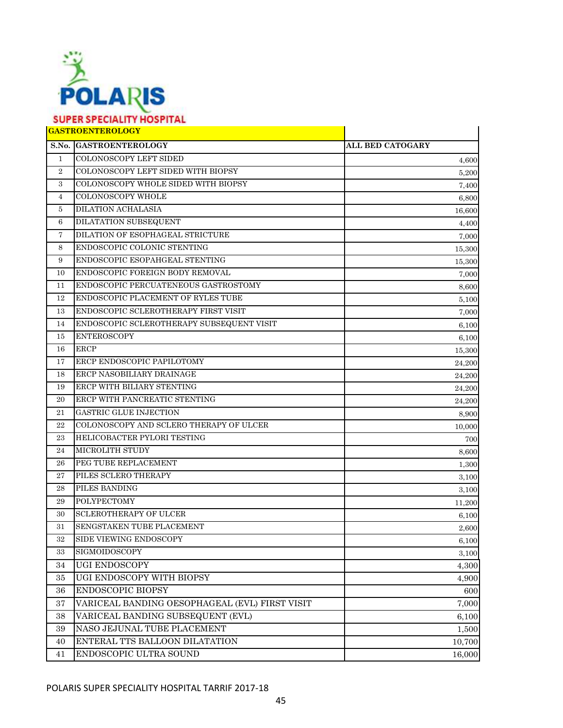

# **GASTROENTEROLOGY**

|                | <b>GASTROENTEROLOGY</b>                        |                  |
|----------------|------------------------------------------------|------------------|
|                | S.No. GASTROENTEROLOGY                         | ALL BED CATOGARY |
| $\mathbf{1}$   | <b>COLONOSCOPY LEFT SIDED</b>                  | 4,600            |
| $\overline{2}$ | COLONOSCOPY LEFT SIDED WITH BIOPSY             | 5,200            |
| 3              | COLONOSCOPY WHOLE SIDED WITH BIOPSY            | 7,400            |
| $\overline{4}$ | <b>COLONOSCOPY WHOLE</b>                       | 6,800            |
| 5              | <b>DILATION ACHALASIA</b>                      | 16,600           |
| 6              | DILATATION SUBSEQUENT                          | 4,400            |
| 7              | DILATION OF ESOPHAGEAL STRICTURE               | 7,000            |
| 8              | ENDOSCOPIC COLONIC STENTING                    | 15,300           |
| 9              | ENDOSCOPIC ESOPAHGEAL STENTING                 | 15,300           |
| 10             | ENDOSCOPIC FOREIGN BODY REMOVAL                | 7,000            |
| 11             | ENDOSCOPIC PERCUATENEOUS GASTROSTOMY           | 8,600            |
| 12             | ENDOSCOPIC PLACEMENT OF RYLES TUBE             | 5,100            |
| 13             | ENDOSCOPIC SCLEROTHERAPY FIRST VISIT           | 7,000            |
| 14             | ENDOSCOPIC SCLEROTHERAPY SUBSEQUENT VISIT      | 6,100            |
| 15             | <b>ENTEROSCOPY</b>                             | 6,100            |
| 16             | <b>ERCP</b>                                    | 15,300           |
| 17             | <b>ERCP ENDOSCOPIC PAPILOTOMY</b>              | 24,200           |
| 18             | ERCP NASOBILIARY DRAINAGE                      | 24,200           |
| 19             | ERCP WITH BILIARY STENTING                     | 24,200           |
| 20             | ERCP WITH PANCREATIC STENTING                  | 24,200           |
| 21             | <b>GASTRIC GLUE INJECTION</b>                  | 8,900            |
| 22             | COLONOSCOPY AND SCLERO THERAPY OF ULCER        | 10,000           |
| 23             | HELICOBACTER PYLORI TESTING                    | 700              |
| 24             | <b>MICROLITH STUDY</b>                         | 8,600            |
| 26             | PEG TUBE REPLACEMENT                           | 1,300            |
| 27             | PILES SCLERO THERAPY                           | 3,100            |
| 28             | PILES BANDING                                  | 3,100            |
| 29             | <b>POLYPECTOMY</b>                             | 11,200           |
| 30             | <b>SCLEROTHERAPY OF ULCER</b>                  | 6,100            |
| 31             | <b>SENGSTAKEN TUBE PLACEMENT</b>               | 2,600            |
| 32             | SIDE VIEWING ENDOSCOPY                         | 6,100            |
| 33             | SIGMOIDOSCOPY                                  | 3,100            |
| 34             | UGI ENDOSCOPY                                  | 4,300            |
| 35             | UGI ENDOSCOPY WITH BIOPSY                      | 4,900            |
| 36             | <b>ENDOSCOPIC BIOPSY</b>                       | 600              |
| 37             | VARICEAL BANDING OESOPHAGEAL (EVL) FIRST VISIT | 7,000            |
| 38             | VARICEAL BANDING SUBSEQUENT (EVL)              | 6,100            |
| 39             | NASO JEJUNAL TUBE PLACEMENT                    | 1,500            |
| 40             | ENTERAL TTS BALLOON DILATATION                 | 10,700           |
| 41             | ENDOSCOPIC ULTRA SOUND                         | 16,000           |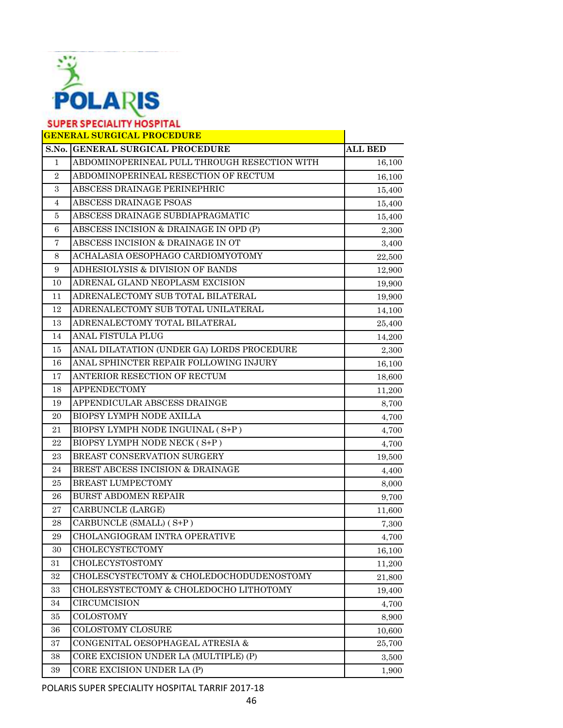

|                | <b>GENERAL SURGICAL PROCEDURE</b>            |                |
|----------------|----------------------------------------------|----------------|
|                | S.No. GENERAL SURGICAL PROCEDURE             | <b>ALL BED</b> |
| $\mathbf{1}$   | ABDOMINOPERINEAL PULL THROUGH RESECTION WITH | 16,100         |
| $\mathbf{2}$   | ABDOMINOPERINEAL RESECTION OF RECTUM         | 16,100         |
| $\,3$          | ABSCESS DRAINAGE PERINEPHRIC                 | 15,400         |
| $\overline{4}$ | ABSCESS DRAINAGE PSOAS                       | 15,400         |
| 5              | ABSCESS DRAINAGE SUBDIAPRAGMATIC             | 15,400         |
| 6              | ABSCESS INCISION & DRAINAGE IN OPD (P)       | 2,300          |
| $\overline{7}$ | ABSCESS INCISION & DRAINAGE IN OT            | 3,400          |
| 8              | ACHALASIA OESOPHAGO CARDIOMYOTOMY            | 22,500         |
| 9              | ADHESIOLYSIS & DIVISION OF BANDS             | 12,900         |
| 10             | ADRENAL GLAND NEOPLASM EXCISION              | 19,900         |
| 11             | ADRENALECTOMY SUB TOTAL BILATERAL            | 19,900         |
| 12             | ADRENALECTOMY SUB TOTAL UNILATERAL           | 14,100         |
| 13             | ADRENALECTOMY TOTAL BILATERAL                | 25,400         |
| 14             | ANAL FISTULA PLUG                            | 14,200         |
| 15             | ANAL DILATATION (UNDER GA) LORDS PROCEDURE   | 2,300          |
| 16             | ANAL SPHINCTER REPAIR FOLLOWING INJURY       | 16,100         |
| 17             | ANTERIOR RESECTION OF RECTUM                 | 18,600         |
| 18             | <b>APPENDECTOMY</b>                          | 11,200         |
| 19             | APPENDICULAR ABSCESS DRAINGE                 | 8,700          |
| 20             | BIOPSY LYMPH NODE AXILLA                     | 4,700          |
| 21             | BIOPSY LYMPH NODE INGUINAL (S+P)             | 4,700          |
| 22             | BIOPSY LYMPH NODE NECK (S+P)                 | 4,700          |
| 23             | BREAST CONSERVATION SURGERY                  | 19,500         |
| 24             | BREST ABCESS INCISION & DRAINAGE             | 4,400          |
| $\bf 25$       | BREAST LUMPECTOMY                            | 8,000          |
| 26             | <b>BURST ABDOMEN REPAIR</b>                  | 9,700          |
| $\sqrt{27}$    | CARBUNCLE (LARGE)                            | 11,600         |
| 28             | CARBUNCLE (SMALL) (S+P)                      | 7,300          |
| 29             | CHOLANGIOGRAM INTRA OPERATIVE                | 4,700          |
| 30             | <b>CHOLECYSTECTOMY</b>                       | 16,100         |
| 31             | CHOLECYSTOSTOMY                              | 11,200         |
| 32             | CHOLESCYSTECTOMY & CHOLEDOCHODUDENOSTOMY     | 21,800         |
| $33\,$         | CHOLESYSTECTOMY & CHOLEDOCHO LITHOTOMY       | 19,400         |
| 34             | CIRCUMCISION                                 | 4,700          |
| 35             | <b>COLOSTOMY</b>                             | 8,900          |
| 36             | COLOSTOMY CLOSURE                            | 10,600         |
| $\rm 37$       | CONGENITAL OESOPHAGEAL ATRESIA &             | 25,700         |
| 38             | CORE EXCISION UNDER LA (MULTIPLE) (P)        | 3,500          |
| 39             | CORE EXCISION UNDER LA (P)                   | 1,900          |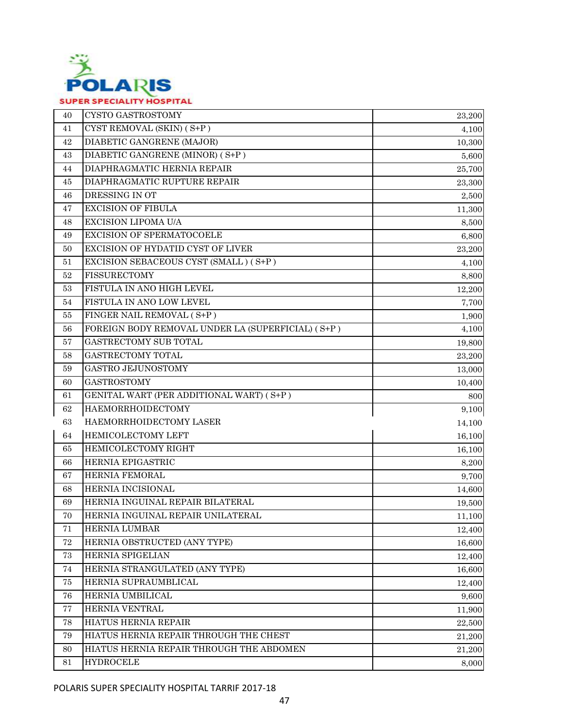

| 40       | CYSTO GASTROSTOMY                                 | 23,200 |
|----------|---------------------------------------------------|--------|
| 41       | CYST REMOVAL (SKIN) (S+P)                         | 4,100  |
| 42       | <b>DIABETIC GANGRENE (MAJOR)</b>                  | 10,300 |
| 43       | DIABETIC GANGRENE (MINOR) (S+P)                   | 5,600  |
| 44       | DIAPHRAGMATIC HERNIA REPAIR                       | 25,700 |
| 45       | DIAPHRAGMATIC RUPTURE REPAIR                      | 23,300 |
| 46       | DRESSING IN OT                                    | 2,500  |
| 47       | <b>EXCISION OF FIBULA</b>                         | 11,300 |
| 48       | <b>EXCISION LIPOMA U/A</b>                        | 8,500  |
| 49       | <b>EXCISION OF SPERMATOCOELE</b>                  | 6,800  |
| 50       | EXCISION OF HYDATID CYST OF LIVER                 | 23,200 |
| 51       | EXCISION SEBACEOUS CYST (SMALL) (S+P)             | 4,100  |
| 52       | <b>FISSURECTOMY</b>                               | 8,800  |
| 53       | FISTULA IN ANO HIGH LEVEL                         | 12,200 |
| 54       | FISTULA IN ANO LOW LEVEL                          | 7,700  |
| 55       | FINGER NAIL REMOVAL (S+P)                         | 1,900  |
| 56       | FOREIGN BODY REMOVAL UNDER LA (SUPERFICIAL) (S+P) | 4,100  |
| 57       | <b>GASTRECTOMY SUB TOTAL</b>                      | 19,800 |
| 58       | <b>GASTRECTOMY TOTAL</b>                          | 23,200 |
| 59       | <b>GASTRO JEJUNOSTOMY</b>                         | 13,000 |
| 60       | <b>GASTROSTOMY</b>                                | 10,400 |
| 61       | GENITAL WART (PER ADDITIONAL WART) (S+P)          | 800    |
| $62\,$   | <b>HAEMORRHOIDECTOMY</b>                          | 9,100  |
| 63       | HAEMORRHOIDECTOMY LASER                           | 14,100 |
| 64       | <b>HEMICOLECTOMY LEFT</b>                         | 16,100 |
| 65       | HEMICOLECTOMY RIGHT                               | 16,100 |
| 66       | HERNIA EPIGASTRIC                                 | 8,200  |
| 67       | <b>HERNIA FEMORAL</b>                             | 9,700  |
| 68       | HERNIA INCISIONAL                                 | 14,600 |
| 69       | HERNIA INGUINAL REPAIR BILATERAL                  | 19,500 |
| 70       | HERNIA INGUINAL REPAIR UNILATERAL                 | 11,100 |
| 71       | HERNIA LUMBAR                                     | 12,400 |
| $72\,$   | HERNIA OBSTRUCTED (ANY TYPE)                      | 16,600 |
| 73       | <b>HERNIA SPIGELIAN</b>                           | 12,400 |
| 74       | HERNIA STRANGULATED (ANY TYPE)                    | 16,600 |
| 75       | HERNIA SUPRAUMBLICAL                              | 12,400 |
| 76       | HERNIA UMBILICAL                                  | 9,600  |
| $\!\!77$ | HERNIA VENTRAL                                    | 11,900 |
| 78       | HIATUS HERNIA REPAIR                              | 22,500 |
| 79       | HIATUS HERNIA REPAIR THROUGH THE CHEST            | 21,200 |
| 80       | HIATUS HERNIA REPAIR THROUGH THE ABDOMEN          | 21,200 |
| 81       | <b>HYDROCELE</b>                                  | 8,000  |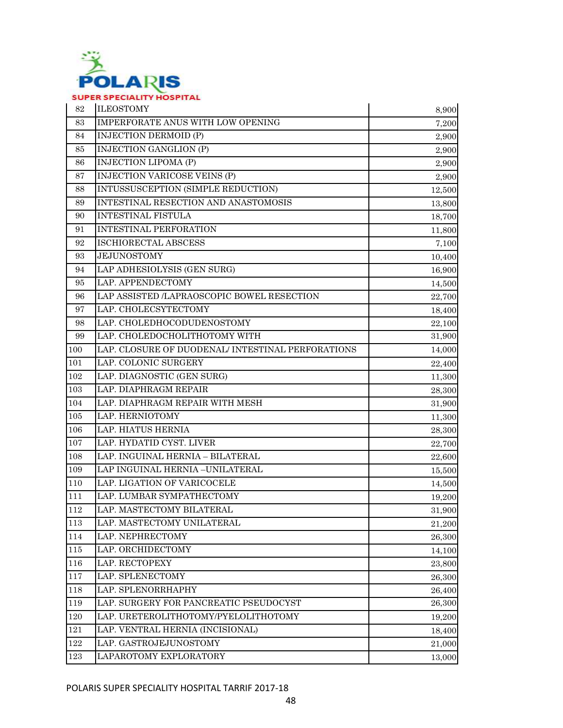

| 82      | <b>ILEOSTOMY</b>                                  | 8,900  |
|---------|---------------------------------------------------|--------|
| 83      | IMPERFORATE ANUS WITH LOW OPENING                 | 7,200  |
| 84      | <b>INJECTION DERMOID (P)</b>                      | 2,900  |
| 85      | <b>INJECTION GANGLION (P)</b>                     | 2,900  |
| 86      | <b>INJECTION LIPOMA (P)</b>                       | 2,900  |
| 87      | <b>INJECTION VARICOSE VEINS (P)</b>               | 2,900  |
| 88      | INTUSSUSCEPTION (SIMPLE REDUCTION)                | 12,500 |
| 89      | INTESTINAL RESECTION AND ANASTOMOSIS              | 13,800 |
| 90      | <b>INTESTINAL FISTULA</b>                         | 18,700 |
| 91      | <b>INTESTINAL PERFORATION</b>                     | 11,800 |
| 92      | <b>ISCHIORECTAL ABSCESS</b>                       | 7,100  |
| 93      | <b>JEJUNOSTOMY</b>                                | 10,400 |
| 94      | LAP ADHESIOLYSIS (GEN SURG)                       | 16,900 |
| 95      | LAP. APPENDECTOMY                                 | 14,500 |
| 96      | LAP ASSISTED /LAPRAOSCOPIC BOWEL RESECTION        | 22,700 |
| 97      | LAP. CHOLECSYTECTOMY                              | 18,400 |
| 98      | LAP. CHOLEDHOCODUDENOSTOMY                        | 22,100 |
| 99      | LAP. CHOLEDOCHOLITHOTOMY WITH                     | 31,900 |
| 100     | LAP. CLOSURE OF DUODENAL/ INTESTINAL PERFORATIONS | 14,000 |
| 101     | LAP. COLONIC SURGERY                              | 22,400 |
| 102     | LAP. DIAGNOSTIC (GEN SURG)                        | 11,300 |
| 103     | LAP. DIAPHRAGM REPAIR                             | 28,300 |
| 104     | LAP. DIAPHRAGM REPAIR WITH MESH                   | 31,900 |
| 105     | LAP. HERNIOTOMY                                   | 11,300 |
| 106     | LAP. HIATUS HERNIA                                | 28,300 |
| 107     | LAP. HYDATID CYST. LIVER                          | 22,700 |
| 108     | LAP. INGUINAL HERNIA - BILATERAL                  | 22,600 |
| 109     | LAP INGUINAL HERNIA -UNILATERAL                   | 15,500 |
| 110     | LAP. LIGATION OF VARICOCELE                       | 14,500 |
| 111     | LAP. LUMBAR SYMPATHECTOMY                         | 19,200 |
| 112     | LAP. MASTECTOMY BILATERAL                         | 31,900 |
| 113     | LAP. MASTECTOMY UNILATERAL                        | 21,200 |
| 114     | LAP. NEPHRECTOMY                                  | 26,300 |
| 115     | LAP. ORCHIDECTOMY                                 | 14,100 |
| 116     | LAP. RECTOPEXY                                    | 23,800 |
| 117     | LAP. SPLENECTOMY                                  | 26,300 |
| 118     | LAP. SPLENORRHAPHY                                | 26,400 |
| 119     | LAP. SURGERY FOR PANCREATIC PSEUDOCYST            | 26,300 |
| $120\,$ | LAP. URETEROLITHOTOMY/PYELOLITHOTOMY              | 19,200 |
| 121     | LAP. VENTRAL HERNIA (INCISIONAL)                  | 18,400 |
| 122     | LAP. GASTROJEJUNOSTOMY                            | 21,000 |
| 123     | LAPAROTOMY EXPLORATORY                            | 13,000 |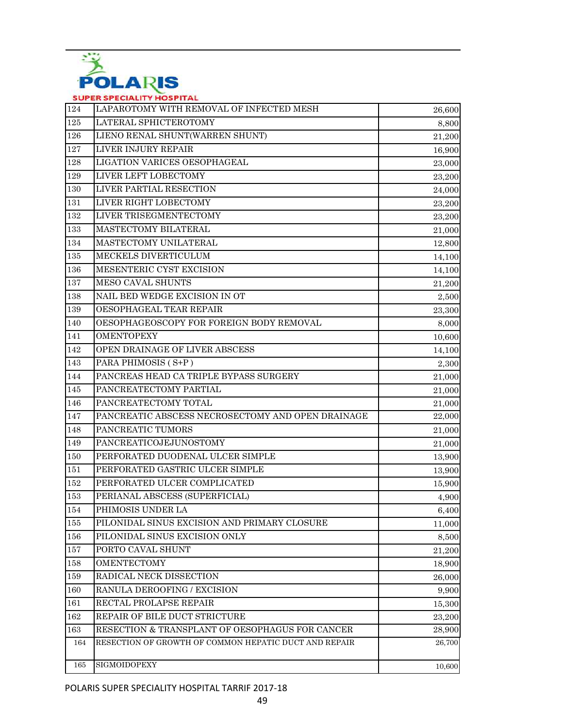

| 124 | LAPAROTOMY WITH REMOVAL OF INFECTED MESH              | 26,600 |
|-----|-------------------------------------------------------|--------|
| 125 | LATERAL SPHICTEROTOMY                                 | 8,800  |
| 126 | LIENO RENAL SHUNT(WARREN SHUNT)                       | 21,200 |
| 127 | LIVER INJURY REPAIR                                   | 16,900 |
| 128 | LIGATION VARICES OESOPHAGEAL                          | 23,000 |
| 129 | LIVER LEFT LOBECTOMY                                  | 23,200 |
| 130 | LIVER PARTIAL RESECTION                               | 24,000 |
| 131 | LIVER RIGHT LOBECTOMY                                 | 23,200 |
| 132 | LIVER TRISEGMENTECTOMY                                | 23,200 |
| 133 | MASTECTOMY BILATERAL                                  | 21,000 |
| 134 | MASTECTOMY UNILATERAL                                 | 12,800 |
| 135 | MECKELS DIVERTICULUM                                  | 14,100 |
| 136 | MESENTERIC CYST EXCISION                              | 14,100 |
| 137 | <b>MESO CAVAL SHUNTS</b>                              | 21,200 |
| 138 | NAIL BED WEDGE EXCISION IN OT                         | 2,500  |
| 139 | OESOPHAGEAL TEAR REPAIR                               | 23,300 |
| 140 | OESOPHAGEOSCOPY FOR FOREIGN BODY REMOVAL              | 8,000  |
| 141 | <b>OMENTOPEXY</b>                                     | 10,600 |
| 142 | OPEN DRAINAGE OF LIVER ABSCESS                        | 14,100 |
| 143 | PARA PHIMOSIS (S+P)                                   | 2,300  |
| 144 | PANCREAS HEAD CA TRIPLE BYPASS SURGERY                | 21,000 |
| 145 | PANCREATECTOMY PARTIAL                                | 21,000 |
| 146 | PANCREATECTOMY TOTAL                                  | 21,000 |
| 147 | PANCREATIC ABSCESS NECROSECTOMY AND OPEN DRAINAGE     | 22,000 |
| 148 | PANCREATIC TUMORS                                     | 21,000 |
| 149 | PANCREATICOJEJUNOSTOMY                                | 21,000 |
| 150 | PERFORATED DUODENAL ULCER SIMPLE                      | 13,900 |
| 151 | PERFORATED GASTRIC ULCER SIMPLE                       | 13,900 |
| 152 | PERFORATED ULCER COMPLICATED                          | 15,900 |
| 153 | PERIANAL ABSCESS (SUPERFICIAL)                        | 4,900  |
| 154 | PHIMOSIS UNDER LA                                     | 6,400  |
| 155 | PILONIDAL SINUS EXCISION AND PRIMARY CLOSURE          | 11,000 |
| 156 | PILONIDAL SINUS EXCISION ONLY                         | 8,500  |
| 157 | PORTO CAVAL SHUNT                                     | 21,200 |
| 158 | <b>OMENTECTOMY</b>                                    | 18,900 |
| 159 | RADICAL NECK DISSECTION                               | 26,000 |
| 160 | RANULA DEROOFING / EXCISION                           | 9,900  |
| 161 | RECTAL PROLAPSE REPAIR                                | 15,300 |
| 162 | REPAIR OF BILE DUCT STRICTURE                         | 23,200 |
| 163 | RESECTION & TRANSPLANT OF OESOPHAGUS FOR CANCER       | 28,900 |
| 164 | RESECTION OF GROWTH OF COMMON HEPATIC DUCT AND REPAIR | 26,700 |
| 165 | SIGMOIDOPEXY                                          | 10,600 |
|     |                                                       |        |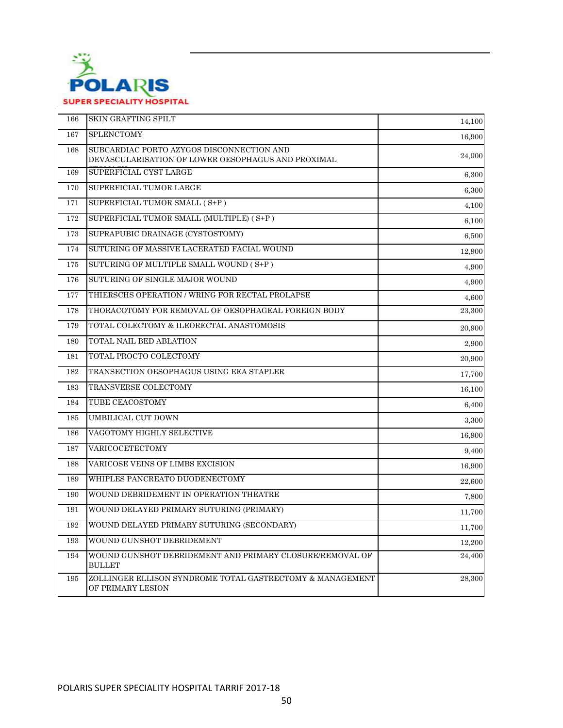

| 166 | SKIN GRAFTING SPILT                                                                             | 14,100 |
|-----|-------------------------------------------------------------------------------------------------|--------|
| 167 | <b>SPLENCTOMY</b>                                                                               | 16,900 |
| 168 | SUBCARDIAC PORTO AZYGOS DISCONNECTION AND<br>DEVASCULARISATION OF LOWER OESOPHAGUS AND PROXIMAL | 24,000 |
| 169 | SUPERFICIAL CYST LARGE                                                                          | 6,300  |
| 170 | SUPERFICIAL TUMOR LARGE                                                                         | 6,300  |
| 171 | SUPERFICIAL TUMOR SMALL (S+P)                                                                   | 4,100  |
| 172 | SUPERFICIAL TUMOR SMALL (MULTIPLE) (S+P)                                                        | 6,100  |
| 173 | SUPRAPUBIC DRAINAGE (CYSTOSTOMY)                                                                | 6,500  |
| 174 | SUTURING OF MASSIVE LACERATED FACIAL WOUND                                                      | 12,900 |
| 175 | SUTURING OF MULTIPLE SMALL WOUND (S+P)                                                          | 4,900  |
| 176 | SUTURING OF SINGLE MAJOR WOUND                                                                  | 4,900  |
| 177 | THIERSCHS OPERATION / WRING FOR RECTAL PROLAPSE                                                 | 4,600  |
| 178 | THORACOTOMY FOR REMOVAL OF OESOPHAGEAL FOREIGN BODY                                             | 23,300 |
| 179 | TOTAL COLECTOMY & ILEORECTAL ANASTOMOSIS                                                        | 20,900 |
| 180 | TOTAL NAIL BED ABLATION                                                                         | 2,900  |
| 181 | TOTAL PROCTO COLECTOMY                                                                          | 20,900 |
| 182 | TRANSECTION OESOPHAGUS USING EEA STAPLER                                                        | 17,700 |
| 183 | TRANSVERSE COLECTOMY                                                                            | 16,100 |
| 184 | TUBE CEACOSTOMY                                                                                 | 6,400  |
| 185 | UMBILICAL CUT DOWN                                                                              | 3,300  |
| 186 | VAGOTOMY HIGHLY SELECTIVE                                                                       | 16,900 |
| 187 | VARICOCETECTOMY                                                                                 | 9,400  |
| 188 | VARICOSE VEINS OF LIMBS EXCISION                                                                | 16,900 |
| 189 | WHIPLES PANCREATO DUODENECTOMY                                                                  | 22,600 |
| 190 | WOUND DEBRIDEMENT IN OPERATION THEATRE                                                          | 7,800  |
| 191 | WOUND DELAYED PRIMARY SUTURING (PRIMARY)                                                        | 11,700 |
| 192 | WOUND DELAYED PRIMARY SUTURING (SECONDARY)                                                      | 11,700 |
| 193 | WOUND GUNSHOT DEBRIDEMENT                                                                       | 12,200 |
| 194 | WOUND GUNSHOT DEBRIDEMENT AND PRIMARY CLOSURE/REMOVAL OF<br><b>BULLET</b>                       | 24,400 |
| 195 | ZOLLINGER ELLISON SYNDROME TOTAL GASTRECTOMY & MANAGEMENT<br>OF PRIMARY LESION                  | 28,300 |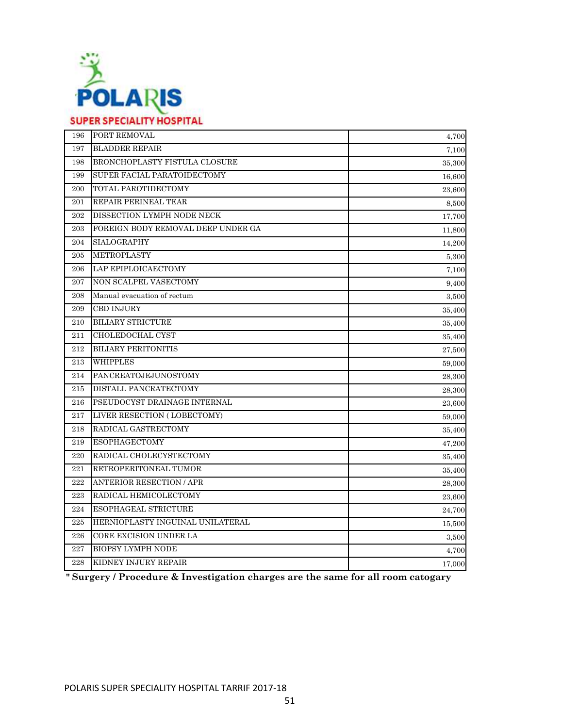

### 196 PORT REMOVAL 197 BLADDER REPAIR 198 BRONCHOPLASTY FISTULA CLOSURE 199 SUPER FACIAL PARATOIDECTOMY 200 TOTAL PAROTIDECTOMY 201 REPAIR PERINEAL TEAR 202 DISSECTION LYMPH NODE NECK 203 FOREIGN BODY REMOVAL DEEP UNDER GA 204 SIALOGRAPHY 205 METROPLASTY 206 LAP EPIPLOICAECTOMY 207 NON SCALPEL VASECTOMY 208 Manual evacuation of rectum 209 CBD INJURY 210 BILIARY STRICTURE 211 CHOLEDOCHAL CYST 212 BILIARY PERITONITIS 213 WHIPPLES 214 PANCREATOJEJUNOSTOMY 215 DISTALL PANCRATECTOMY 216 PSEUDOCYST DRAINAGE INTERNAL 217 LIVER RESECTION ( LOBECTOMY) 218 RADICAL GASTRECTOMY 219 ESOPHAGECTOMY 220 RADICAL CHOLECYSTECTOMY 221 RETROPERITONEAL TUMOR 222 ANTERIOR RESECTION / APR 223 RADICAL HEMICOLECTOMY 224 ESOPHAGEAL STRICTURE 225 HERNIOPLASTY INGUINAL UNILATERAL 226 CORE EXCISION UNDER LA 227 BIOPSY LYMPH NODE 228 KIDNEY INJURY REPAIR 15,500 3,500 4,700 17,000 47,200 35,400 35,400 28,300 23,600 24,700 35,400 9,400 3,500 35,400 35,400 35,400 27,500 59,000 28,300 28,300 23,600 59,000 7,100 4,700 7,100 35,300 16,600 23,600 8,500 17,700 11,800 14,200 5,300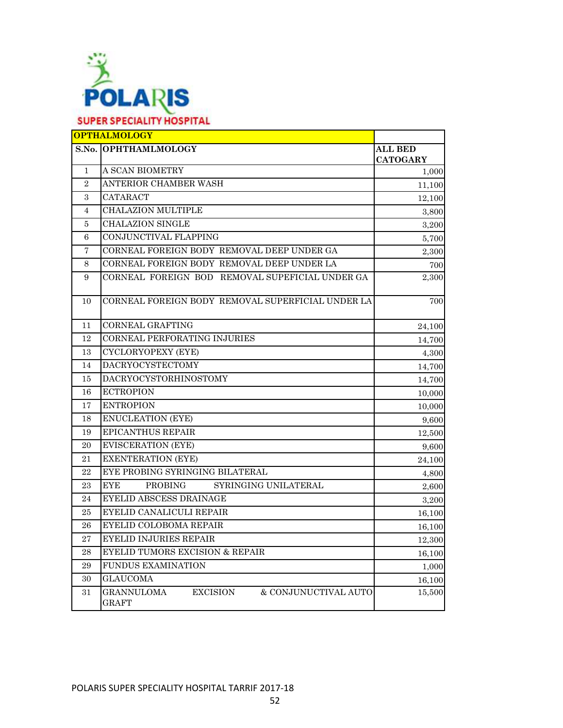

### **S.No. OPHTHAMLMOLOGY ALL BED CATOGARY** 1 A SCAN BIOMETRY 1,000 2 ANTERIOR CHAMBER WASH 11,100  $3 \begin{array}{|c|c|c|c|c|c|} \hline \text{CATARACT} & & & & 12,100 \ \hline \end{array}$ 4 CHALAZION MULTIPLE 3,800 5 CHALAZION SINGLE 3,200 6 CONJUNCTIVAL FLAPPING 5,700 7 CORNEAL FOREIGN BODY REMOVAL DEEP UNDER GA 2,300 8 CORNEAL FOREIGN BODY REMOVAL DEEP UNDER LA 700 9 CORNEAL FOREIGN BOD REMOVAL SUPEFICIAL UNDER GA 2.300 10 CORNEAL FOREIGN BODY REMOVAL SUPERFICIAL UNDER LA 700 11 CORNEAL GRAFTING 24,100 12 CORNEAL PERFORATING INJURIES 14,700 13 CYCLORYOPEXY (EYE) 4,300 14 DACRYOCYSTECTOMY 14,700 15 DACRYOCYSTORHINOSTOMY 14,700 16 ECTROPION 10,000 17 ENTROPION 10,000 18 ENUCLEATION (EYE) 9,600 19 EPICANTHUS REPAIR 12,500 20 EVISCERATION (EYE) 9,600 21 EXENTERATION (EYE) 24,100 22 EYE PROBING SYRINGING BILATERAL 4,800 23 EYE PROBING SYRINGING UNILATERAL 2,600 24 EYELID ABSCESS DRAINAGE 3,200 25 EYELID CANALICULI REPAIR 16,100 26 EYELID COLOBOMA REPAIR 16,100 27 EYELID INJURIES REPAIR 12,300 28 EYELID TUMORS EXCISION & REPAIR 16.100 29 FUNDUS EXAMINATION 1,000 30 GLAUCOMA 16,100 31 GRANNULOMA EXCISION & CONJUNUCTIVAL AUTO GRAFT 15,500 **OPTHALMOLOGY**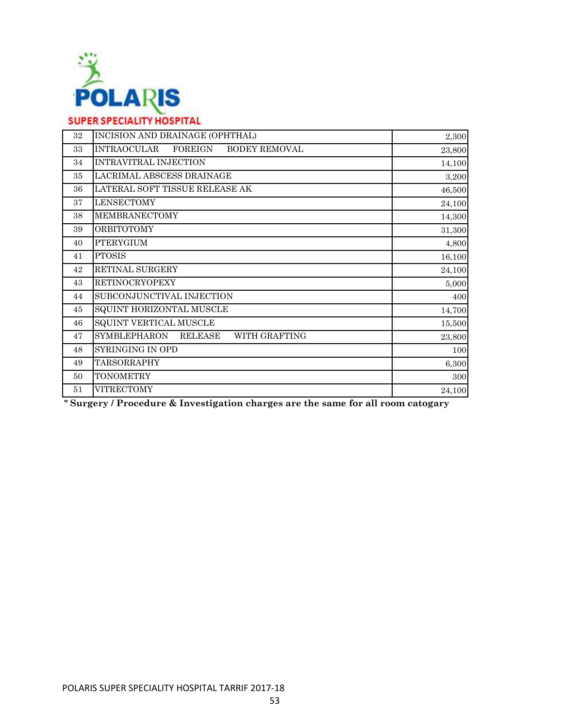

| 32 | INCISION AND DRAINAGE (OPHTHAL)                       | 2,300  |
|----|-------------------------------------------------------|--------|
| 33 | <b>INTRAOCULAR</b><br>FOREIGN<br><b>BODEY REMOVAL</b> | 23,800 |
| 34 | INTRAVITRAL INJECTION                                 | 14,100 |
| 35 | LACRIMAL ABSCESS DRAINAGE                             | 3,200  |
| 36 | LATERAL SOFT TISSUE RELEASE AK                        | 46,500 |
| 37 | <b>LENSECTOMY</b>                                     | 24,100 |
| 38 | <b>MEMBRANECTOMY</b>                                  | 14,300 |
| 39 | <b>ORBITOTOMY</b>                                     | 31,300 |
| 40 | <b>PTERYGIUM</b>                                      | 4,800  |
| 41 | <b>PTOSIS</b>                                         | 16,100 |
| 42 | RETINAL SURGERY                                       | 24,100 |
| 43 | <b>RETINOCRYOPEXY</b>                                 | 5,000  |
| 44 | SUBCONJUNCTIVAL INJECTION                             | 400    |
| 45 | SQUINT HORIZONTAL MUSCLE                              | 14,700 |
| 46 | SQUINT VERTICAL MUSCLE                                | 15,500 |
| 47 | <b>SYMBLEPHARON</b><br>WITH GRAFTING<br>RELEASE       | 23,800 |
| 48 | SYRINGING IN OPD                                      | 100    |
| 49 | TARSORRAPHY                                           | 6,300  |
| 50 | <b>TONOMETRY</b>                                      | 300    |
| 51 | <b>VITRECTOMY</b>                                     | 24,100 |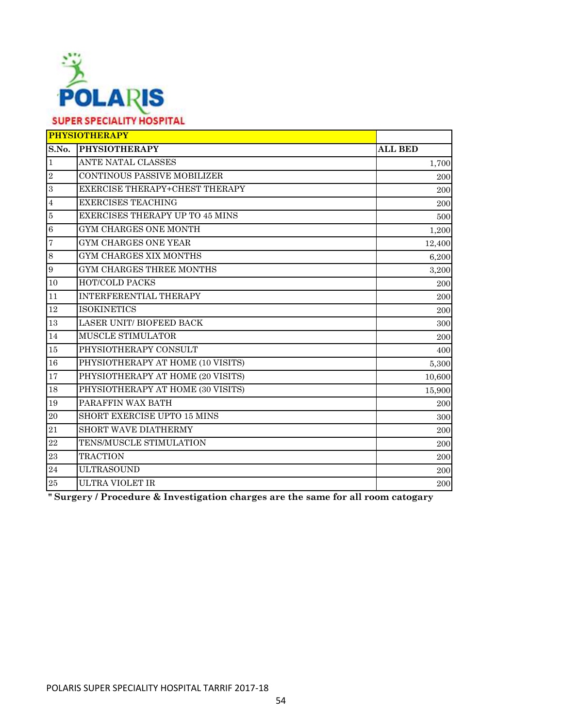

| <b>PHYSIOTHERAPY</b> |                                        |                |
|----------------------|----------------------------------------|----------------|
| S.No.                | <b>PHYSIOTHERAPY</b>                   | <b>ALL BED</b> |
| $\mathbf{1}$         | ANTE NATAL CLASSES                     | 1,700          |
| $\overline{2}$       | <b>CONTINOUS PASSIVE MOBILIZER</b>     | 200            |
| $\overline{3}$       | EXERCISE THERAPY+CHEST THERAPY         | 200            |
| $\overline{4}$       | <b>EXERCISES TEACHING</b>              | 200            |
| $\overline{5}$       | <b>EXERCISES THERAPY UP TO 45 MINS</b> | 500            |
| $\,6$                | GYM CHARGES ONE MONTH                  | 1,200          |
| $\overline{7}$       | <b>GYM CHARGES ONE YEAR</b>            | 12,400         |
| $\,8\,$              | GYM CHARGES XIX MONTHS                 | 6,200          |
| $\boldsymbol{9}$     | GYM CHARGES THREE MONTHS               | 3,200          |
| 10                   | <b>HOT/COLD PACKS</b>                  | 200            |
| 11                   | INTERFERENTIAL THERAPY                 | 200            |
| 12                   | <b>ISOKINETICS</b>                     | 200            |
| 13                   | <b>LASER UNIT/ BIOFEED BACK</b>        | 300            |
| 14                   | MUSCLE STIMULATOR                      | 200            |
| 15                   | PHYSIOTHERAPY CONSULT                  | 400            |
| 16                   | PHYSIOTHERAPY AT HOME (10 VISITS)      | 5,300          |
| 17                   | PHYSIOTHERAPY AT HOME (20 VISITS)      | 10,600         |
| 18                   | PHYSIOTHERAPY AT HOME (30 VISITS)      | 15,900         |
| 19                   | PARAFFIN WAX BATH                      | 200            |
| $20\,$               | SHORT EXERCISE UPTO 15 MINS            | 300            |
| 21                   | <b>SHORT WAVE DIATHERMY</b>            | 200            |
| 22                   | TENS/MUSCLE STIMULATION                | 200            |
| 23                   | <b>TRACTION</b>                        | 200            |
| 24                   | <b>ULTRASOUND</b>                      | 200            |
| 25                   | <b>ULTRA VIOLET IR</b>                 | 200            |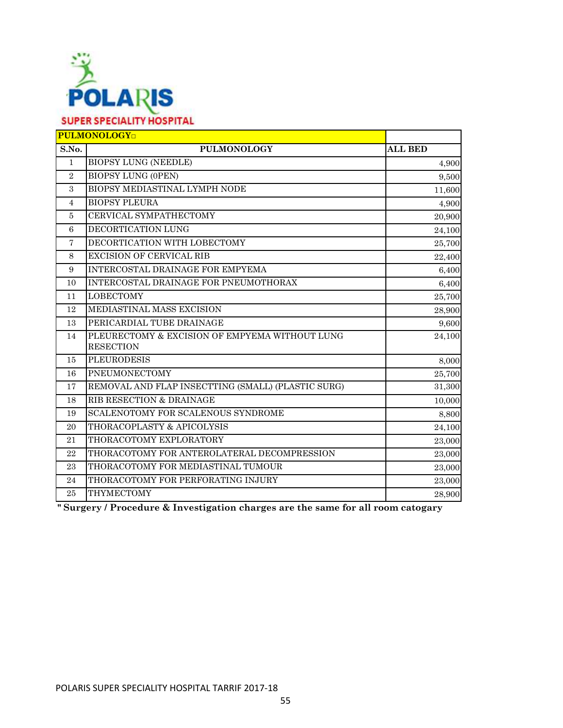

| <b>PULMONOLOGY</b> |                                                    |                |
|--------------------|----------------------------------------------------|----------------|
| S.No.              | <b>PULMONOLOGY</b>                                 | <b>ALL BED</b> |
| $\mathbf{1}$       | <b>BIOPSY LUNG (NEEDLE)</b>                        | 4,900          |
| $\overline{2}$     | <b>BIOPSY LUNG (OPEN)</b>                          | 9,500          |
| $\mathcal{S}$      | BIOPSY MEDIASTINAL LYMPH NODE                      | 11,600         |
| $\overline{4}$     | <b>BIOPSY PLEURA</b>                               | 4,900          |
| 5                  | CERVICAL SYMPATHECTOMY                             | 20,900         |
| 6                  | DECORTICATION LUNG                                 | 24,100         |
| $\overline{7}$     | DECORTICATION WITH LOBECTOMY                       | 25,700         |
| 8                  | <b>EXCISION OF CERVICAL RIB</b>                    | 22,400         |
| 9                  | INTERCOSTAL DRAINAGE FOR EMPYEMA                   | 6,400          |
| 10                 | INTERCOSTAL DRAINAGE FOR PNEUMOTHORAX              | 6,400          |
| 11                 | <b>LOBECTOMY</b>                                   | 25,700         |
| 12                 | MEDIASTINAL MASS EXCISION                          | 28,900         |
| 13                 | PERICARDIAL TUBE DRAINAGE                          | 9,600          |
| 14                 | PLEURECTOMY & EXCISION OF EMPYEMA WITHOUT LUNG     | 24,100         |
|                    | <b>RESECTION</b>                                   |                |
| 15                 | <b>PLEURODESIS</b>                                 | 8,000          |
| 16                 | PNEUMONECTOMY                                      | 25,700         |
| 17                 | REMOVAL AND FLAP INSECTTING (SMALL) (PLASTIC SURG) | 31,300         |
| 18                 | RIB RESECTION & DRAINAGE                           | 10,000         |
| 19                 | <b>SCALENOTOMY FOR SCALENOUS SYNDROME</b>          | 8,800          |
| 20                 | THORACOPLASTY & APICOLYSIS                         | 24,100         |
| 21                 | THORACOTOMY EXPLORATORY                            | 23,000         |
| 22                 | THORACOTOMY FOR ANTEROLATERAL DECOMPRESSION        | 23,000         |
| 23                 | THORACOTOMY FOR MEDIASTINAL TUMOUR                 | 23,000         |
| 24                 | THORACOTOMY FOR PERFORATING INJURY                 | 23,000         |
| 25                 | <b>THYMECTOMY</b>                                  | 28,900         |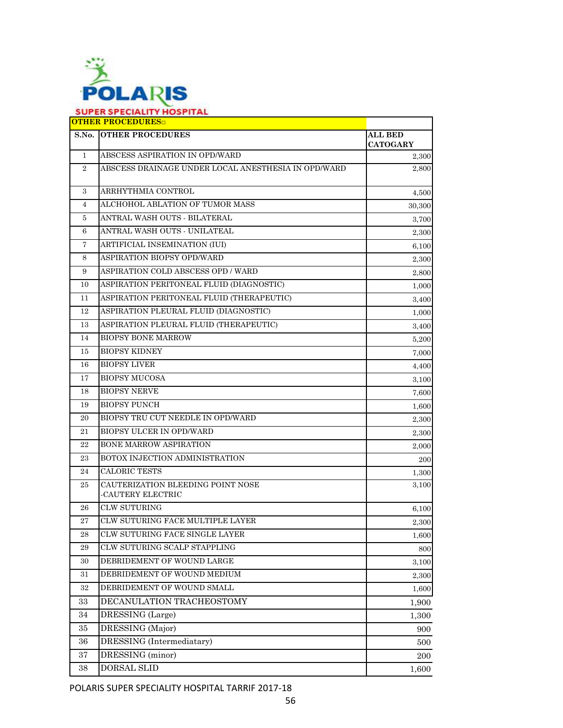

| S.No.          | <b>OTHER PROCEDURES</b>                                | <b>ALL BED</b>  |
|----------------|--------------------------------------------------------|-----------------|
|                |                                                        | <b>CATOGARY</b> |
| 1              | ABSCESS ASPIRATION IN OPD/WARD                         | 2,300           |
| $\overline{2}$ | ABSCESS DRAINAGE UNDER LOCAL ANESTHESIA IN OPD/WARD    | 2,800           |
| 3              | ARRHYTHMIA CONTROL                                     | 4,500           |
| 4              | ALCHOHOL ABLATION OF TUMOR MASS                        | 30,300          |
| 5              | ANTRAL WASH OUTS - BILATERAL                           | 3,700           |
| 6              | ANTRAL WASH OUTS - UNILATEAL                           | 2,300           |
| 7              | ARTIFICIAL INSEMINATION (IUI)                          | 6,100           |
| 8              | ASPIRATION BIOPSY OPD/WARD                             | 2,300           |
| 9              | ASPIRATION COLD ABSCESS OPD / WARD                     | 2,800           |
| 10             | ASPIRATION PERITONEAL FLUID (DIAGNOSTIC)               | 1,000           |
| 11             | ASPIRATION PERITONEAL FLUID (THERAPEUTIC)              | 3,400           |
| 12             | ASPIRATION PLEURAL FLUID (DIAGNOSTIC)                  | 1,000           |
| 13             | ASPIRATION PLEURAL FLUID (THERAPEUTIC)                 | 3,400           |
| 14             | <b>BIOPSY BONE MARROW</b>                              | 5,200           |
| 15             | <b>BIOPSY KIDNEY</b>                                   | 7,000           |
| 16             | <b>BIOPSY LIVER</b>                                    | 4,400           |
| 17             | <b>BIOPSY MUCOSA</b>                                   | 3,100           |
| 18             | <b>BIOPSY NERVE</b>                                    | 7,600           |
| 19             | <b>BIOPSY PUNCH</b>                                    | 1,600           |
| 20             | BIOPSY TRU CUT NEEDLE IN OPD/WARD                      | 2,300           |
| 21             | BIOPSY ULCER IN OPD/WARD                               | 2,300           |
| 22             | <b>BONE MARROW ASPIRATION</b>                          | 2,000           |
| 23             | BOTOX INJECTION ADMINISTRATION                         | 200             |
| 24             | CALORIC TESTS                                          | 1,300           |
| 25             | CAUTERIZATION BLEEDING POINT NOSE<br>-CAUTERY ELECTRIC | 3,100           |
| 26             | <b>CLW SUTURING</b>                                    | 6,100           |
| 27             | CLW SUTURING FACE MULTIPLE LAYER                       | 2,300           |
| $\bf 28$       | CLW SUTURING FACE SINGLE LAYER                         | 1,600           |
| 29             | CLW SUTURING SCALP STAPPLING                           | 800             |
| 30             | DEBRIDEMENT OF WOUND LARGE                             | 3,100           |
| 31             | DEBRIDEMENT OF WOUND MEDIUM                            | 2,300           |
| 32             | DEBRIDEMENT OF WOUND SMALL                             | 1,600           |
| 33             | DECANULATION TRACHEOSTOMY                              | 1,900           |
| 34             | DRESSING (Large)                                       | 1,300           |
| 35             | DRESSING (Major)                                       | 900             |
| 36             | DRESSING (Intermediatary)                              | 500             |
| $\bf{37}$      | DRESSING (minor)                                       | 200             |
| 38             | DORSAL SLID                                            | 1,600           |

POLARIS SUPER SPECIALITY HOSPITAL TARRIF 2017-18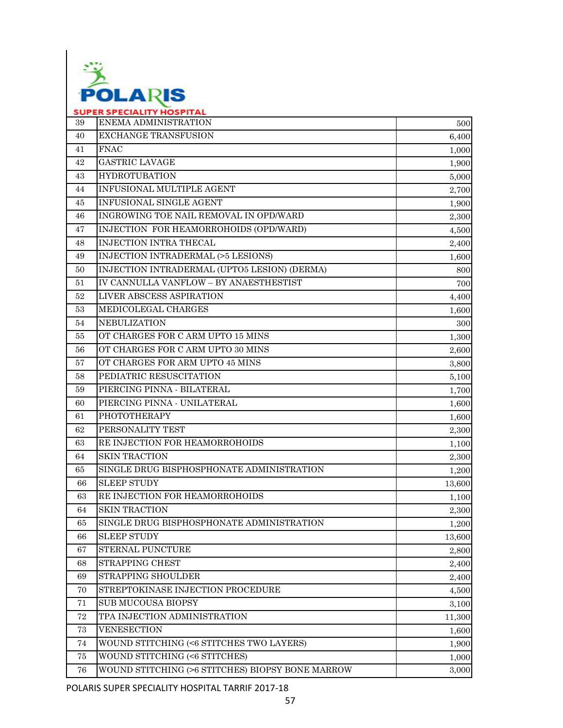

| 39 | ENEMA ADMINISTRATION                             | 500    |
|----|--------------------------------------------------|--------|
| 40 | <b>EXCHANGE TRANSFUSION</b>                      | 6,400  |
| 41 | <b>FNAC</b>                                      | 1,000  |
| 42 | <b>GASTRIC LAVAGE</b>                            | 1,900  |
| 43 | <b>HYDROTUBATION</b>                             | 5,000  |
| 44 | INFUSIONAL MULTIPLE AGENT                        | 2,700  |
| 45 | INFUSIONAL SINGLE AGENT                          | 1,900  |
| 46 | INGROWING TOE NAIL REMOVAL IN OPD/WARD           | 2,300  |
| 47 | INJECTION FOR HEAMORROHOIDS (OPD/WARD)           | 4,500  |
| 48 | <b>INJECTION INTRA THECAL</b>                    | 2,400  |
| 49 | INJECTION INTRADERMAL (>5 LESIONS)               | 1,600  |
| 50 | INJECTION INTRADERMAL (UPTO5 LESION) (DERMA)     | 800    |
| 51 | IV CANNULLA VANFLOW - BY ANAESTHESTIST           | 700    |
| 52 | LIVER ABSCESS ASPIRATION                         | 4,400  |
| 53 | MEDICOLEGAL CHARGES                              | 1,600  |
| 54 | <b>NEBULIZATION</b>                              | 300    |
| 55 | OT CHARGES FOR C ARM UPTO 15 MINS                | 1,300  |
| 56 | OT CHARGES FOR C ARM UPTO 30 MINS                | 2,600  |
| 57 | OT CHARGES FOR ARM UPTO 45 MINS                  | 3,800  |
| 58 | PEDIATRIC RESUSCITATION                          | 5,100  |
| 59 | PIERCING PINNA - BILATERAL                       | 1,700  |
| 60 | PIERCING PINNA - UNILATERAL                      | 1,600  |
| 61 | <b>PHOTOTHERAPY</b>                              | 1,600  |
| 62 | PERSONALITY TEST                                 | 2,300  |
| 63 | RE INJECTION FOR HEAMORROHOIDS                   | 1,100  |
| 64 | <b>SKIN TRACTION</b>                             | 2,300  |
| 65 | SINGLE DRUG BISPHOSPHONATE ADMINISTRATION        | 1,200  |
| 66 | <b>SLEEP STUDY</b>                               | 13,600 |
| 63 | RE INJECTION FOR HEAMORROHOIDS                   | 1,100  |
| 64 | <b>SKIN TRACTION</b>                             | 2,300  |
| 65 | SINGLE DRUG BISPHOSPHONATE ADMINISTRATION        | 1,200  |
| 66 | <b>SLEEP STUDY</b>                               | 13,600 |
| 67 | <b>STERNAL PUNCTURE</b>                          | 2,800  |
| 68 | STRAPPING CHEST                                  | 2,400  |
| 69 | STRAPPING SHOULDER                               | 2,400  |
| 70 | STREPTOKINASE INJECTION PROCEDURE                | 4,500  |
| 71 | <b>SUB MUCOUSA BIOPSY</b>                        | 3,100  |
| 72 | TPA INJECTION ADMINISTRATION                     | 11,300 |
| 73 | <b>VENESECTION</b>                               | 1,600  |
| 74 | WOUND STITCHING (<6 STITCHES TWO LAYERS)         | 1,900  |
| 75 | WOUND STITCHING (<6 STITCHES)                    | 1,000  |
| 76 | WOUND STITCHING (>6 STITCHES) BIOPSY BONE MARROW | 3,000  |

POLARIS SUPER SPECIALITY HOSPITAL TARRIF 2017-18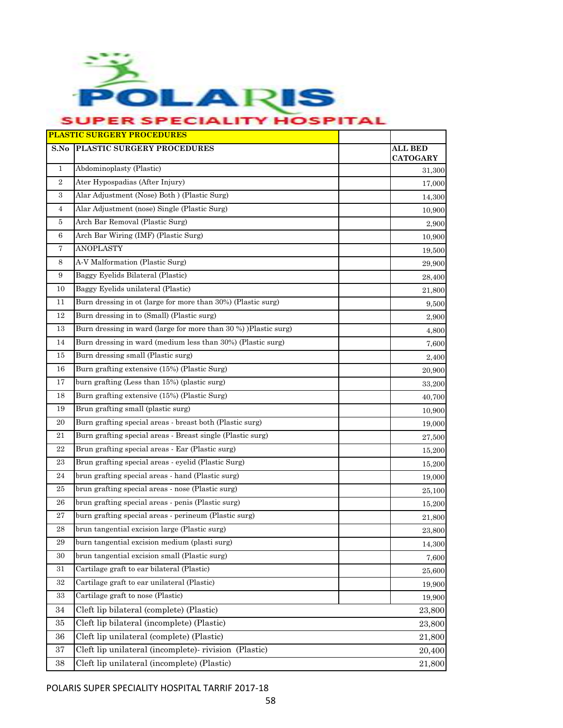

|                | <b>PLASTIC SURGERY PROCEDURES</b>                               |                                   |
|----------------|-----------------------------------------------------------------|-----------------------------------|
| S.No           | PLASTIC SURGERY PROCEDURES                                      | <b>ALL BED</b><br><b>CATOGARY</b> |
| $\mathbf{1}$   | Abdominoplasty (Plastic)                                        | 31,300                            |
| $\overline{2}$ | Ater Hypospadias (After Injury)                                 | 17,000                            |
| 3              | Alar Adjustment (Nose) Both ) (Plastic Surg)                    | 14,300                            |
| 4              | Alar Adjustment (nose) Single (Plastic Surg)                    | 10,900                            |
| 5              | Arch Bar Removal (Plastic Surg)                                 | 2,900                             |
| 6              | Arch Bar Wiring (IMF) (Plastic Surg)                            | 10,900                            |
| 7              | <b>ANOPLASTY</b>                                                | 19,500                            |
| 8              | A-V Malformation (Plastic Surg)                                 | 29,900                            |
| 9              | Baggy Eyelids Bilateral (Plastic)                               | 28,400                            |
| 10             | Baggy Eyelids unilateral (Plastic)                              | 21,800                            |
| 11             | Burn dressing in ot (large for more than 30%) (Plastic surg)    | 9,500                             |
| 12             | Burn dressing in to (Small) (Plastic surg)                      | 2,900                             |
| 13             | Burn dressing in ward (large for more than 30 %) )Plastic surg) | 4,800                             |
| 14             | Burn dressing in ward (medium less than 30%) (Plastic surg)     | 7,600                             |
| 15             | Burn dressing small (Plastic surg)                              | 2,400                             |
| 16             | Burn grafting extensive (15%) (Plastic Surg)                    | 20,900                            |
| 17             | burn grafting (Less than 15%) (plastic surg)                    | 33,200                            |
| 18             | Burn grafting extensive (15%) (Plastic Surg)                    | 40,700                            |
| 19             | Brun grafting small (plastic surg)                              | 10,900                            |
| 20             | Burn grafting special areas - breast both (Plastic surg)        | 19,000                            |
| 21             | Burn grafting special areas - Breast single (Plastic surg)      | 27,500                            |
| 22             | Brun grafting special areas - Ear (Plastic surg)                | 15,200                            |
| 23             | Brun grafting special areas - eyelid (Plastic Surg)             | 15,200                            |
| 24             | brun grafting special areas - hand (Plastic surg)               | 19,000                            |
| 25             | brun grafting special areas - nose (Plastic surg)               | 25,100                            |
| 26             | brun grafting special areas - penis (Plastic surg)              | 15,200                            |
| 27             | burn grafting special areas - perineum (Plastic surg)           | 21,800                            |
| 28             | brun tangential excision large (Plastic surg)                   | 23,800                            |
| 29             | burn tangential excision medium (plasti surg)                   | 14,300                            |
| 30             | brun tangential excision small (Plastic surg)                   | 7,600                             |
| 31             | Cartilage graft to ear bilateral (Plastic)                      | 25,600                            |
| 32             | Cartilage graft to ear unilateral (Plastic)                     | 19,900                            |
| 33             | Cartilage graft to nose (Plastic)                               | 19,900                            |
| 34             | Cleft lip bilateral (complete) (Plastic)                        | 23,800                            |
| 35             | Cleft lip bilateral (incomplete) (Plastic)                      | 23,800                            |
| 36             | Cleft lip unilateral (complete) (Plastic)                       | 21,800                            |
| 37             | Cleft lip unilateral (incomplete)- rivision (Plastic)           | 20,400                            |
| 38             | Cleft lip unilateral (incomplete) (Plastic)                     | 21,800                            |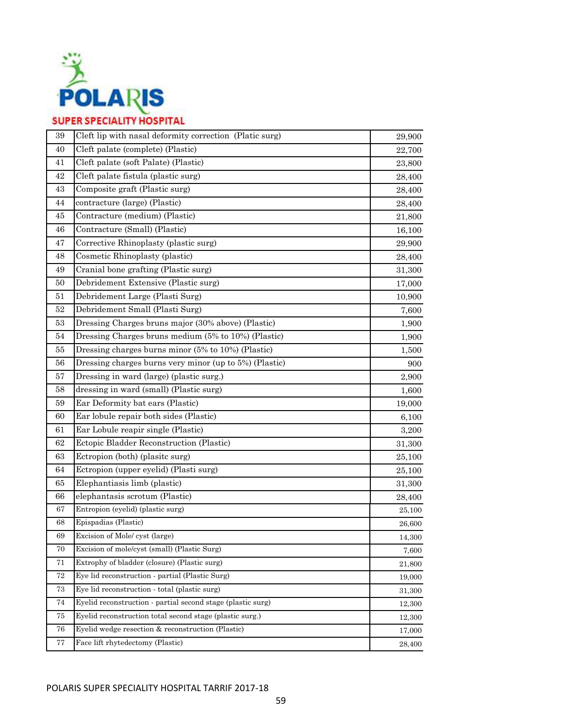

| Cleft palate (complete) (Plastic)<br>40<br>22,700<br>Cleft palate (soft Palate) (Plastic)<br>41<br>23,800<br>42<br>Cleft palate fistula (plastic surg)<br>28,400<br>Composite graft (Plastic surg)<br>43<br>28,400<br>contracture (large) (Plastic)<br>44<br>28,400<br>Contracture (medium) (Plastic)<br>45<br>21,800<br>Contracture (Small) (Plastic)<br>46<br>16,100<br>Corrective Rhinoplasty (plastic surg)<br>47<br>29,900<br>48<br>Cosmetic Rhinoplasty (plastic)<br>28,400<br>Cranial bone grafting (Plastic surg)<br>49<br>31,300<br>Debridement Extensive (Plastic surg)<br>50<br>17,000<br>Debridement Large (Plasti Surg)<br>51<br>10,900<br>Debridement Small (Plasti Surg)<br>52<br>7,600<br>Dressing Charges bruns major (30% above) (Plastic)<br>53<br>1,900<br>Dressing Charges bruns medium (5% to 10%) (Plastic)<br>54<br>1,900<br>Dressing charges burns minor (5% to 10%) (Plastic)<br>55<br>1,500<br>Dressing charges burns very minor (up to 5%) (Plastic)<br>56<br>900<br>Dressing in ward (large) (plastic surg.)<br>57<br>2,900<br>dressing in ward (small) (Plastic surg)<br>58<br>1,600<br>Ear Deformity bat ears (Plastic)<br>59<br>19,000<br>Ear lobule repair both sides (Plastic)<br>60<br>6,100<br>Ear Lobule reapir single (Plastic)<br>61<br>3,200<br>Ectopic Bladder Reconstruction (Plastic)<br>62<br>31,300<br>63<br>Ectropion (both) (plasite surg)<br>25,100<br>Ectropion (upper eyelid) (Plasti surg)<br>64<br>25,100<br>65<br>Elephantiasis limb (plastic)<br>31,300<br>elephantasis scrotum (Plastic)<br>66<br>28,400<br>Entropion (eyelid) (plastic surg)<br>67<br>25,100<br>Epispadias (Plastic)<br>68<br>26,600<br>Excision of Mole/ cyst (large)<br>69<br>14,300<br>Excision of mole/cyst (small) (Plastic Surg)<br>70<br>7,600<br>71<br>Extrophy of bladder (closure) (Plastic surg)<br>21,800<br>72<br>Eye lid reconstruction - partial (Plastic Surg)<br>19,000<br>73<br>Eye lid reconstruction - total (plastic surg)<br>31,300<br>Eyelid reconstruction - partial second stage (plastic surg)<br>74<br>12,300<br>Eyelid reconstruction total second stage (plastic surg.)<br>75<br>12,300<br>Eyelid wedge resection & reconstruction (Plastic)<br>76<br>17,000<br>Face lift rhytedectomy (Plastic)<br>77<br>28,400 | 39 | Cleft lip with nasal deformity correction (Platic surg) | 29,900 |
|-----------------------------------------------------------------------------------------------------------------------------------------------------------------------------------------------------------------------------------------------------------------------------------------------------------------------------------------------------------------------------------------------------------------------------------------------------------------------------------------------------------------------------------------------------------------------------------------------------------------------------------------------------------------------------------------------------------------------------------------------------------------------------------------------------------------------------------------------------------------------------------------------------------------------------------------------------------------------------------------------------------------------------------------------------------------------------------------------------------------------------------------------------------------------------------------------------------------------------------------------------------------------------------------------------------------------------------------------------------------------------------------------------------------------------------------------------------------------------------------------------------------------------------------------------------------------------------------------------------------------------------------------------------------------------------------------------------------------------------------------------------------------------------------------------------------------------------------------------------------------------------------------------------------------------------------------------------------------------------------------------------------------------------------------------------------------------------------------------------------------------------------------------------------------------------------------------------------------------------------------------------------------|----|---------------------------------------------------------|--------|
|                                                                                                                                                                                                                                                                                                                                                                                                                                                                                                                                                                                                                                                                                                                                                                                                                                                                                                                                                                                                                                                                                                                                                                                                                                                                                                                                                                                                                                                                                                                                                                                                                                                                                                                                                                                                                                                                                                                                                                                                                                                                                                                                                                                                                                                                       |    |                                                         |        |
|                                                                                                                                                                                                                                                                                                                                                                                                                                                                                                                                                                                                                                                                                                                                                                                                                                                                                                                                                                                                                                                                                                                                                                                                                                                                                                                                                                                                                                                                                                                                                                                                                                                                                                                                                                                                                                                                                                                                                                                                                                                                                                                                                                                                                                                                       |    |                                                         |        |
|                                                                                                                                                                                                                                                                                                                                                                                                                                                                                                                                                                                                                                                                                                                                                                                                                                                                                                                                                                                                                                                                                                                                                                                                                                                                                                                                                                                                                                                                                                                                                                                                                                                                                                                                                                                                                                                                                                                                                                                                                                                                                                                                                                                                                                                                       |    |                                                         |        |
|                                                                                                                                                                                                                                                                                                                                                                                                                                                                                                                                                                                                                                                                                                                                                                                                                                                                                                                                                                                                                                                                                                                                                                                                                                                                                                                                                                                                                                                                                                                                                                                                                                                                                                                                                                                                                                                                                                                                                                                                                                                                                                                                                                                                                                                                       |    |                                                         |        |
|                                                                                                                                                                                                                                                                                                                                                                                                                                                                                                                                                                                                                                                                                                                                                                                                                                                                                                                                                                                                                                                                                                                                                                                                                                                                                                                                                                                                                                                                                                                                                                                                                                                                                                                                                                                                                                                                                                                                                                                                                                                                                                                                                                                                                                                                       |    |                                                         |        |
|                                                                                                                                                                                                                                                                                                                                                                                                                                                                                                                                                                                                                                                                                                                                                                                                                                                                                                                                                                                                                                                                                                                                                                                                                                                                                                                                                                                                                                                                                                                                                                                                                                                                                                                                                                                                                                                                                                                                                                                                                                                                                                                                                                                                                                                                       |    |                                                         |        |
|                                                                                                                                                                                                                                                                                                                                                                                                                                                                                                                                                                                                                                                                                                                                                                                                                                                                                                                                                                                                                                                                                                                                                                                                                                                                                                                                                                                                                                                                                                                                                                                                                                                                                                                                                                                                                                                                                                                                                                                                                                                                                                                                                                                                                                                                       |    |                                                         |        |
|                                                                                                                                                                                                                                                                                                                                                                                                                                                                                                                                                                                                                                                                                                                                                                                                                                                                                                                                                                                                                                                                                                                                                                                                                                                                                                                                                                                                                                                                                                                                                                                                                                                                                                                                                                                                                                                                                                                                                                                                                                                                                                                                                                                                                                                                       |    |                                                         |        |
|                                                                                                                                                                                                                                                                                                                                                                                                                                                                                                                                                                                                                                                                                                                                                                                                                                                                                                                                                                                                                                                                                                                                                                                                                                                                                                                                                                                                                                                                                                                                                                                                                                                                                                                                                                                                                                                                                                                                                                                                                                                                                                                                                                                                                                                                       |    |                                                         |        |
|                                                                                                                                                                                                                                                                                                                                                                                                                                                                                                                                                                                                                                                                                                                                                                                                                                                                                                                                                                                                                                                                                                                                                                                                                                                                                                                                                                                                                                                                                                                                                                                                                                                                                                                                                                                                                                                                                                                                                                                                                                                                                                                                                                                                                                                                       |    |                                                         |        |
|                                                                                                                                                                                                                                                                                                                                                                                                                                                                                                                                                                                                                                                                                                                                                                                                                                                                                                                                                                                                                                                                                                                                                                                                                                                                                                                                                                                                                                                                                                                                                                                                                                                                                                                                                                                                                                                                                                                                                                                                                                                                                                                                                                                                                                                                       |    |                                                         |        |
|                                                                                                                                                                                                                                                                                                                                                                                                                                                                                                                                                                                                                                                                                                                                                                                                                                                                                                                                                                                                                                                                                                                                                                                                                                                                                                                                                                                                                                                                                                                                                                                                                                                                                                                                                                                                                                                                                                                                                                                                                                                                                                                                                                                                                                                                       |    |                                                         |        |
|                                                                                                                                                                                                                                                                                                                                                                                                                                                                                                                                                                                                                                                                                                                                                                                                                                                                                                                                                                                                                                                                                                                                                                                                                                                                                                                                                                                                                                                                                                                                                                                                                                                                                                                                                                                                                                                                                                                                                                                                                                                                                                                                                                                                                                                                       |    |                                                         |        |
|                                                                                                                                                                                                                                                                                                                                                                                                                                                                                                                                                                                                                                                                                                                                                                                                                                                                                                                                                                                                                                                                                                                                                                                                                                                                                                                                                                                                                                                                                                                                                                                                                                                                                                                                                                                                                                                                                                                                                                                                                                                                                                                                                                                                                                                                       |    |                                                         |        |
|                                                                                                                                                                                                                                                                                                                                                                                                                                                                                                                                                                                                                                                                                                                                                                                                                                                                                                                                                                                                                                                                                                                                                                                                                                                                                                                                                                                                                                                                                                                                                                                                                                                                                                                                                                                                                                                                                                                                                                                                                                                                                                                                                                                                                                                                       |    |                                                         |        |
|                                                                                                                                                                                                                                                                                                                                                                                                                                                                                                                                                                                                                                                                                                                                                                                                                                                                                                                                                                                                                                                                                                                                                                                                                                                                                                                                                                                                                                                                                                                                                                                                                                                                                                                                                                                                                                                                                                                                                                                                                                                                                                                                                                                                                                                                       |    |                                                         |        |
|                                                                                                                                                                                                                                                                                                                                                                                                                                                                                                                                                                                                                                                                                                                                                                                                                                                                                                                                                                                                                                                                                                                                                                                                                                                                                                                                                                                                                                                                                                                                                                                                                                                                                                                                                                                                                                                                                                                                                                                                                                                                                                                                                                                                                                                                       |    |                                                         |        |
|                                                                                                                                                                                                                                                                                                                                                                                                                                                                                                                                                                                                                                                                                                                                                                                                                                                                                                                                                                                                                                                                                                                                                                                                                                                                                                                                                                                                                                                                                                                                                                                                                                                                                                                                                                                                                                                                                                                                                                                                                                                                                                                                                                                                                                                                       |    |                                                         |        |
|                                                                                                                                                                                                                                                                                                                                                                                                                                                                                                                                                                                                                                                                                                                                                                                                                                                                                                                                                                                                                                                                                                                                                                                                                                                                                                                                                                                                                                                                                                                                                                                                                                                                                                                                                                                                                                                                                                                                                                                                                                                                                                                                                                                                                                                                       |    |                                                         |        |
|                                                                                                                                                                                                                                                                                                                                                                                                                                                                                                                                                                                                                                                                                                                                                                                                                                                                                                                                                                                                                                                                                                                                                                                                                                                                                                                                                                                                                                                                                                                                                                                                                                                                                                                                                                                                                                                                                                                                                                                                                                                                                                                                                                                                                                                                       |    |                                                         |        |
|                                                                                                                                                                                                                                                                                                                                                                                                                                                                                                                                                                                                                                                                                                                                                                                                                                                                                                                                                                                                                                                                                                                                                                                                                                                                                                                                                                                                                                                                                                                                                                                                                                                                                                                                                                                                                                                                                                                                                                                                                                                                                                                                                                                                                                                                       |    |                                                         |        |
|                                                                                                                                                                                                                                                                                                                                                                                                                                                                                                                                                                                                                                                                                                                                                                                                                                                                                                                                                                                                                                                                                                                                                                                                                                                                                                                                                                                                                                                                                                                                                                                                                                                                                                                                                                                                                                                                                                                                                                                                                                                                                                                                                                                                                                                                       |    |                                                         |        |
|                                                                                                                                                                                                                                                                                                                                                                                                                                                                                                                                                                                                                                                                                                                                                                                                                                                                                                                                                                                                                                                                                                                                                                                                                                                                                                                                                                                                                                                                                                                                                                                                                                                                                                                                                                                                                                                                                                                                                                                                                                                                                                                                                                                                                                                                       |    |                                                         |        |
|                                                                                                                                                                                                                                                                                                                                                                                                                                                                                                                                                                                                                                                                                                                                                                                                                                                                                                                                                                                                                                                                                                                                                                                                                                                                                                                                                                                                                                                                                                                                                                                                                                                                                                                                                                                                                                                                                                                                                                                                                                                                                                                                                                                                                                                                       |    |                                                         |        |
|                                                                                                                                                                                                                                                                                                                                                                                                                                                                                                                                                                                                                                                                                                                                                                                                                                                                                                                                                                                                                                                                                                                                                                                                                                                                                                                                                                                                                                                                                                                                                                                                                                                                                                                                                                                                                                                                                                                                                                                                                                                                                                                                                                                                                                                                       |    |                                                         |        |
|                                                                                                                                                                                                                                                                                                                                                                                                                                                                                                                                                                                                                                                                                                                                                                                                                                                                                                                                                                                                                                                                                                                                                                                                                                                                                                                                                                                                                                                                                                                                                                                                                                                                                                                                                                                                                                                                                                                                                                                                                                                                                                                                                                                                                                                                       |    |                                                         |        |
|                                                                                                                                                                                                                                                                                                                                                                                                                                                                                                                                                                                                                                                                                                                                                                                                                                                                                                                                                                                                                                                                                                                                                                                                                                                                                                                                                                                                                                                                                                                                                                                                                                                                                                                                                                                                                                                                                                                                                                                                                                                                                                                                                                                                                                                                       |    |                                                         |        |
|                                                                                                                                                                                                                                                                                                                                                                                                                                                                                                                                                                                                                                                                                                                                                                                                                                                                                                                                                                                                                                                                                                                                                                                                                                                                                                                                                                                                                                                                                                                                                                                                                                                                                                                                                                                                                                                                                                                                                                                                                                                                                                                                                                                                                                                                       |    |                                                         |        |
|                                                                                                                                                                                                                                                                                                                                                                                                                                                                                                                                                                                                                                                                                                                                                                                                                                                                                                                                                                                                                                                                                                                                                                                                                                                                                                                                                                                                                                                                                                                                                                                                                                                                                                                                                                                                                                                                                                                                                                                                                                                                                                                                                                                                                                                                       |    |                                                         |        |
|                                                                                                                                                                                                                                                                                                                                                                                                                                                                                                                                                                                                                                                                                                                                                                                                                                                                                                                                                                                                                                                                                                                                                                                                                                                                                                                                                                                                                                                                                                                                                                                                                                                                                                                                                                                                                                                                                                                                                                                                                                                                                                                                                                                                                                                                       |    |                                                         |        |
|                                                                                                                                                                                                                                                                                                                                                                                                                                                                                                                                                                                                                                                                                                                                                                                                                                                                                                                                                                                                                                                                                                                                                                                                                                                                                                                                                                                                                                                                                                                                                                                                                                                                                                                                                                                                                                                                                                                                                                                                                                                                                                                                                                                                                                                                       |    |                                                         |        |
|                                                                                                                                                                                                                                                                                                                                                                                                                                                                                                                                                                                                                                                                                                                                                                                                                                                                                                                                                                                                                                                                                                                                                                                                                                                                                                                                                                                                                                                                                                                                                                                                                                                                                                                                                                                                                                                                                                                                                                                                                                                                                                                                                                                                                                                                       |    |                                                         |        |
|                                                                                                                                                                                                                                                                                                                                                                                                                                                                                                                                                                                                                                                                                                                                                                                                                                                                                                                                                                                                                                                                                                                                                                                                                                                                                                                                                                                                                                                                                                                                                                                                                                                                                                                                                                                                                                                                                                                                                                                                                                                                                                                                                                                                                                                                       |    |                                                         |        |
|                                                                                                                                                                                                                                                                                                                                                                                                                                                                                                                                                                                                                                                                                                                                                                                                                                                                                                                                                                                                                                                                                                                                                                                                                                                                                                                                                                                                                                                                                                                                                                                                                                                                                                                                                                                                                                                                                                                                                                                                                                                                                                                                                                                                                                                                       |    |                                                         |        |
|                                                                                                                                                                                                                                                                                                                                                                                                                                                                                                                                                                                                                                                                                                                                                                                                                                                                                                                                                                                                                                                                                                                                                                                                                                                                                                                                                                                                                                                                                                                                                                                                                                                                                                                                                                                                                                                                                                                                                                                                                                                                                                                                                                                                                                                                       |    |                                                         |        |
|                                                                                                                                                                                                                                                                                                                                                                                                                                                                                                                                                                                                                                                                                                                                                                                                                                                                                                                                                                                                                                                                                                                                                                                                                                                                                                                                                                                                                                                                                                                                                                                                                                                                                                                                                                                                                                                                                                                                                                                                                                                                                                                                                                                                                                                                       |    |                                                         |        |
|                                                                                                                                                                                                                                                                                                                                                                                                                                                                                                                                                                                                                                                                                                                                                                                                                                                                                                                                                                                                                                                                                                                                                                                                                                                                                                                                                                                                                                                                                                                                                                                                                                                                                                                                                                                                                                                                                                                                                                                                                                                                                                                                                                                                                                                                       |    |                                                         |        |
|                                                                                                                                                                                                                                                                                                                                                                                                                                                                                                                                                                                                                                                                                                                                                                                                                                                                                                                                                                                                                                                                                                                                                                                                                                                                                                                                                                                                                                                                                                                                                                                                                                                                                                                                                                                                                                                                                                                                                                                                                                                                                                                                                                                                                                                                       |    |                                                         |        |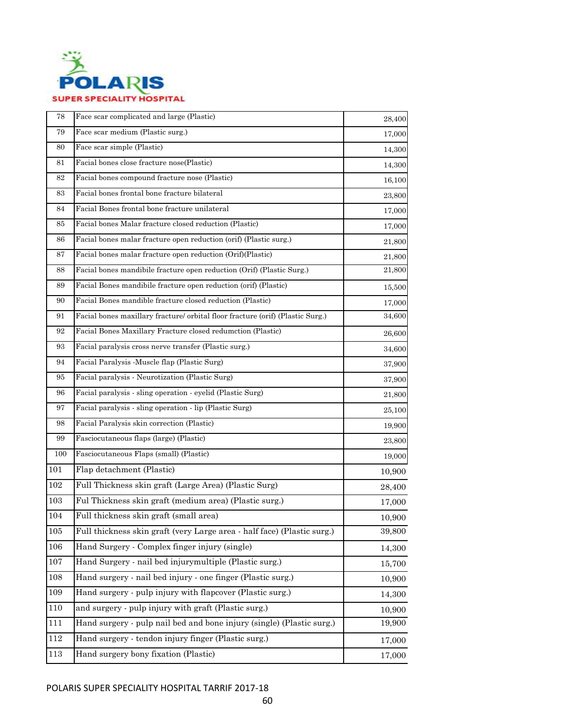

| 78      | Face scar complicated and large (Plastic)                                      | 28,400 |
|---------|--------------------------------------------------------------------------------|--------|
| 79      | Face scar medium (Plastic surg.)                                               | 17,000 |
| 80      | Face scar simple (Plastic)                                                     | 14,300 |
| 81      | Facial bones close fracture nose(Plastic)                                      | 14,300 |
| 82      | Facial bones compound fracture nose (Plastic)                                  | 16,100 |
| 83      | Facial bones frontal bone fracture bilateral                                   | 23,800 |
| 84      | Facial Bones frontal bone fracture unilateral                                  | 17,000 |
| 85      | Facial bones Malar fracture closed reduction (Plastic)                         | 17,000 |
| 86      | Facial bones malar fracture open reduction (orif) (Plastic surg.)              | 21,800 |
| 87      | Facial bones malar fracture open reduction (Orif)(Plastic)                     | 21,800 |
| 88      | Facial bones mandibile fracture open reduction (Orif) (Plastic Surg.)          | 21,800 |
| 89      | Facial Bones mandibile fracture open reduction (orif) (Plastic)                | 15,500 |
| 90      | Facial Bones mandible fracture closed reduction (Plastic)                      | 17,000 |
| 91      | Facial bones maxillary fracture/ orbital floor fracture (orif) (Plastic Surg.) | 34,600 |
| 92      | Facial Bones Maxillary Fracture closed redumction (Plastic)                    | 26,600 |
| 93      | Facial paralysis cross nerve transfer (Plastic surg.)                          | 34,600 |
| 94      | Facial Paralysis -Muscle flap (Plastic Surg)                                   | 37,900 |
| 95      | Facial paralysis - Neurotization (Plastic Surg)                                | 37,900 |
| 96      | Facial paralysis - sling operation - eyelid (Plastic Surg)                     | 21,800 |
| 97      | Facial paralysis - sling operation - lip (Plastic Surg)                        | 25,100 |
| 98      | Facial Paralysis skin correction (Plastic)                                     | 19,900 |
| 99      | Fasciocutaneous flaps (large) (Plastic)                                        | 23,800 |
| 100     | Fasciocutaneous Flaps (small) (Plastic)                                        | 19,000 |
| 101     | Flap detachment (Plastic)                                                      | 10,900 |
| 102     | Full Thickness skin graft (Large Area) (Plastic Surg)                          | 28,400 |
| 103     | Ful Thickness skin graft (medium area) (Plastic surg.)                         | 17,000 |
| 104     | Full thickness skin graft (small area)                                         | 10,900 |
| 105     | Full thickness skin graft (very Large area - half face) (Plastic surg.)        | 39,800 |
| 106     | Hand Surgery - Complex finger injury (single)                                  | 14,300 |
| 107     | Hand Surgery - nail bed injurymultiple (Plastic surg.)                         | 15,700 |
| 108     | Hand surgery - nail bed injury - one finger (Plastic surg.)                    | 10,900 |
| 109     | Hand surgery - pulp injury with flapcover (Plastic surg.)                      | 14,300 |
| 110     | and surgery - pulp injury with graft (Plastic surg.)                           | 10,900 |
| 111     | Hand surgery - pulp nail bed and bone injury (single) (Plastic surg.)          | 19,900 |
| $112\,$ | Hand surgery - tendon injury finger (Plastic surg.)                            | 17,000 |
| 113     | Hand surgery bony fixation (Plastic)                                           | 17,000 |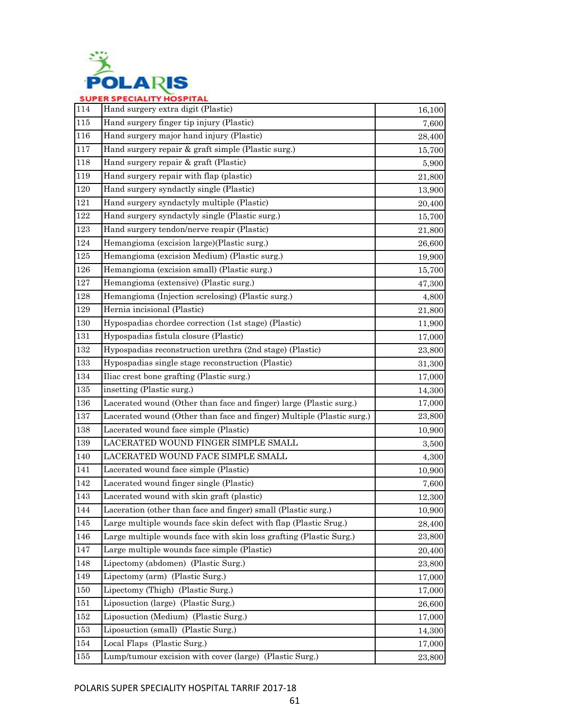

| 114     | Hand surgery extra digit (Plastic)                                    | 16,100 |
|---------|-----------------------------------------------------------------------|--------|
| 115     | Hand surgery finger tip injury (Plastic)                              | 7,600  |
| 116     | Hand surgery major hand injury (Plastic)                              | 28,400 |
| 117     | Hand surgery repair & graft simple (Plastic surg.)                    | 15,700 |
| 118     | Hand surgery repair & graft (Plastic)                                 | 5,900  |
| 119     | Hand surgery repair with flap (plastic)                               | 21,800 |
| 120     | Hand surgery syndactly single (Plastic)                               | 13,900 |
| 121     | Hand surgery syndactyly multiple (Plastic)                            | 20,400 |
| 122     | Hand surgery syndactyly single (Plastic surg.)                        | 15,700 |
| 123     | Hand surgery tendon/nerve reapir (Plastic)                            | 21,800 |
| 124     | Hemangioma (excision large)(Plastic surg.)                            | 26,600 |
| $125\,$ | Hemangioma (excision Medium) (Plastic surg.)                          | 19,900 |
| 126     | Hemangioma (excision small) (Plastic surg.)                           | 15,700 |
| 127     | Hemangioma (extensive) (Plastic surg.)                                | 47,300 |
| 128     | Hemangioma (Injection screlosing) (Plastic surg.)                     | 4,800  |
| 129     | Hernia incisional (Plastic)                                           | 21,800 |
| 130     | Hypospadias chordee correction (1st stage) (Plastic)                  | 11,900 |
| 131     | Hypospadias fistula closure (Plastic)                                 | 17,000 |
| 132     | Hypospadias reconstruction urethra (2nd stage) (Plastic)              | 23,800 |
| 133     | Hypospadias single stage reconstruction (Plastic)                     | 31,300 |
| 134     | Iliac crest bone grafting (Plastic surg.)                             | 17,000 |
| 135     | insetting (Plastic surg.)                                             | 14,300 |
| 136     | Lacerated wound (Other than face and finger) large (Plastic surg.)    | 17,000 |
| 137     | Lacerated wound (Other than face and finger) Multiple (Plastic surg.) | 23,800 |
| 138     | Lacerated wound face simple (Plastic)                                 | 10,900 |
| 139     | LACERATED WOUND FINGER SIMPLE SMALL                                   | 3,500  |
| 140     | LACERATED WOUND FACE SIMPLE SMALL                                     | 4,300  |
| 141     | Lacerated wound face simple (Plastic)                                 | 10,900 |
| 142     | Lacerated wound finger single (Plastic)                               | 7,600  |
| 143     | Lacerated wound with skin graft (plastic)                             | 12,300 |
| 144     | Laceration (other than face and finger) small (Plastic surg.)         | 10,900 |
| $145\,$ | Large multiple wounds face skin defect with flap (Plastic Srug.)      | 28,400 |
| 146     | Large multiple wounds face with skin loss grafting (Plastic Surg.)    | 23,800 |
| 147     | Large multiple wounds face simple (Plastic)                           | 20,400 |
| 148     | Lipectomy (abdomen) (Plastic Surg.)                                   | 23,800 |
| 149     | Lipectomy (arm) (Plastic Surg.)                                       | 17,000 |
| 150     | Lipectomy (Thigh) (Plastic Surg.)                                     | 17,000 |
| $151\,$ | Liposuction (large) (Plastic Surg.)                                   | 26,600 |
| 152     | Liposuction (Medium) (Plastic Surg.)                                  | 17,000 |
| 153     | Liposuction (small) (Plastic Surg.)                                   | 14,300 |
| 154     | Local Flaps (Plastic Surg.)                                           | 17,000 |
| 155     | Lump/tumour excision with cover (large) (Plastic Surg.)               | 23,800 |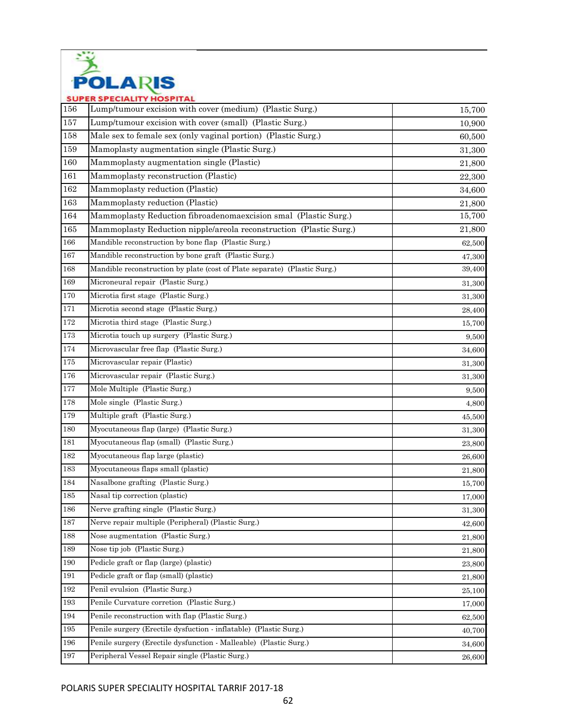

| JUF     | EN OF EURALITY MUOF HAL                                                   |        |
|---------|---------------------------------------------------------------------------|--------|
| 156     | Lump/tumour excision with cover (medium) (Plastic Surg.)                  | 15,700 |
| 157     | Lump/tumour excision with cover (small) (Plastic Surg.)                   | 10,900 |
| 158     | Male sex to female sex (only vaginal portion) (Plastic Surg.)             | 60,500 |
| 159     | Mamoplasty augmentation single (Plastic Surg.)                            | 31,300 |
| 160     | Mammoplasty augmentation single (Plastic)                                 | 21,800 |
| 161     | Mammoplasty reconstruction (Plastic)                                      | 22,300 |
| 162     | Mammoplasty reduction (Plastic)                                           | 34,600 |
| 163     | Mammoplasty reduction (Plastic)                                           | 21,800 |
| 164     | Mammoplasty Reduction fibroadenomaexcision smal (Plastic Surg.)           | 15,700 |
| 165     | Mammoplasty Reduction nipple/areola reconstruction (Plastic Surg.)        | 21,800 |
| 166     | Mandible reconstruction by bone flap (Plastic Surg.)                      | 62,500 |
| $167\,$ | Mandible reconstruction by bone graft (Plastic Surg.)                     | 47,300 |
| 168     | Mandible reconstruction by plate (cost of Plate separate) (Plastic Surg.) | 39,400 |
| 169     | Microneural repair (Plastic Surg.)                                        | 31,300 |
| 170     | Microtia first stage (Plastic Surg.)                                      | 31,300 |
| 171     | Microtia second stage (Plastic Surg.)                                     | 28,400 |
| 172     | Microtia third stage (Plastic Surg.)                                      | 15,700 |
| 173     | Microtia touch up surgery (Plastic Surg.)                                 | 9,500  |
| 174     | Microvascular free flap (Plastic Surg.)                                   | 34,600 |
| $175\,$ | Microvascular repair (Plastic)                                            | 31,300 |
| 176     | Microvascular repair (Plastic Surg.)                                      | 31,300 |
| 177     | Mole Multiple (Plastic Surg.)                                             | 9,500  |
| 178     | Mole single (Plastic Surg.)                                               | 4,800  |
| 179     | Multiple graft (Plastic Surg.)                                            | 45,500 |
| 180     | Myocutaneous flap (large) (Plastic Surg.)                                 | 31,300 |
| 181     | Myocutaneous flap (small) (Plastic Surg.)                                 | 23,800 |
| 182     | Myocutaneous flap large (plastic)                                         | 26.600 |
| 183     | Myocutaneous flaps small (plastic)                                        | 21,800 |
| 184     | Nasalbone grafting (Plastic Surg.)                                        | 15,700 |
| $185\,$ | Nasal tip correction (plastic)                                            | 17,000 |
| 186     | Nerve grafting single (Plastic Surg.)                                     | 31,300 |
| 187     | Nerve repair multiple (Peripheral) (Plastic Surg.)                        | 42,600 |
| 188     | Nose augmentation (Plastic Surg.)                                         | 21,800 |
| 189     | Nose tip job (Plastic Surg.)                                              | 21,800 |
| 190     | Pedicle graft or flap (large) (plastic)                                   | 23,800 |
| 191     | Pedicle graft or flap (small) (plastic)                                   | 21,800 |
| 192     | Penil evulsion (Plastic Surg.)                                            | 25,100 |
| 193     | Penile Curvature corretion (Plastic Surg.)                                | 17,000 |
| 194     | Penile reconstruction with flap (Plastic Surg.)                           | 62,500 |
| 195     | Penile surgery (Erectile dysfuction - inflatable) (Plastic Surg.)         | 40,700 |
| 196     | Penile surgery (Erectile dysfunction - Malleable) (Plastic Surg.)         | 34,600 |
| 197     | Peripheral Vessel Repair single (Plastic Surg.)                           | 26,600 |
|         |                                                                           |        |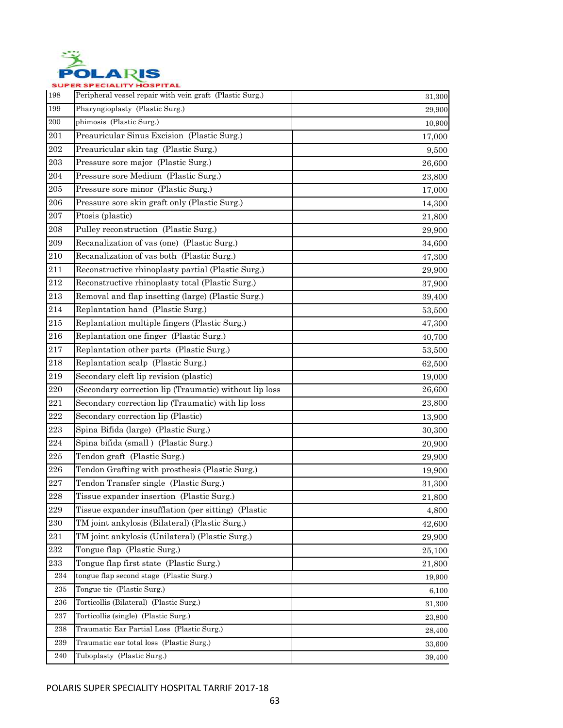

| 198       | Peripheral vessel repair with vein graft (Plastic Surg.) | 31,300 |
|-----------|----------------------------------------------------------|--------|
| 199       | Pharyngioplasty (Plastic Surg.)                          | 29,900 |
| 200       | phimosis (Plastic Surg.)                                 | 10,900 |
| 201       | Preauricular Sinus Excision (Plastic Surg.)              | 17,000 |
| 202       | Preauricular skin tag (Plastic Surg.)                    | 9,500  |
| $\,203$   | Pressure sore major (Plastic Surg.)                      | 26,600 |
| 204       | Pressure sore Medium (Plastic Surg.)                     | 23,800 |
| 205       | Pressure sore minor (Plastic Surg.)                      | 17,000 |
| 206       | Pressure sore skin graft only (Plastic Surg.)            | 14,300 |
| 207       | Ptosis (plastic)                                         | 21,800 |
| 208       | Pulley reconstruction (Plastic Surg.)                    | 29,900 |
| $\,209$   | Recanalization of vas (one) (Plastic Surg.)              | 34,600 |
| 210       | Recanalization of vas both (Plastic Surg.)               | 47,300 |
| 211       | Reconstructive rhinoplasty partial (Plastic Surg.)       | 29,900 |
| $212\,$   | Reconstructive rhinoplasty total (Plastic Surg.)         | 37,900 |
| 213       | Removal and flap insetting (large) (Plastic Surg.)       | 39,400 |
| 214       | Replantation hand (Plastic Surg.)                        | 53,500 |
| 215       | Replantation multiple fingers (Plastic Surg.)            | 47,300 |
| 216       | Replantation one finger (Plastic Surg.)                  | 40,700 |
| 217       | Replantation other parts (Plastic Surg.)                 | 53,500 |
| 218       | Replantation scalp (Plastic Surg.)                       | 62,500 |
| 219       | Secondary cleft lip revision (plastic)                   | 19,000 |
| $220\,$   | (Secondary correction lip (Traumatic) without lip loss   | 26,600 |
| 221       | Secondary correction lip (Traumatic) with lip loss       | 23,800 |
| 222       | Secondary correction lip (Plastic)                       | 13,900 |
| 223       | Spina Bifida (large) (Plastic Surg.)                     | 30,300 |
| 224       | Spina bifida (small) (Plastic Surg.)                     | 20,900 |
| $225\,$   | Tendon graft (Plastic Surg.)                             | 29,900 |
| 226       | Tendon Grafting with prosthesis (Plastic Surg.)          | 19,900 |
| 227       | Tendon Transfer single (Plastic Surg.)                   | 31,300 |
| 228       | Tissue expander insertion (Plastic Surg.)                | 21,800 |
| 229       | Tissue expander insufflation (per sitting) (Plastic      | 4,800  |
| $\,230$   | TM joint ankylosis (Bilateral) (Plastic Surg.)           | 42,600 |
| 231       | TM joint ankylosis (Unilateral) (Plastic Surg.)          | 29,900 |
| $\bf 232$ | Tongue flap (Plastic Surg.)                              | 25,100 |
| 233       | Tongue flap first state (Plastic Surg.)                  | 21,800 |
| 234       | tongue flap second stage (Plastic Surg.)                 | 19,900 |
| $235\,$   | Tongue tie (Plastic Surg.)                               | 6,100  |
| 236       | Torticollis (Bilateral) (Plastic Surg.)                  | 31,300 |
| 237       | Torticollis (single) (Plastic Surg.)                     | 23,800 |
| 238       | Traumatic Ear Partial Loss (Plastic Surg.)               | 28,400 |
| 239       | Traumatic ear total loss (Plastic Surg.)                 | 33,600 |
| 240       | Tuboplasty (Plastic Surg.)                               | 39,400 |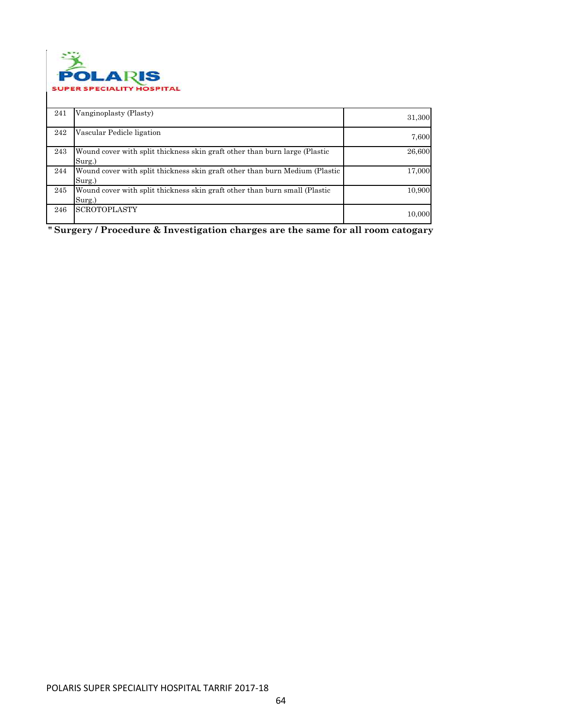

| 241 | Vanginoplasty (Plasty)                                                                | 31,300 |
|-----|---------------------------------------------------------------------------------------|--------|
| 242 | Vascular Pedicle ligation                                                             | 7,600  |
| 243 | Wound cover with split thickness skin graft other than burn large (Plastic<br>Surg.)  | 26,600 |
| 244 | Wound cover with split thickness skin graft other than burn Medium (Plastic<br>Surg.) | 17,000 |
| 245 | Wound cover with split thickness skin graft other than burn small (Plastic<br>Surg.)  | 10,900 |
| 246 | <b>SCROTOPLASTY</b>                                                                   | 10,000 |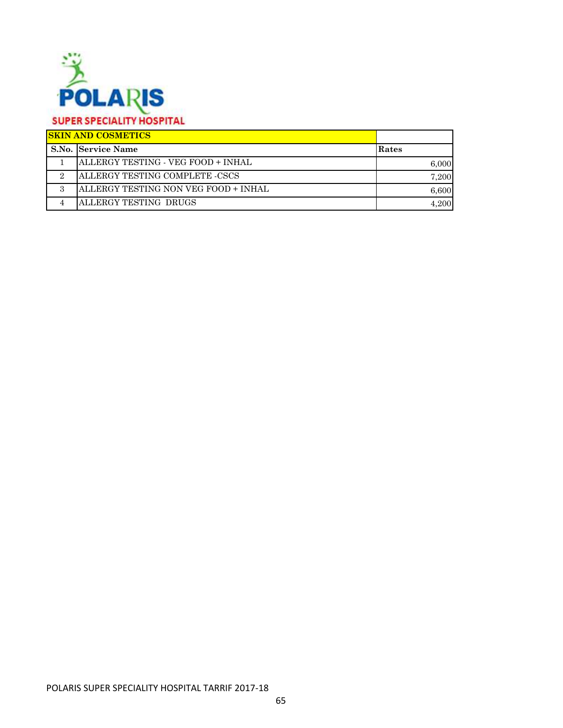

| <b>SKIN AND COSMETICS</b>            |       |
|--------------------------------------|-------|
| <b>S.No. Service Name</b>            | Rates |
| ALLERGY TESTING - VEG FOOD + INHAL   | 6.000 |
| ALLERGY TESTING COMPLETE -CSCS       | 7.200 |
| ALLERGY TESTING NON VEG FOOD + INHAL | 6.600 |
| ALLERGY TESTING DRUGS                | 4.200 |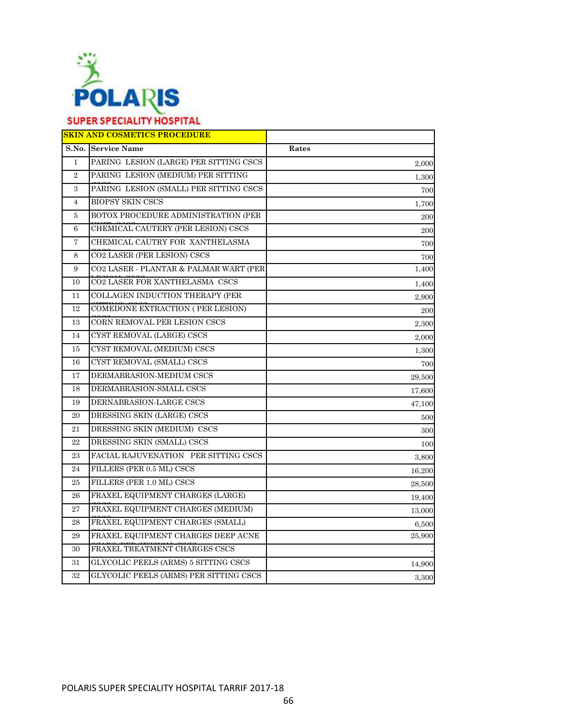

|                | <b>SKIN AND COSMETICS PROCEDURE</b>    |        |
|----------------|----------------------------------------|--------|
|                | S.No. Service Name                     | Rates  |
| $\mathbf{1}$   | PARING LESION (LARGE) PER SITTING CSCS | 2,000  |
| $\overline{2}$ | PARING LESION (MEDIUM) PER SITTING     | 1,300  |
| 3              | PARING LESION (SMALL) PER SITTING CSCS | 700    |
| $\overline{4}$ | <b>BIOPSY SKIN CSCS</b>                | 1,700  |
| 5              | BOTOX PROCEDURE ADMINISTRATION (PER    | 200    |
| 6              | CHEMICAL CAUTERY (PER LESION) CSCS     | 200    |
| $\overline{7}$ | CHEMICAL CAUTRY FOR XANTHELASMA        | 700    |
| 8              | CO2 LASER (PER LESION) CSCS            | 700    |
| 9              | CO2 LASER - PLANTAR & PALMAR WART (PER | 1,400  |
| 10             | CO2 LASER FOR XANTHELASMA CSCS         | 1,400  |
| 11             | COLLAGEN INDUCTION THERAPY (PER        | 2,900  |
| 12             | COMEDONE EXTRACTION (PER LESION)       | 200    |
| 13             | CORN REMOVAL PER LESION CSCS           | 2,300  |
| 14             | CYST REMOVAL (LARGE) CSCS              | 2,000  |
| 15             | CYST REMOVAL (MEDIUM) CSCS             | 1,300  |
| 16             | CYST REMOVAL (SMALL) CSCS              | 700    |
| 17             | DERMABRASION-MEDIUM CSCS               | 29,500 |
| 18             | DERMABRASION-SMALL CSCS                | 17,600 |
| 19             | DERNABRASION-LARGE CSCS                | 47,100 |
| 20             | DRESSING SKIN (LARGE) CSCS             | 500    |
| 21             | DRESSING SKIN (MEDIUM) CSCS            | 300    |
| 22             | DRESSING SKIN (SMALL) CSCS             | 100    |
| 23             | FACIAL RAJUVENATION PER SITTING CSCS   | 3,800  |
| 24             | FILLERS (PER 0.5 ML) CSCS              | 16,200 |
| 25             | FILLERS (PER 1.0 ML) CSCS              | 28,500 |
| 26             | FRAXEL EQUIPMENT CHARGES (LARGE)       | 19,400 |
| 27             | FRAXEL EQUIPMENT CHARGES (MEDIUM)      | 13,000 |
| 28             | FRAXEL EQUIPMENT CHARGES (SMALL)       | 6,500  |
| 29             | FRAXEL EQUIPMENT CHARGES DEEP ACNE     | 25,900 |
| 30             | FRAXEL TREATMENT CHARGES CSCS          |        |
| 31             | GLYCOLIC PEELS (ARMS) 5 SITTING CSCS   | 14,900 |
| 32             | GLYCOLIC PEELS (ARMS) PER SITTING CSCS | 3,300  |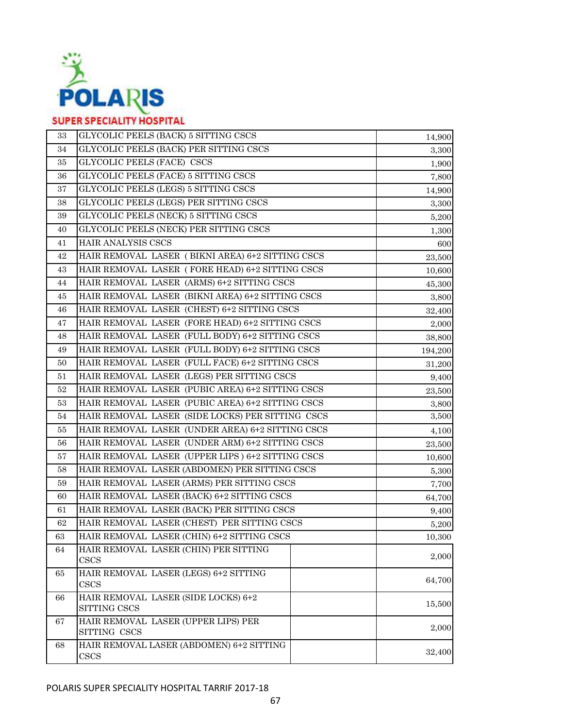

| 33 | GLYCOLIC PEELS (BACK) 5 SITTING CSCS                | 14,900  |
|----|-----------------------------------------------------|---------|
| 34 | GLYCOLIC PEELS (BACK) PER SITTING CSCS              | 3,300   |
| 35 | GLYCOLIC PEELS (FACE) CSCS                          | 1,900   |
| 36 | GLYCOLIC PEELS (FACE) 5 SITTING CSCS                | 7,800   |
| 37 | GLYCOLIC PEELS (LEGS) 5 SITTING CSCS                | 14,900  |
| 38 | GLYCOLIC PEELS (LEGS) PER SITTING CSCS              | 3,300   |
| 39 | GLYCOLIC PEELS (NECK) 5 SITTING CSCS                | 5,200   |
| 40 | GLYCOLIC PEELS (NECK) PER SITTING CSCS              | 1,300   |
| 41 | HAIR ANALYSIS CSCS                                  | 600     |
| 42 | HAIR REMOVAL LASER (BIKNI AREA) 6+2 SITTING CSCS    | 23,500  |
| 43 | HAIR REMOVAL LASER (FORE HEAD) 6+2 SITTING CSCS     | 10,600  |
| 44 | HAIR REMOVAL LASER (ARMS) 6+2 SITTING CSCS          | 45,300  |
| 45 | HAIR REMOVAL LASER (BIKNI AREA) 6+2 SITTING CSCS    | 3,800   |
| 46 | HAIR REMOVAL LASER (CHEST) 6+2 SITTING CSCS         | 32,400  |
| 47 | HAIR REMOVAL LASER (FORE HEAD) 6+2 SITTING CSCS     | 2,000   |
| 48 | HAIR REMOVAL LASER (FULL BODY) 6+2 SITTING CSCS     | 38,800  |
| 49 | HAIR REMOVAL LASER (FULL BODY) 6+2 SITTING CSCS     | 194,200 |
| 50 | HAIR REMOVAL LASER (FULL FACE) 6+2 SITTING CSCS     | 31,200  |
| 51 | HAIR REMOVAL LASER (LEGS) PER SITTING CSCS          | 9,400   |
| 52 | HAIR REMOVAL LASER (PUBIC AREA) 6+2 SITTING CSCS    | 23,500  |
| 53 | HAIR REMOVAL LASER (PUBIC AREA) 6+2 SITTING CSCS    | 3,800   |
| 54 | HAIR REMOVAL LASER (SIDE LOCKS) PER SITTING CSCS    | 3,500   |
| 55 | HAIR REMOVAL LASER (UNDER AREA) 6+2 SITTING CSCS    | 4,100   |
| 56 | HAIR REMOVAL LASER (UNDER ARM) 6+2 SITTING CSCS     | 23,500  |
| 57 | HAIR REMOVAL LASER (UPPER LIPS) 6+2 SITTING CSCS    | 10,600  |
| 58 | HAIR REMOVAL LASER (ABDOMEN) PER SITTING CSCS       | 5,300   |
| 59 | HAIR REMOVAL LASER (ARMS) PER SITTING CSCS          | 7,700   |
| 60 | HAIR REMOVAL LASER (BACK) 6+2 SITTING CSCS          | 64,700  |
| 61 | HAIR REMOVAL LASER (BACK) PER SITTING CSCS          | 9,400   |
| 62 | HAIR REMOVAL LASER (CHEST) PER SITTING CSCS         | 5,200   |
| 63 | HAIR REMOVAL LASER (CHIN) 6+2 SITTING CSCS          | 10,300  |
| 64 | HAIR REMOVAL LASER (CHIN) PER SITTING               |         |
|    | CSCS                                                | 2,000   |
| 65 | HAIR REMOVAL LASER (LEGS) 6+2 SITTING               | 64,700  |
|    | CSCS                                                |         |
| 66 | HAIR REMOVAL LASER (SIDE LOCKS) 6+2<br>SITTING CSCS | 15,500  |
| 67 | HAIR REMOVAL LASER (UPPER LIPS) PER                 |         |
|    | SITTING CSCS                                        | 2,000   |
| 68 | HAIR REMOVAL LASER (ABDOMEN) 6+2 SITTING            |         |
|    | $\csc s$                                            | 32,400  |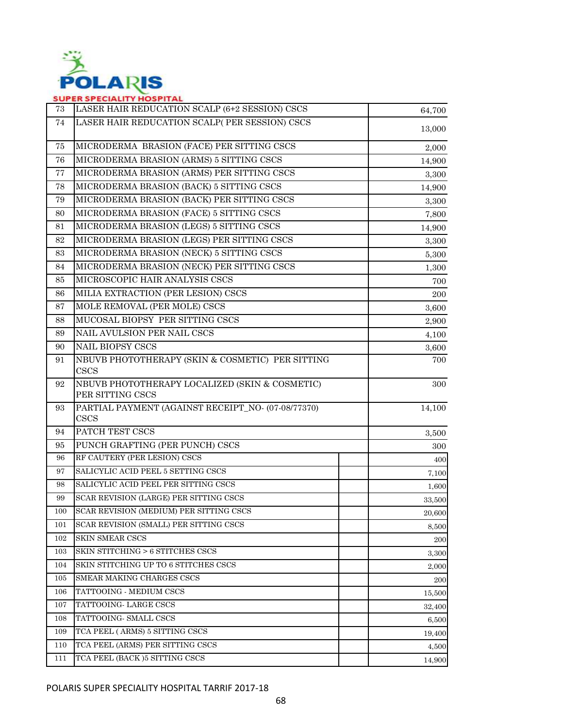

| 73  | LASER HAIR REDUCATION SCALP (6+2 SESSION) CSCS                     | 64,700     |
|-----|--------------------------------------------------------------------|------------|
| 74  | LASER HAIR REDUCATION SCALP(PER SESSION) CSCS                      | 13,000     |
| 75  | MICRODERMA BRASION (FACE) PER SITTING CSCS                         | 2,000      |
| 76  | MICRODERMA BRASION (ARMS) 5 SITTING CSCS                           | 14,900     |
| 77  | MICRODERMA BRASION (ARMS) PER SITTING CSCS                         | 3,300      |
| 78  | MICRODERMA BRASION (BACK) 5 SITTING CSCS                           | 14,900     |
| 79  | MICRODERMA BRASION (BACK) PER SITTING CSCS                         | 3,300      |
| 80  | MICRODERMA BRASION (FACE) 5 SITTING CSCS                           | 7,800      |
| 81  | MICRODERMA BRASION (LEGS) 5 SITTING CSCS                           | 14,900     |
| 82  | MICRODERMA BRASION (LEGS) PER SITTING CSCS                         | 3,300      |
| 83  | MICRODERMA BRASION (NECK) 5 SITTING CSCS                           | 5,300      |
| 84  | MICRODERMA BRASION (NECK) PER SITTING CSCS                         | 1,300      |
| 85  | MICROSCOPIC HAIR ANALYSIS CSCS                                     | 700        |
| 86  | MILIA EXTRACTION (PER LESION) CSCS                                 | 200        |
| 87  | MOLE REMOVAL (PER MOLE) CSCS                                       | 3,600      |
| 88  | MUCOSAL BIOPSY PER SITTING CSCS                                    | 2,900      |
| 89  | NAIL AVULSION PER NAIL CSCS                                        | 4,100      |
| 90  | <b>NAIL BIOPSY CSCS</b>                                            | 3,600      |
| 91  | NBUVB PHOTOTHERAPY (SKIN & COSMETIC) PER SITTING<br><b>CSCS</b>    | 700        |
| 92  | NBUVB PHOTOTHERAPY LOCALIZED (SKIN & COSMETIC)<br>PER SITTING CSCS | 300        |
| 93  | PARTIAL PAYMENT (AGAINST RECEIPT_NO- (07-08/77370)<br>CSCS         | 14,100     |
| 94  | PATCH TEST CSCS                                                    | 3,500      |
| 95  | PUNCH GRAFTING (PER PUNCH) CSCS                                    | 300        |
| 96  | RF CAUTERY (PER LESION) CSCS                                       | 400        |
| 97  | SALICYLIC ACID PEEL 5 SETTING CSCS                                 | 7,100      |
| 98  | SALICYLIC ACID PEEL PER SITTING CSCS                               | 1,600      |
| 99  | SCAR REVISION (LARGE) PER SITTING CSCS                             | 33,500     |
| 100 | SCAR REVISION (MEDIUM) PER SITTING CSCS                            | 20,600     |
| 101 | SCAR REVISION (SMALL) PER SITTING CSCS                             | 8,500      |
| 102 | <b>SKIN SMEAR CSCS</b>                                             | <b>200</b> |
| 103 | SKIN STITCHING > 6 STITCHES CSCS                                   | 3,300      |
| 104 | SKIN STITCHING UP TO 6 STITCHES CSCS                               | 2,000      |
| 105 | SMEAR MAKING CHARGES CSCS                                          | 200        |
| 106 | TATTOOING - MEDIUM CSCS                                            | 15,500     |
| 107 | TATTOOING- LARGE CSCS                                              | 32,400     |
| 108 | TATTOOING- SMALL CSCS                                              | 6,500      |
| 109 | TCA PEEL (ARMS) 5 SITTING CSCS                                     | 19,400     |
| 110 | TCA PEEL (ARMS) PER SITTING CSCS                                   | 4,500      |
| 111 | TCA PEEL (BACK) 5 SITTING CSCS                                     | 14,900     |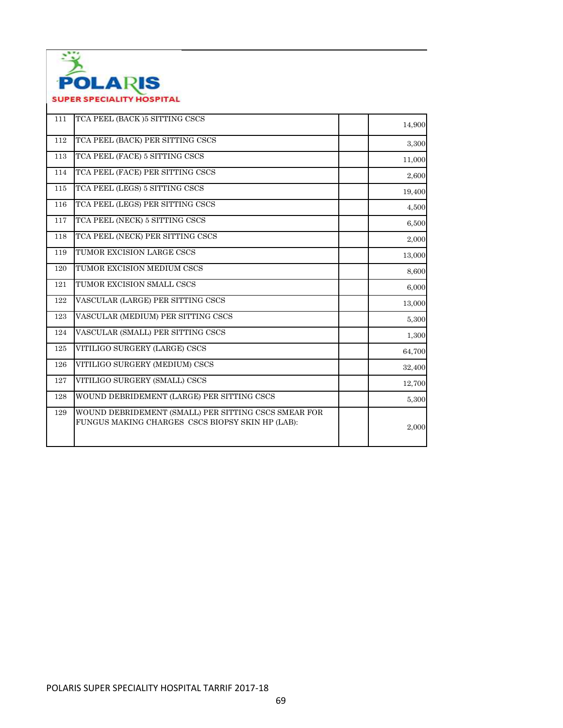

| 111 | TCA PEEL (BACK) 5 SITTING CSCS                                                                           | 14,900 |
|-----|----------------------------------------------------------------------------------------------------------|--------|
| 112 | TCA PEEL (BACK) PER SITTING CSCS                                                                         | 3,300  |
| 113 | TCA PEEL (FACE) 5 SITTING CSCS                                                                           | 11,000 |
| 114 | TCA PEEL (FACE) PER SITTING CSCS                                                                         | 2,600  |
| 115 | TCA PEEL (LEGS) 5 SITTING CSCS                                                                           | 19,400 |
| 116 | TCA PEEL (LEGS) PER SITTING CSCS                                                                         | 4,500  |
| 117 | TCA PEEL (NECK) 5 SITTING CSCS                                                                           | 6,500  |
| 118 | TCA PEEL (NECK) PER SITTING CSCS                                                                         | 2,000  |
| 119 | TUMOR EXCISION LARGE CSCS                                                                                | 13,000 |
| 120 | TUMOR EXCISION MEDIUM CSCS                                                                               | 8,600  |
| 121 | TUMOR EXCISION SMALL CSCS                                                                                | 6,000  |
| 122 | VASCULAR (LARGE) PER SITTING CSCS                                                                        | 13,000 |
| 123 | VASCULAR (MEDIUM) PER SITTING CSCS                                                                       | 5,300  |
| 124 | VASCULAR (SMALL) PER SITTING CSCS                                                                        | 1,300  |
| 125 | VITILIGO SURGERY (LARGE) CSCS                                                                            | 64,700 |
| 126 | VITILIGO SURGERY (MEDIUM) CSCS                                                                           | 32,400 |
| 127 | VITILIGO SURGERY (SMALL) CSCS                                                                            | 12,700 |
| 128 | WOUND DEBRIDEMENT (LARGE) PER SITTING CSCS                                                               | 5,300  |
| 129 | WOUND DEBRIDEMENT (SMALL) PER SITTING CSCS SMEAR FOR<br>FUNGUS MAKING CHARGES CSCS BIOPSY SKIN HP (LAB): | 2,000  |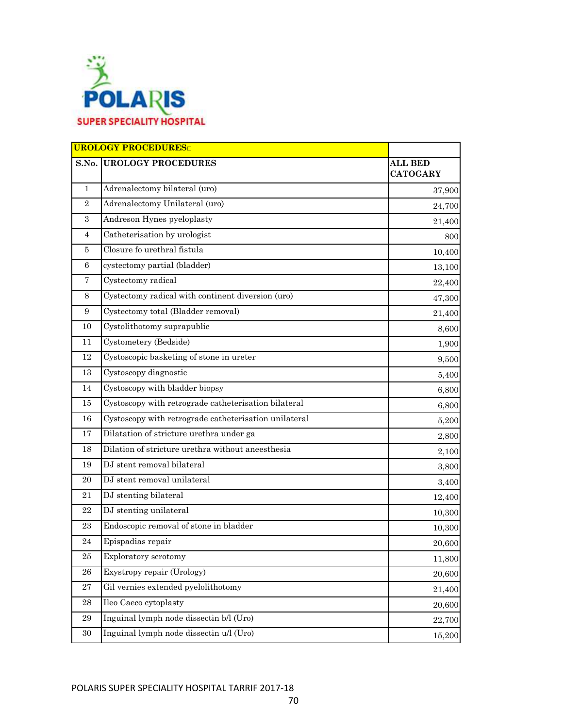

|                  | <b>UROLOGY PROCEDURES</b>                             |                                   |
|------------------|-------------------------------------------------------|-----------------------------------|
| S.No.            | <b>UROLOGY PROCEDURES</b>                             | <b>ALL BED</b><br><b>CATOGARY</b> |
| $\mathbf{1}$     | Adrenalectomy bilateral (uro)                         | 37,900                            |
| $\overline{2}$   | Adrenalectomy Unilateral (uro)                        | 24,700                            |
| $\sqrt{3}$       | Andreson Hynes pyeloplasty                            | 21,400                            |
| $\overline{4}$   | Catheterisation by urologist                          | 800                               |
| 5                | Closure fo urethral fistula                           | 10,400                            |
| 6                | cystectomy partial (bladder)                          | 13,100                            |
| $\overline{7}$   | Cystectomy radical                                    | 22,400                            |
| 8                | Cystectomy radical with continent diversion (uro)     | 47,300                            |
| $\boldsymbol{9}$ | Cystectomy total (Bladder removal)                    | 21,400                            |
| 10               | Cystolithotomy suprapublic                            | 8,600                             |
| 11               | Cystometery (Bedside)                                 | 1,900                             |
| 12               | Cystoscopic basketing of stone in ureter              | 9,500                             |
| 13               | Cystoscopy diagnostic                                 | 5,400                             |
| 14               | Cystoscopy with bladder biopsy                        | 6,800                             |
| 15               | Cystoscopy with retrograde catheterisation bilateral  | 6,800                             |
| 16               | Cystoscopy with retrograde catheterisation unilateral | 5,200                             |
| 17               | Dilatation of stricture urethra under ga              | 2,800                             |
| 18               | Dilation of stricture urethra without aneesthesia     | 2,100                             |
| 19               | DJ stent removal bilateral                            | 3,800                             |
| 20               | DJ stent removal unilateral                           | 3,400                             |
| 21               | DJ stenting bilateral                                 | 12,400                            |
| 22               | DJ stenting unilateral                                | 10,300                            |
| 23               | Endoscopic removal of stone in bladder                | 10,300                            |
| 24               | Epispadias repair                                     | 20,600                            |
| $25\,$           | Exploratory scrotomy                                  | 11,800                            |
| ${\bf 26}$       | Exystropy repair (Urology)                            | 20,600                            |
| 27               | Gil vernies extended pyelolithotomy                   | 21,400                            |
| 28               | Ileo Caeco cytoplasty                                 | 20,600                            |
| 29               | Inguinal lymph node dissectin b/l (Uro)               | 22,700                            |
| 30               | Inguinal lymph node dissectin u/l (Uro)               | 15,200                            |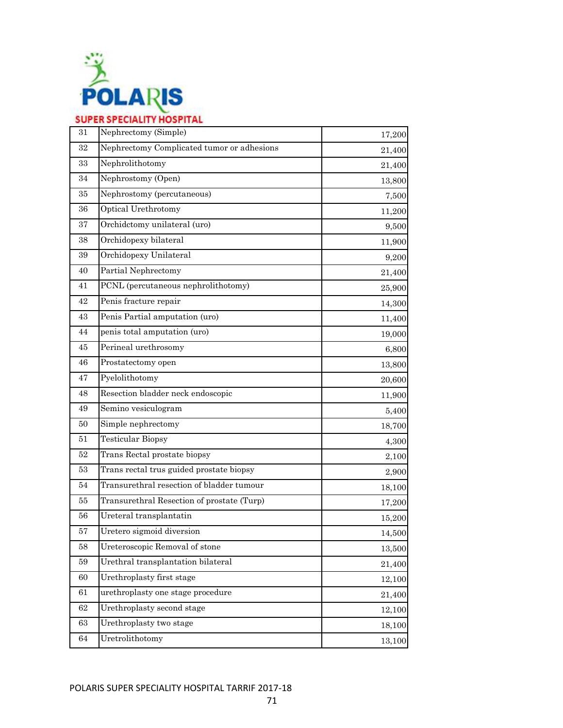

| 31     | Nephrectomy (Simple)                       | 17,200 |
|--------|--------------------------------------------|--------|
| 32     | Nephrectomy Complicated tumor or adhesions | 21,400 |
| 33     | Nephrolithotomy                            | 21,400 |
| 34     | Nephrostomy (Open)                         | 13,800 |
| 35     | Nephrostomy (percutaneous)                 | 7,500  |
| 36     | Optical Urethrotomy                        | 11,200 |
| 37     | Orchidctomy unilateral (uro)               | 9,500  |
| 38     | Orchidopexy bilateral                      | 11,900 |
| 39     | Orchidopexy Unilateral                     | 9,200  |
| 40     | Partial Nephrectomy                        | 21,400 |
| 41     | PCNL (percutaneous nephrolithotomy)        | 25,900 |
| 42     | Penis fracture repair                      | 14,300 |
| 43     | Penis Partial amputation (uro)             | 11,400 |
| 44     | penis total amputation (uro)               | 19,000 |
| 45     | Perineal urethrosomy                       | 6,800  |
| 46     | Prostatectomy open                         | 13,800 |
| 47     | Pyelolithotomy                             | 20,600 |
| 48     | Resection bladder neck endoscopic          | 11,900 |
| 49     | Semino vesiculogram                        | 5,400  |
| 50     | Simple nephrectomy                         | 18,700 |
| 51     | <b>Testicular Biopsy</b>                   | 4,300  |
| 52     | Trans Rectal prostate biopsy               | 2,100  |
| 53     | Trans rectal trus guided prostate biopsy   | 2,900  |
| 54     | Transurethral resection of bladder tumour  | 18,100 |
| 55     | Transurethral Resection of prostate (Turp) | 17,200 |
| 56     | Ureteral transplantatin                    | 15,200 |
| 57     | Uretero sigmoid diversion                  | 14,500 |
| $58\,$ | Ureteroscopic Removal of stone             | 13,500 |
| $59\,$ | Urethral transplantation bilateral         | 21,400 |
| 60     | Urethroplasty first stage                  | 12,100 |
| $61\,$ | urethroplasty one stage procedure          | 21,400 |
| 62     | Urethroplasty second stage                 | 12,100 |
| 63     | Urethroplasty two stage                    | 18,100 |
| 64     | Uretrolithotomy                            | 13,100 |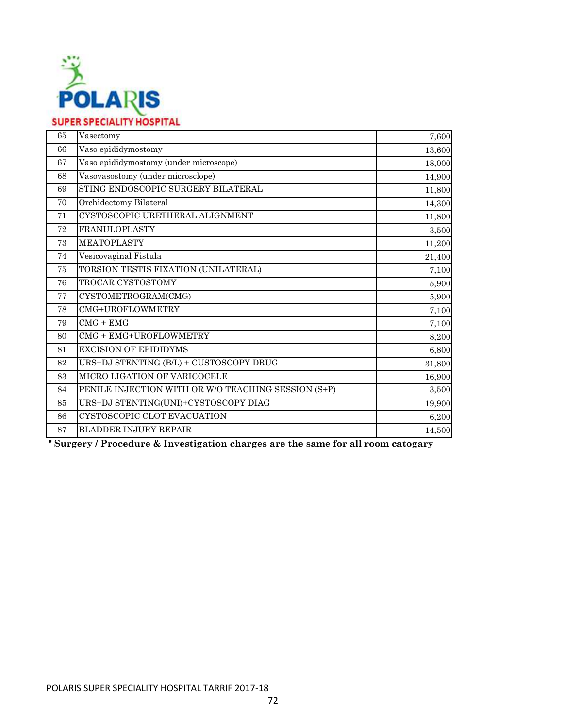

| 65 | Vasectomy                                           | 7,600  |
|----|-----------------------------------------------------|--------|
| 66 | Vaso epididymostomy                                 | 13,600 |
| 67 | Vaso epididymostomy (under microscope)              | 18,000 |
| 68 | Vasovasostomy (under microsclope)                   | 14,900 |
| 69 | STING ENDOSCOPIC SURGERY BILATERAL                  | 11,800 |
| 70 | Orchidectomy Bilateral                              | 14,300 |
| 71 | CYSTOSCOPIC URETHERAL ALIGNMENT                     | 11,800 |
| 72 | <b>FRANULOPLASTY</b>                                | 3,500  |
| 73 | <b>MEATOPLASTY</b>                                  | 11,200 |
| 74 | Vesicovaginal Fistula                               | 21,400 |
| 75 | TORSION TESTIS FIXATION (UNILATERAL)                | 7,100  |
| 76 | TROCAR CYSTOSTOMY                                   | 5,900  |
| 77 | CYSTOMETROGRAM(CMG)                                 | 5,900  |
| 78 | CMG+UROFLOWMETRY                                    | 7,100  |
| 79 | $CMG + EMG$                                         | 7,100  |
| 80 | CMG + EMG+UROFLOWMETRY                              | 8,200  |
| 81 | <b>EXCISION OF EPIDIDYMS</b>                        | 6,800  |
| 82 | URS+DJ STENTING (B/L) + CUSTOSCOPY DRUG             | 31,800 |
| 83 | MICRO LIGATION OF VARICOCELE                        | 16,900 |
| 84 | PENILE INJECTION WITH OR W/O TEACHING SESSION (S+P) | 3,500  |
| 85 | URS+DJ STENTING(UNI)+CYSTOSCOPY DIAG                | 19,900 |
| 86 | CYSTOSCOPIC CLOT EVACUATION                         | 6,200  |
| 87 | <b>BLADDER INJURY REPAIR</b>                        | 14,500 |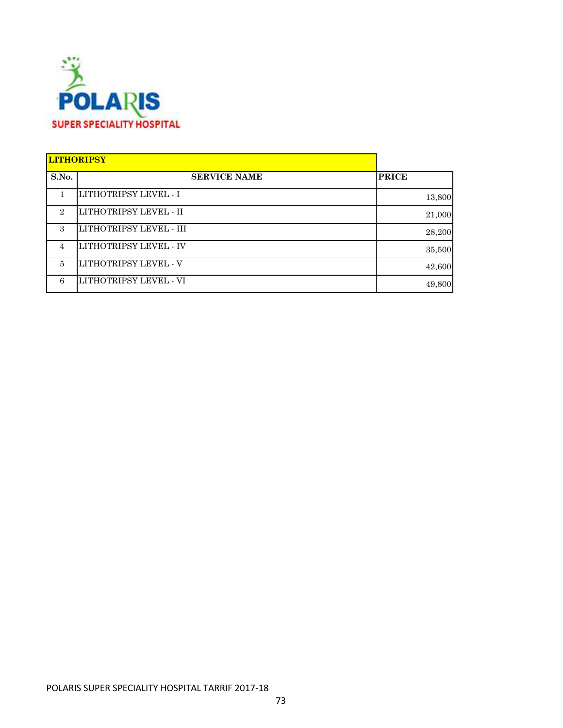

|                             | <b>LITHORIPSY</b>             |              |
|-----------------------------|-------------------------------|--------------|
| S.No.                       | <b>SERVICE NAME</b>           | <b>PRICE</b> |
|                             | <b>LITHOTRIPSY LEVEL - I</b>  | 13,800       |
| $\mathcal{D}_{\mathcal{L}}$ | LITHOTRIPSY LEVEL - II        | 21,000       |
| $\mathcal{S}$               | LITHOTRIPSY LEVEL - III       | 28,200       |
| $\overline{4}$              | <b>LITHOTRIPSY LEVEL - IV</b> | 35,500       |
| 5                           | LITHOTRIPSY LEVEL - V         | 42,600       |
| 6                           | LITHOTRIPSY LEVEL - VI        | 49,800       |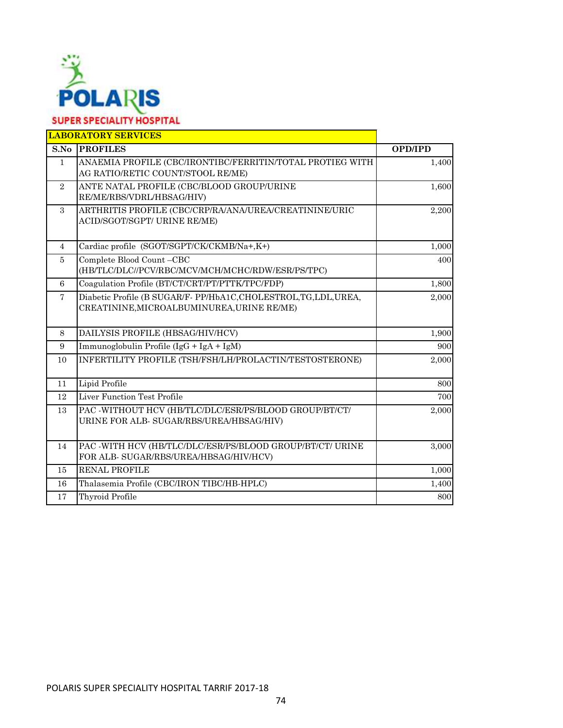

|                | <b>LABORATORY SERVICES</b>                                                                                      |                |
|----------------|-----------------------------------------------------------------------------------------------------------------|----------------|
| S.No           | <b>PROFILES</b>                                                                                                 | <b>OPD/IPD</b> |
| $\mathbf{1}$   | ANAEMIA PROFILE (CBC/IRONTIBC/FERRITIN/TOTAL PROTIEG WITH<br>AG RATIO/RETIC COUNT/STOOL RE/ME)                  | 1,400          |
| $\overline{2}$ | ANTE NATAL PROFILE (CBC/BLOOD GROUP/URINE<br>RE/ME/RBS/VDRL/HBSAG/HIV)                                          | 1,600          |
| $\mathcal{S}$  | ARTHRITIS PROFILE (CBC/CRP/RA/ANA/UREA/CREATININE/URIC<br>ACID/SGOT/SGPT/ URINE RE/ME)                          | 2,200          |
| $\overline{4}$ | Cardiac profile (SGOT/SGPT/CK/CKMB/Na+,K+)                                                                      | 1,000          |
| $\overline{5}$ | Complete Blood Count-CBC<br>(HB/TLC/DLC//PCV/RBC/MCV/MCH/MCHC/RDW/ESR/PS/TPC)                                   | 400            |
| 6              | Coagulation Profile (BT/CT/CRT/PT/PTTK/TPC/FDP)                                                                 | 1,800          |
| $\overline{7}$ | Diabetic Profile (B SUGAR/F- PP/HbA1C, CHOLESTROL, TG, LDL, UREA,<br>CREATININE, MICROALBUMINUREA, URINE RE/ME) | 2,000          |
| 8              | DAILYSIS PROFILE (HBSAG/HIV/HCV)                                                                                | 1,900          |
| 9              | Immunoglobulin Profile (IgG + IgA + IgM)                                                                        | 900            |
| 10             | INFERTILITY PROFILE (TSH/FSH/LH/PROLACTIN/TESTOSTERONE)                                                         | 2,000          |
| 11             | Lipid Profile                                                                                                   | 800            |
| 12             | Liver Function Test Profile                                                                                     | 700            |
| 13             | PAC -WITHOUT HCV (HB/TLC/DLC/ESR/PS/BLOOD GROUP/BT/CT/<br>URINE FOR ALB- SUGAR/RBS/UREA/HBSAG/HIV)              | 2,000          |
| 14             | PAC -WITH HCV (HB/TLC/DLC/ESR/PS/BLOOD GROUP/BT/CT/ URINE<br>FOR ALB- SUGAR/RBS/UREA/HBSAG/HIV/HCV)             | 3,000          |
| 15             | <b>RENAL PROFILE</b>                                                                                            | 1,000          |
| 16             | Thalasemia Profile (CBC/IRON TIBC/HB-HPLC)                                                                      | 1,400          |
| 17             | <b>Thyroid Profile</b>                                                                                          | 800            |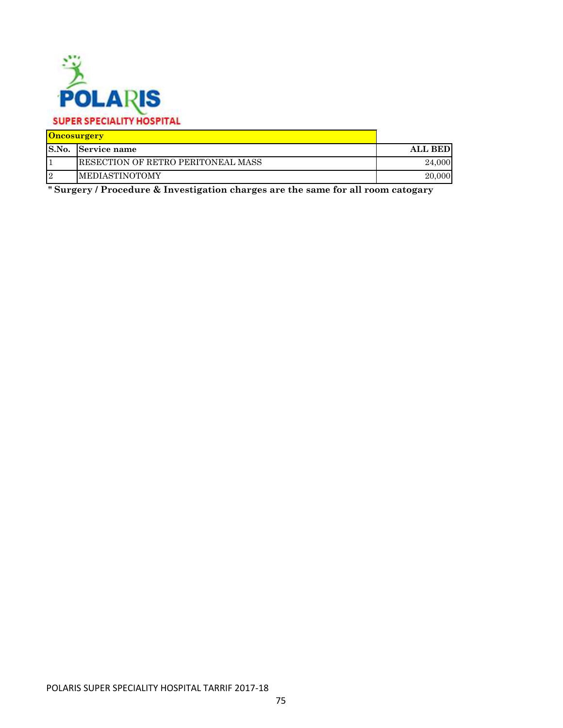

## **SUPER SPECIALITY HOSPITAL**

| <b>Oncosurgery</b> |                                     |                |
|--------------------|-------------------------------------|----------------|
|                    | <b>S.No.</b> Service name           | <b>ALL BED</b> |
|                    | IRESECTION OF RETRO PERITONEAL MASS | 24,000         |
| $\overline{2}$     | <b>IMEDIASTINOTOMY</b>              | 20,000         |

**" Surgery / Procedure & Investigation charges are the same for all room catogary**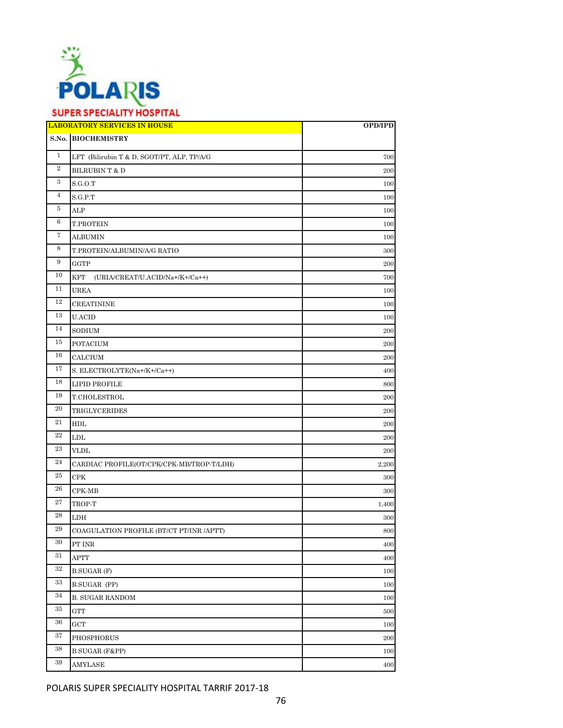

# **SUPER SPECIALITY HOSPITAL**

|                   | <b>LABORATORY SERVICES IN HOUSE</b>           | OPD/IPD |
|-------------------|-----------------------------------------------|---------|
|                   | S.No. BIOCHEMISTRY                            |         |
| $\mathbf{1}$      | LFT (Bilirubin T & D, SGOT/PT, ALP, TP/A/G    | 700     |
| $\,2$             | BILRUBIN T & D                                | 200     |
| $\boldsymbol{3}$  | S.G.O.T                                       | 100     |
| $\overline{4}$    | S.G.P.T                                       | 100     |
| 5                 | ALP                                           | 100     |
| $\,6\,$           | T.PROTEIN                                     | 100     |
| $\scriptstyle{7}$ | <b>ALBUMIN</b>                                | 100     |
| 8                 | T.PROTEIN/ALBUMIN/A/G RATIO                   | 300     |
| 9                 | GGTP                                          | 200     |
| 10                | <b>KFT</b><br>(URIA/CREAT/U.ACID/Na+/K+/Ca++) | 700     |
| 11                | <b>UREA</b>                                   | 100     |
| 12                | <b>CREATININE</b>                             | 100     |
| 13                | <b>U.ACID</b>                                 | 100     |
| 14                | SODIUM                                        | 200     |
| 15                | <b>POTACIUM</b>                               | 200     |
| 16                | CALCIUM                                       | 200     |
| 17                | S. ELECTROLYTE(Na+/K+/Ca++)                   | 400     |
| 18                | <b>LIPID PROFILE</b>                          | 800     |
| 19                | T.CHOLESTROL                                  | 200     |
| 20                | TRIGLYCERIDES                                 | 200     |
| 21                | HDL                                           | 200     |
| 22                | LDL                                           | 200     |
| 23                | <b>VLDL</b>                                   | 200     |
| 24                | CARDIAC PROFILE(OT/CPK/CPK-MB/TROP-T/LDH)     | 2,200   |
| 25                | CPK                                           | 300     |
| 26                | CPK-MB                                        | 300     |
| 27                | TROP-T                                        | 1,400   |
| 28                | ${\rm LDH}$                                   | 300     |
| 29                | COAGULATION PROFILE (BT/CT PT/INR /APTT)      | 800     |
| 30                | PT INR                                        | 400     |
| $31\,$            | APTT                                          | 400     |
| $32\,$            | <b>B.SUGAR (F)</b>                            | 100     |
| 33                | B.SUGAR (PP)                                  | 100     |
| 34                | <b>B. SUGAR RANDOM</b>                        | 100     |
| 35                | <b>GTT</b>                                    | 500     |
| 36                | GCT                                           | 100     |
| 37                | PHOSPHORUS                                    | 200     |
| 38                | <b>B SUGAR (F&amp;PP)</b>                     | 100     |
| 39                | AMYLASE                                       | 400     |

POLARIS SUPER SPECIALITY HOSPITAL TARRIF 2017-18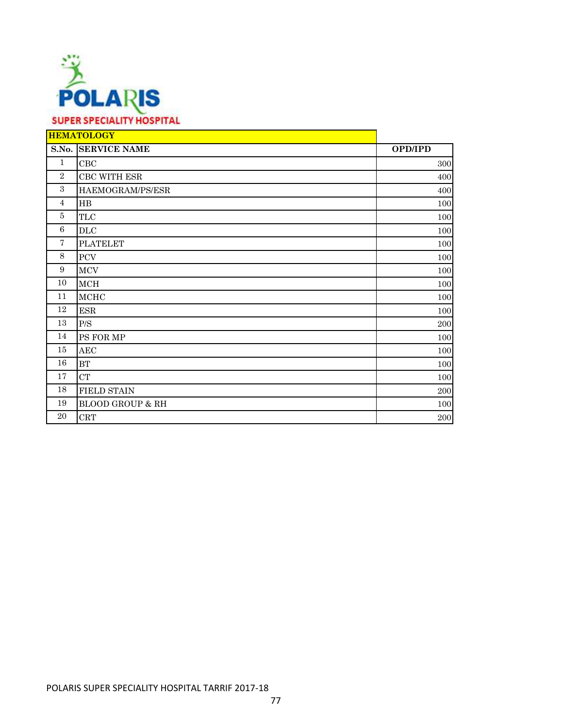

|                | <b>HEMATOLOGY</b>            |                |
|----------------|------------------------------|----------------|
|                | <b>S.No. SERVICE NAME</b>    | <b>OPD/IPD</b> |
| $\mathbf{1}$   | CBC                          | 300            |
| $\overline{2}$ | ${\rm CBC}$ WITH ${\rm ESR}$ | 400            |
| 3              | HAEMOGRAM/PS/ESR             | 400            |
| $\overline{4}$ | $_{\rm HB}$                  | 100            |
| $\bf 5$        | $\ensuremath{\mathsf{TLC}}$  | 100            |
| 6              | DLC                          | 100            |
| $\overline{7}$ | <b>PLATELET</b>              | 100            |
| 8              | ${\mbox{PCV}}$               | 100            |
| 9              | <b>MCV</b>                   | 100            |
| 10             | MCH                          | 100            |
| 11             | <b>MCHC</b>                  | 100            |
| 12             | <b>ESR</b>                   | 100            |
| 13             | $\rm{P/S}$                   | 200            |
| 14             | PS FOR MP                    | 100            |
| 15             | AEC                          | 100            |
| 16             | BT                           | 100            |
| 17             | CT                           | 100            |
| 18             | <b>FIELD STAIN</b>           | 200            |
| 19             | <b>BLOOD GROUP &amp; RH</b>  | 100            |
| 20             | <b>CRT</b>                   | 200            |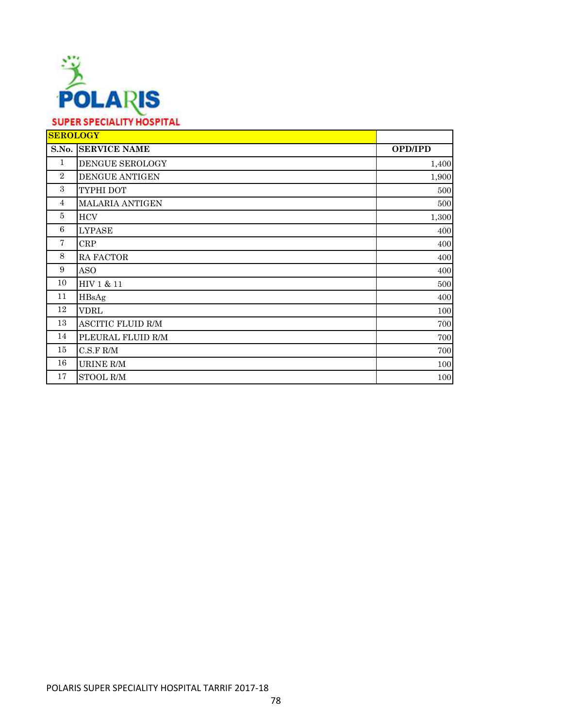

| <b>SEROLOGY</b> |                           |                |
|-----------------|---------------------------|----------------|
|                 | <b>S.No. SERVICE NAME</b> | <b>OPD/IPD</b> |
| 1               | DENGUE SEROLOGY           | 1,400          |
| $\overline{2}$  | <b>DENGUE ANTIGEN</b>     | 1,900          |
| 3               | TYPHI DOT                 | 500            |
| 4               | <b>MALARIA ANTIGEN</b>    | 500            |
| 5               | <b>HCV</b>                | 1,300          |
| 6               | <b>LYPASE</b>             | 400            |
| 7               | CRP                       | 400            |
| 8               | RA FACTOR                 | 400            |
| 9               | <b>ASO</b>                | 400            |
| 10              | HIV 1 & 11                | 500            |
| 11              | HBsAg                     | 400            |
| 12              | <b>VDRL</b>               | 100            |
| 13              | ASCITIC FLUID R/M         | 700            |
| 14              | PLEURAL FLUID R/M         | 700            |
| 15              | $C.S.F R/M$               | 700            |
| 16              | URINE R/M                 | 100            |
| 17              | STOOL R/M                 | 100            |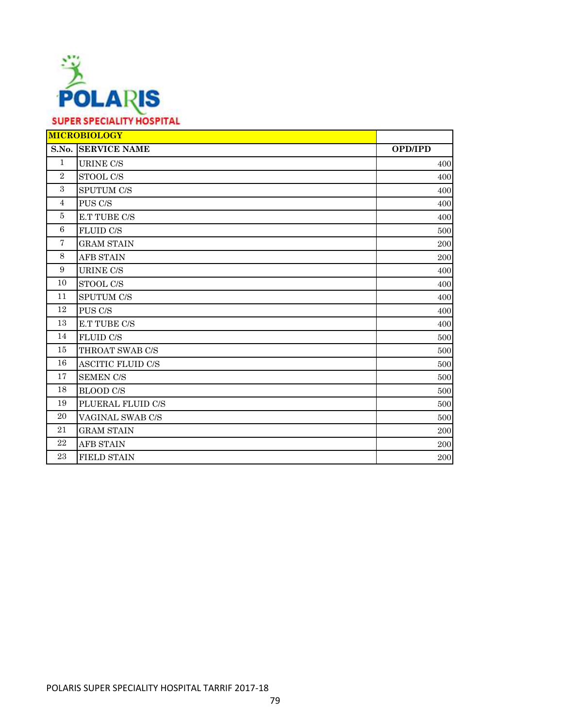

|                | <b>MICROBIOLOGY</b>       |                |
|----------------|---------------------------|----------------|
|                | <b>S.No. SERVICE NAME</b> | <b>OPD/IPD</b> |
| $\mathbf{1}$   | <b>URINE C/S</b>          | 400            |
| 2              | STOOL C/S                 | 400            |
| 3              | <b>SPUTUM C/S</b>         | 400            |
| $\overline{4}$ | PUS C/S                   | 400            |
| 5              | E.T TUBE C/S              | 400            |
| 6              | <b>FLUID C/S</b>          | 500            |
| $\overline{7}$ | <b>GRAM STAIN</b>         | 200            |
| 8              | <b>AFB STAIN</b>          | 200            |
| 9              | <b>URINE C/S</b>          | 400            |
| 10             | STOOL C/S                 | 400            |
| 11             | <b>SPUTUM C/S</b>         | 400            |
| 12             | PUS C/S                   | 400            |
| 13             | E.T TUBE C/S              | 400            |
| 14             | <b>FLUID C/S</b>          | 500            |
| 15             | THROAT SWAB C/S           | 500            |
| 16             | <b>ASCITIC FLUID C/S</b>  | 500            |
| 17             | <b>SEMEN C/S</b>          | 500            |
| 18             | <b>BLOOD C/S</b>          | 500            |
| 19             | PLUERAL FLUID C/S         | 500            |
| 20             | VAGINAL SWAB C/S          | 500            |
| 21             | <b>GRAM STAIN</b>         | 200            |
| 22             | <b>AFB STAIN</b>          | 200            |
| 23             | <b>FIELD STAIN</b>        | 200            |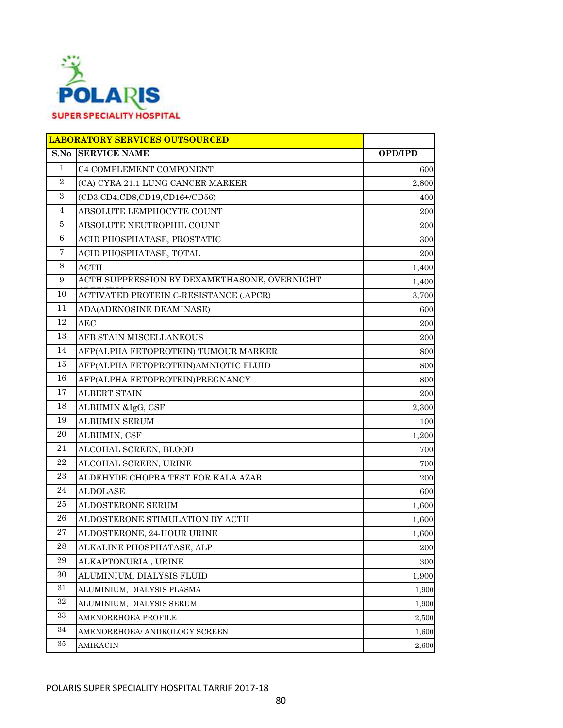

|                | <b>LABORATORY SERVICES OUTSOURCED</b>        |                |
|----------------|----------------------------------------------|----------------|
| S.No           | <b>SERVICE NAME</b>                          | <b>OPD/IPD</b> |
| 1              | C4 COMPLEMENT COMPONENT                      | 600            |
| $\overline{2}$ | (CA) CYRA 21.1 LUNG CANCER MARKER            | 2,800          |
| $\sqrt{3}$     | (CD3, CD4, CD8, CD19, CD16+/CD56)            | 400            |
| $\overline{4}$ | ABSOLUTE LEMPHOCYTE COUNT                    | 200            |
| 5              | ABSOLUTE NEUTROPHIL COUNT                    | 200            |
| 6              | ACID PHOSPHATASE, PROSTATIC                  | 300            |
| $\overline{7}$ | ACID PHOSPHATASE, TOTAL                      | 200            |
| 8              | <b>ACTH</b>                                  | 1,400          |
| 9              | ACTH SUPPRESSION BY DEXAMETHASONE, OVERNIGHT | 1,400          |
| 10             | ACTIVATED PROTEIN C-RESISTANCE (.APCR)       | 3,700          |
| 11             | ADA(ADENOSINE DEAMINASE)                     | 600            |
| 12             | <b>AEC</b>                                   | 200            |
| 13             | AFB STAIN MISCELLANEOUS                      | 200            |
| 14             | AFP(ALPHA FETOPROTEIN) TUMOUR MARKER         | 800            |
| 15             | AFP(ALPHA FETOPROTEIN)AMNIOTIC FLUID         | 800            |
| 16             | AFP(ALPHA FETOPROTEIN)PREGNANCY              | 800            |
| 17             | <b>ALBERT STAIN</b>                          | 200            |
| 18             | ALBUMIN &IgG, CSF                            | 2,300          |
| 19             | <b>ALBUMIN SERUM</b>                         | 100            |
| 20             | ALBUMIN, CSF                                 | 1,200          |
| 21             | ALCOHAL SCREEN, BLOOD                        | 700            |
| $\bf{22}$      | ALCOHAL SCREEN, URINE                        | 700            |
| 23             | ALDEHYDE CHOPRA TEST FOR KALA AZAR           | 200            |
| 24             | <b>ALDOLASE</b>                              | 600            |
| 25             | ALDOSTERONE SERUM                            | 1,600          |
| 26             | ALDOSTERONE STIMULATION BY ACTH              | 1,600          |
| 27             | ALDOSTERONE, 24-HOUR URINE                   | 1,600          |
| $\bf 28$       | ALKALINE PHOSPHATASE, ALP                    | 200            |
| 29             | ALKAPTONURIA, URINE                          | 300            |
| 30             | ALUMINIUM, DIALYSIS FLUID                    | 1,900          |
| 31             | ALUMINIUM, DIALYSIS PLASMA                   | 1,900          |
| $32\,$         | ALUMINIUM, DIALYSIS SERUM                    | 1,900          |
| 33             | AMENORRHOEA PROFILE                          | 2,500          |
| 34             | AMENORRHOEA/ ANDROLOGY SCREEN                | 1,600          |
| 35             | AMIKACIN                                     | 2,600          |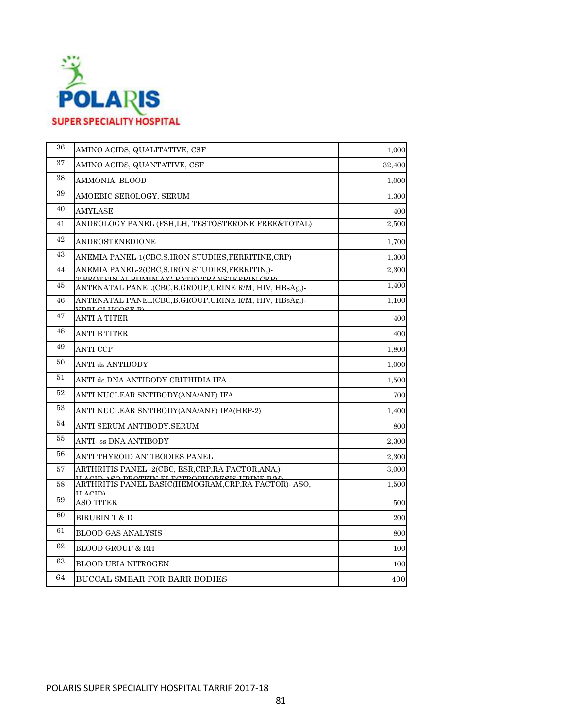

| 36 | AMINO ACIDS, QUALITATIVE, CSF                                                                                | 1,000  |
|----|--------------------------------------------------------------------------------------------------------------|--------|
| 37 | AMINO ACIDS, QUANTATIVE, CSF                                                                                 | 32,400 |
| 38 | AMMONIA, BLOOD                                                                                               | 1,000  |
| 39 | AMOEBIC SEROLOGY, SERUM                                                                                      | 1,300  |
| 40 | AMYLASE                                                                                                      | 400    |
| 41 | ANDROLOGY PANEL (FSH, LH, TESTOSTERONE FREE&TOTAL)                                                           | 2,500  |
| 42 | ANDROSTENEDIONE                                                                                              | 1,700  |
| 43 | ANEMIA PANEL-1(CBC,S.IRON STUDIES,FERRITINE,CRP)                                                             | 1,300  |
| 44 | ANEMIA PANEL-2(CBC,S.IRON STUDIES,FERRITIN,)-<br><u>T DDATEIN AI DHAIN A<i>I</i>A DATIA TO ANGTEDDIN ADD</u> | 2,300  |
| 45 | ANTENATAL PANEL(CBC, B.GROUP, URINE R/M, HIV, HBsAg,)-                                                       | 1,400  |
| 46 | ANTENATAL PANEL(CBC, B. GROUP, URINE R/M, HIV, HBsAg,)-<br><b>TOPL CLUCOCE P</b>                             | 1,100  |
| 47 | <b>ANTI A TITER</b>                                                                                          | 400    |
| 48 | ANTI B TITER                                                                                                 | 400    |
| 49 | <b>ANTI CCP</b>                                                                                              | 1,800  |
| 50 | ANTI ds ANTIBODY                                                                                             | 1,000  |
| 51 | ANTI ds DNA ANTIBODY CRITHIDIA IFA                                                                           | 1,500  |
| 52 | ANTI NUCLEAR SNTIBODY(ANA/ANF) IFA                                                                           | 700    |
| 53 | ANTI NUCLEAR SNTIBODY(ANA/ANF) IFA(HEP-2)                                                                    | 1,400  |
| 54 | ANTI SERUM ANTIBODY.SERUM                                                                                    | 800    |
| 55 | ANTI- ss DNA ANTIBODY                                                                                        | 2,300  |
| 56 | ANTI THYROID ANTIBODIES PANEL                                                                                | 2,300  |
| 57 | ARTHRITIS PANEL -2(CBC, ESR, CRP, RA FACTOR, ANA,)-<br>DDATEIN EI EATDADHADECIC HDINE DAO                    | 3,000  |
| 58 | ARTHRITIS PANEL BASIC(HEMOGRAM, CRP, RA FACTOR) - ASO,<br><b>LEACID</b>                                      | 1,500  |
| 59 | <b>ASO TITER</b>                                                                                             | 500    |
| 60 | BIRUBIN T & D                                                                                                | 200    |
| 61 | <b>BLOOD GAS ANALYSIS</b>                                                                                    | 800    |
| 62 | <b>BLOOD GROUP &amp; RH</b>                                                                                  | 100    |
| 63 | <b>BLOOD URIA NITROGEN</b>                                                                                   | 100    |
| 64 | BUCCAL SMEAR FOR BARR BODIES                                                                                 | 400    |
|    |                                                                                                              |        |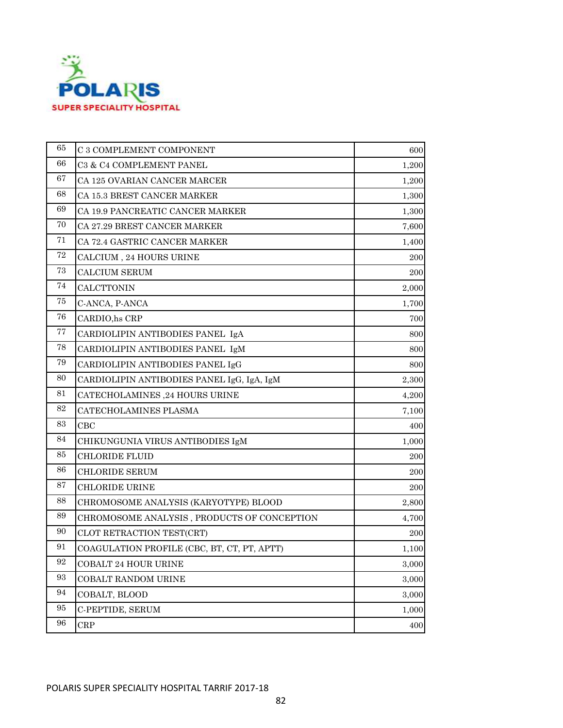

| 65                | C 3 COMPLEMENT COMPONENT                    | 600   |
|-------------------|---------------------------------------------|-------|
| 66                | C3 & C4 COMPLEMENT PANEL                    | 1,200 |
| 67                | CA 125 OVARIAN CANCER MARCER                | 1,200 |
| 68                | CA 15.3 BREST CANCER MARKER                 | 1,300 |
| 69                | CA 19.9 PANCREATIC CANCER MARKER            | 1,300 |
| 70                | CA 27.29 BREST CANCER MARKER                | 7,600 |
| 71                | CA 72.4 GASTRIC CANCER MARKER               | 1,400 |
| 72                | CALCIUM , 24 HOURS URINE                    | 200   |
| 73                | <b>CALCIUM SERUM</b>                        | 200   |
| 74                | <b>CALCTTONIN</b>                           | 2,000 |
| 75                | C-ANCA, P-ANCA                              | 1,700 |
| 76                | CARDIO, hs CRP                              | 700   |
| 77                | CARDIOLIPIN ANTIBODIES PANEL IgA            | 800   |
| 78                | CARDIOLIPIN ANTIBODIES PANEL IgM            | 800   |
| 79                | CARDIOLIPIN ANTIBODIES PANEL IgG            | 800   |
| 80                | CARDIOLIPIN ANTIBODIES PANEL IgG, IgA, IgM  | 2,300 |
| 81                | CATECHOLAMINES ,24 HOURS URINE              | 4,200 |
| 82                | CATECHOLAMINES PLASMA                       | 7,100 |
| 83                | CBC                                         | 400   |
| 84                | CHIKUNGUNIA VIRUS ANTIBODIES IgM            | 1,000 |
| 85                | <b>CHLORIDE FLUID</b>                       | 200   |
| 86                | <b>CHLORIDE SERUM</b>                       | 200   |
| 87                | CHLORIDE URINE                              | 200   |
| 88                | CHROMOSOME ANALYSIS (KARYOTYPE) BLOOD       | 2,800 |
| 89                | CHROMOSOME ANALYSIS, PRODUCTS OF CONCEPTION | 4,700 |
| 90                | CLOT RETRACTION TEST(CRT)                   | 200   |
| 91                | COAGULATION PROFILE (CBC, BT, CT, PT, APTT) | 1,100 |
| 92                | COBALT 24 HOUR URINE                        | 3,000 |
| $\boldsymbol{93}$ | COBALT RANDOM URINE                         | 3,000 |
| 94                | COBALT, BLOOD                               | 3,000 |
| 95                | C-PEPTIDE, SERUM                            | 1,000 |
| 96                | <b>CRP</b>                                  | 400   |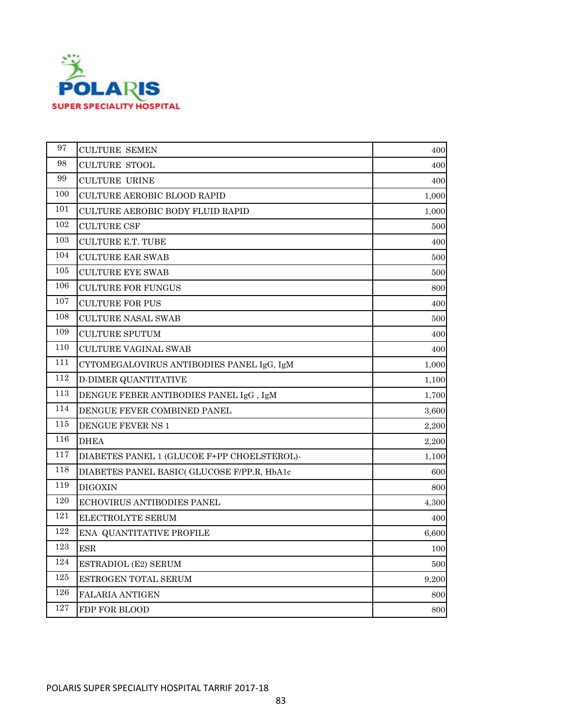

| 97  | <b>CULTURE SEMEN</b>                        | 400   |
|-----|---------------------------------------------|-------|
| 98  | <b>CULTURE STOOL</b>                        | 400   |
| 99  | <b>CULTURE URINE</b>                        | 400   |
| 100 | CULTURE AEROBIC BLOOD RAPID                 | 1,000 |
| 101 | <b>CULTURE AEROBIC BODY FLUID RAPID</b>     | 1,000 |
| 102 | <b>CULTURE CSF</b>                          | 500   |
| 103 | <b>CULTURE E.T. TUBE</b>                    | 400   |
| 104 | <b>CULTURE EAR SWAB</b>                     | 500   |
| 105 | <b>CULTURE EYE SWAB</b>                     | 500   |
| 106 | <b>CULTURE FOR FUNGUS</b>                   | 800   |
| 107 | <b>CULTURE FOR PUS</b>                      | 400   |
| 108 | CULTURE NASAL SWAB                          | 500   |
| 109 | <b>CULTURE SPUTUM</b>                       | 400   |
| 110 | <b>CULTURE VAGINAL SWAB</b>                 | 400   |
| 111 | CYTOMEGALOVIRUS ANTIBODIES PANEL IgG, IgM   | 1,000 |
| 112 | <b>D-DIMER QUANTITATIVE</b>                 | 1,100 |
| 113 | DENGUE FEBER ANTIBODIES PANEL IgG, IgM      | 1,700 |
| 114 | DENGUE FEVER COMBINED PANEL                 | 3,600 |
| 115 | DENGUE FEVER NS 1                           | 2,200 |
| 116 | <b>DHEA</b>                                 | 2,200 |
| 117 | DIABETES PANEL 1 (GLUCOE F+PP CHOELSTEROL)- | 1,100 |
| 118 | DIABETES PANEL BASIC( GLUCOSE F/PP.R. HbA1c | 600   |
| 119 | <b>DIGOXIN</b>                              | 800   |
| 120 | <b>ECHOVIRUS ANTIBODIES PANEL</b>           | 4,300 |
| 121 | ELECTROLYTE SERUM                           | 400   |
| 122 | ENA QUANTITATIVE PROFILE                    | 6,600 |
| 123 | $_{\rm ESR}$                                | 100   |
| 124 | ESTRADIOL (E2) SERUM                        | 500   |
| 125 | ESTROGEN TOTAL SERUM                        | 9,200 |
| 126 | FALARIA ANTIGEN                             | 800   |
| 127 | FDP FOR BLOOD                               | 800   |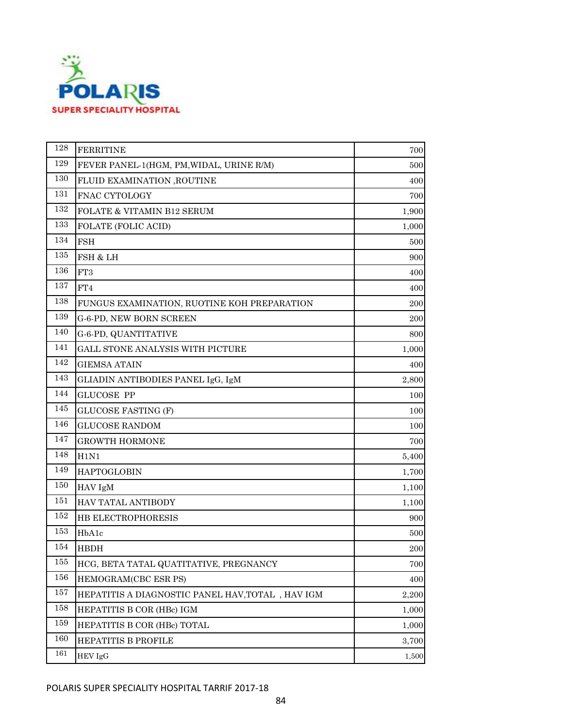

| 128 | <b>FERRITINE</b>                                 | 700   |
|-----|--------------------------------------------------|-------|
| 129 | FEVER PANEL-1(HGM, PM, WIDAL, URINE R/M)         | 500   |
| 130 | FLUID EXAMINATION ,ROUTINE                       | 400   |
| 131 | FNAC CYTOLOGY                                    | 700   |
| 132 | FOLATE & VITAMIN B12 SERUM                       | 1,900 |
| 133 | FOLATE (FOLIC ACID)                              | 1,000 |
| 134 | <b>FSH</b>                                       | 500   |
| 135 | FSH & LH                                         | 900   |
| 136 | FT3                                              | 400   |
| 137 | FT4                                              | 400   |
| 138 | FUNGUS EXAMINATION, RUOTINE KOH PREPARATION      | 200   |
| 139 | G-6-PD, NEW BORN SCREEN                          | 200   |
| 140 | G-6-PD, QUANTITATIVE                             | 800   |
| 141 | GALL STONE ANALYSIS WITH PICTURE                 | 1,000 |
| 142 | <b>GIEMSA ATAIN</b>                              | 400   |
| 143 | GLIADIN ANTIBODIES PANEL IgG, IgM                | 2,800 |
| 144 | <b>GLUCOSE PP</b>                                | 100   |
| 145 | <b>GLUCOSE FASTING (F)</b>                       | 100   |
| 146 | <b>GLUCOSE RANDOM</b>                            | 100   |
| 147 | <b>GROWTH HORMONE</b>                            | 700   |
| 148 | H1N1                                             | 5,400 |
| 149 | <b>HAPTOGLOBIN</b>                               | 1,700 |
| 150 | HAV IgM                                          | 1,100 |
| 151 | HAV TATAL ANTIBODY                               | 1,100 |
| 152 | HB ELECTROPHORESIS                               | 900   |
| 153 | HbA1c                                            | 500   |
| 154 | <b>HBDH</b>                                      | 200   |
| 155 | HCG, BETA TATAL QUATITATIVE, PREGNANCY           | 700   |
| 156 | HEMOGRAM(CBC ESR PS)                             | 400   |
| 157 | HEPATITIS A DIAGNOSTIC PANEL HAV, TOTAL, HAV IGM | 2,200 |
| 158 | HEPATITIS B COR (HBc) IGM                        | 1,000 |
| 159 | HEPATITIS B COR (HBc) TOTAL                      | 1,000 |
| 160 | <b>HEPATITIS B PROFILE</b>                       | 3,700 |
| 161 | HEV IgG                                          | 1,500 |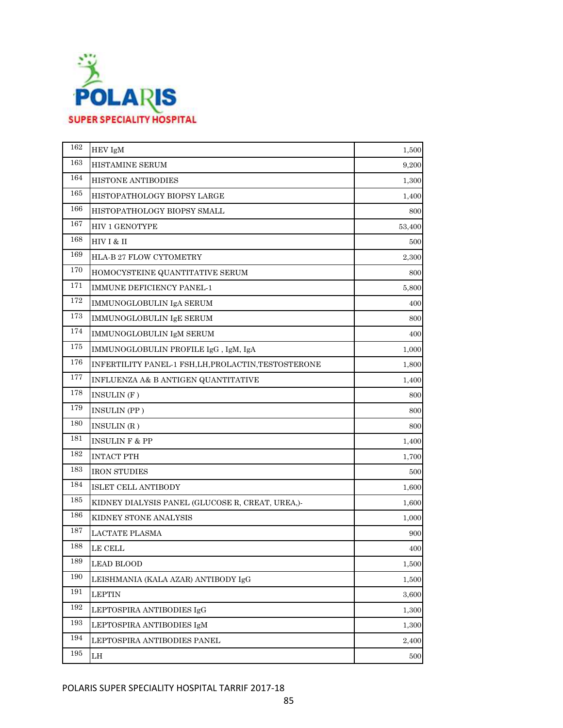

| 162 | HEV IgM                                                                                                                        | 1,500  |
|-----|--------------------------------------------------------------------------------------------------------------------------------|--------|
| 163 | HISTAMINE SERUM                                                                                                                | 9,200  |
| 164 | <b>HISTONE ANTIBODIES</b>                                                                                                      | 1,300  |
| 165 | HISTOPATHOLOGY BIOPSY LARGE                                                                                                    | 1,400  |
| 166 | HISTOPATHOLOGY BIOPSY SMALL                                                                                                    | 800    |
| 167 | <b>HIV 1 GENOTYPE</b>                                                                                                          | 53,400 |
| 168 | $HIVI & II$                                                                                                                    | 500    |
| 169 | HLA-B 27 FLOW CYTOMETRY                                                                                                        | 2,300  |
| 170 | HOMOCYSTEINE QUANTITATIVE SERUM                                                                                                | 800    |
| 171 | IMMUNE DEFICIENCY PANEL-1                                                                                                      | 5,800  |
| 172 | IMMUNOGLOBULIN IgA SERUM                                                                                                       | 400    |
| 173 | IMMUNOGLOBULIN IgE SERUM                                                                                                       | 800    |
| 174 | IMMUNOGLOBULIN IgM SERUM                                                                                                       | 400    |
| 175 | $\mathop{\text{\rm IMMUNOGLOBULIN}}$ PROFILE $\mathop{\text{\rm IgG}}$ , $\mathop{\text{\rm IgM}}$ , $\mathop{\text{\rm IgA}}$ | 1,000  |
| 176 | INFERTILITY PANEL 1 FSH, LH, PROLACTIN, TESTOSTERONE                                                                           | 1,800  |
| 177 | INFLUENZA A& B ANTIGEN QUANTITATIVE                                                                                            | 1,400  |
| 178 | INSULIN(F)                                                                                                                     | 800    |
| 179 | INSULIN (PP)                                                                                                                   | 800    |
| 180 | INSULIN (R)                                                                                                                    | 800    |
| 181 | <b>INSULIN F &amp; PP</b>                                                                                                      | 1,400  |
| 182 | <b>INTACT PTH</b>                                                                                                              | 1,700  |
| 183 | <b>IRON STUDIES</b>                                                                                                            | 500    |
| 184 | ISLET CELL ANTIBODY                                                                                                            | 1,600  |
| 185 | KIDNEY DIALYSIS PANEL (GLUCOSE R, CREAT, UREA,)-                                                                               | 1,600  |
| 186 | KIDNEY STONE ANALYSIS                                                                                                          | 1,000  |
| 187 | <b>LACTATE PLASMA</b>                                                                                                          | 900    |
| 188 | <b>LE CELL</b>                                                                                                                 | 400    |
| 189 | <b>LEAD BLOOD</b>                                                                                                              | 1,500  |
| 190 | LEISHMANIA (KALA AZAR) ANTIBODY IgG                                                                                            | 1,500  |
| 191 | <b>LEPTIN</b>                                                                                                                  | 3,600  |
| 192 | LEPTOSPIRA ANTIBODIES IgG                                                                                                      | 1,300  |
| 193 | LEPTOSPIRA ANTIBODIES IgM                                                                                                      | 1,300  |
| 194 | LEPTOSPIRA ANTIBODIES PANEL                                                                                                    | 2,400  |
| 195 | LH                                                                                                                             | 500    |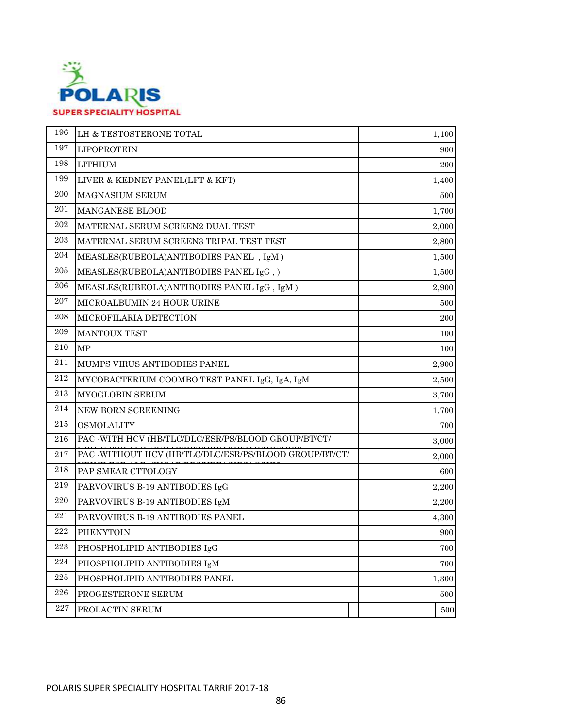

| 196       | LH & TESTOSTERONE TOTAL                                | 1,100 |
|-----------|--------------------------------------------------------|-------|
| 197       | <b>LIPOPROTEIN</b>                                     | 900   |
| 198       | <b>LITHIUM</b>                                         | 200   |
| 199       | LIVER & KEDNEY PANEL(LFT & KFT)                        | 1,400 |
| 200       | <b>MAGNASIUM SERUM</b>                                 | 500   |
| 201       | MANGANESE BLOOD                                        | 1,700 |
| 202       | MATERNAL SERUM SCREEN2 DUAL TEST                       | 2,000 |
| 203       | MATERNAL SERUM SCREEN3 TRIPAL TEST TEST                | 2,800 |
| 204       | MEASLES(RUBEOLA)ANTIBODIES PANEL, IgM)                 | 1,500 |
| 205       | MEASLES(RUBEOLA)ANTIBODIES PANEL IgG, )                | 1,500 |
| 206       | MEASLES(RUBEOLA)ANTIBODIES PANEL IgG, IgM)             | 2,900 |
| 207       | MICROALBUMIN 24 HOUR URINE                             | 500   |
| 208       | MICROFILARIA DETECTION                                 | 200   |
| 209       | <b>MANTOUX TEST</b>                                    | 100   |
| 210       | MP                                                     | 100   |
| 211       | MUMPS VIRUS ANTIBODIES PANEL                           | 2,900 |
| 212       | MYCOBACTERIUM COOMBO TEST PANEL IgG, IgA, IgM          | 2,500 |
| 213       | MYOGLOBIN SERUM                                        | 3,700 |
| 214       | NEW BORN SCREENING                                     | 1,700 |
| 215       | <b>OSMOLALITY</b>                                      | 700   |
| 216       | PAC -WITH HCV (HB/TLC/DLC/ESR/PS/BLOOD GROUP/BT/CT/    | 3,000 |
| 217       | PAC -WITHOUT HCV (HB/TLC/DLC/ESR/PS/BLOOD GROUP/BT/CT/ | 2,000 |
| 218       | PAP SMEAR CTTOLOGY                                     | 600   |
| 219       | PARVOVIRUS B-19 ANTIBODIES IgG                         | 2,200 |
| 220       | PARVOVIRUS B-19 ANTIBODIES IgM                         | 2,200 |
| 221       | PARVOVIRUS B-19 ANTIBODIES PANEL                       | 4,300 |
| 222       | <b>PHENYTOIN</b>                                       | 900   |
| 223       | PHOSPHOLIPID ANTIBODIES IgG                            | 700   |
| $\bf 224$ | PHOSPHOLIPID ANTIBODIES IgM                            | 700   |
| 225       | PHOSPHOLIPID ANTIBODIES PANEL                          | 1,300 |
| 226       | PROGESTERONE SERUM                                     | 500   |
| 227       | PROLACTIN SERUM                                        | 500   |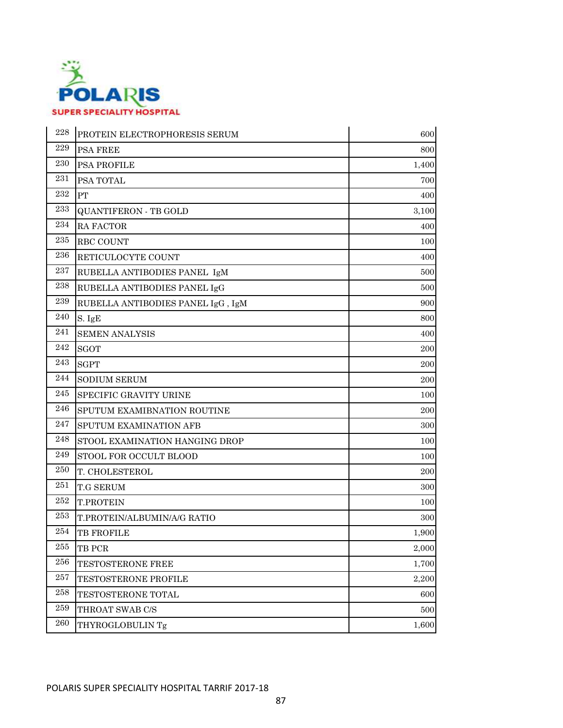

| 228 | PROTEIN ELECTROPHORESIS SERUM     | 600   |
|-----|-----------------------------------|-------|
| 229 | <b>PSA FREE</b>                   | 800   |
| 230 | PSA PROFILE                       | 1,400 |
| 231 | PSA TOTAL                         | 700   |
| 232 | PT                                | 400   |
| 233 | <b>QUANTIFERON - TB GOLD</b>      | 3,100 |
| 234 | RA FACTOR                         | 400   |
| 235 | RBC COUNT                         | 100   |
| 236 | RETICULOCYTE COUNT                | 400   |
| 237 | RUBELLA ANTIBODIES PANEL IgM      | 500   |
| 238 | RUBELLA ANTIBODIES PANEL IgG      | 500   |
| 239 | RUBELLA ANTIBODIES PANEL IgG, IgM | 900   |
| 240 | S. IgE                            | 800   |
| 241 | <b>SEMEN ANALYSIS</b>             | 400   |
| 242 | <b>SGOT</b>                       | 200   |
| 243 | <b>SGPT</b>                       | 200   |
| 244 | <b>SODIUM SERUM</b>               | 200   |
| 245 | SPECIFIC GRAVITY URINE            | 100   |
| 246 | SPUTUM EXAMIBNATION ROUTINE       | 200   |
| 247 | SPUTUM EXAMINATION AFB            | 300   |
| 248 | STOOL EXAMINATION HANGING DROP    | 100   |
| 249 | STOOL FOR OCCULT BLOOD            | 100   |
| 250 | T. CHOLESTEROL                    | 200   |
| 251 | <b>T.G SERUM</b>                  | 300   |
| 252 | <b>T.PROTEIN</b>                  | 100   |
| 253 | T.PROTEIN/ALBUMIN/A/G RATIO       | 300   |
| 254 | TB FROFILE                        | 1,900 |
| 255 | TB PCR                            | 2,000 |
| 256 | TESTOSTERONE FREE                 | 1,700 |
| 257 | <b>TESTOSTERONE PROFILE</b>       | 2,200 |
| 258 | TESTOSTERONE TOTAL                | 600   |
| 259 | THROAT SWAB C/S                   | 500   |
| 260 | THYROGLOBULIN Tg                  | 1,600 |